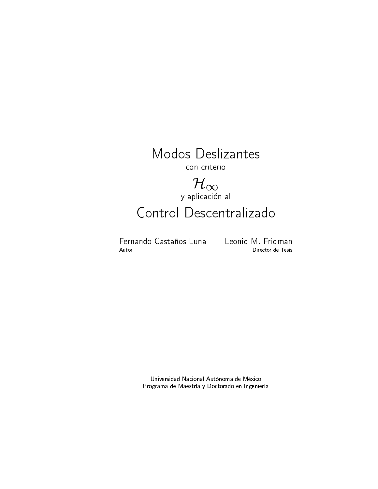

 $\mathcal{H}_{\infty}$ y aplicación al

# Control Descentralizado

Fernando Castaños Luna Leonid M. Fridman Autor

Director de Tesis

Universidad Nacional Autónoma de México Programa de Maestría y Doctorado en Ingeniería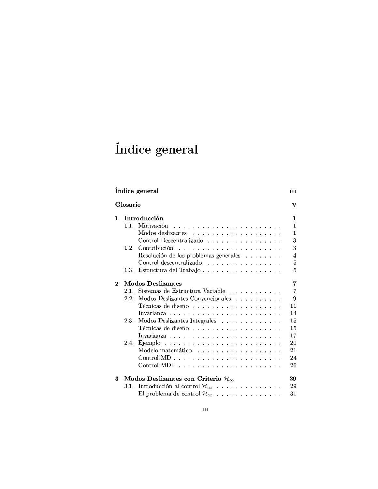# Índice general

# Índice general Glosario  $\mathbf{1}$

| 1        |      | Introducción<br>1                                                                 |
|----------|------|-----------------------------------------------------------------------------------|
|          | 11   | 1                                                                                 |
|          |      | 1                                                                                 |
|          |      | 3<br>Control Descentralizado                                                      |
|          | 1.2. | 3                                                                                 |
|          |      | $\overline{4}$<br>Resolución de los problemas generales                           |
|          |      | 5<br>Control descentralizado                                                      |
|          |      | 5<br>1.3. Estructura del Trabajo                                                  |
| $\bf{2}$ |      | Modos Deslizantes<br>7                                                            |
|          |      | $\overline{7}$<br>2.1. Sistemas de Estructura Variable                            |
|          | 22   | 9<br>Modos Deslizantes Convencionales                                             |
|          |      | 11                                                                                |
|          |      | 14                                                                                |
|          |      | 15<br>2.3. Modos Deslizantes Integrales                                           |
|          |      | 15                                                                                |
|          |      | 17                                                                                |
|          |      | 20                                                                                |
|          |      | 21<br>Modelo matemático                                                           |
|          |      | 24<br>$Control MD$                                                                |
|          |      | 26<br>$Control \text{ MDI} \dots \dots \dots \dots \dots \dots \dots \dots \dots$ |
| 3        |      | Modos Deslizantes con Criterio $\mathcal{H}_{\infty}$<br>29                       |
|          |      | 3.1. Introducción al control $\mathcal{H}_{\infty}$<br>29                         |
|          |      | 31<br>El problema de control $\mathcal{H}_{\infty}$                               |

 $\overline{\mathbf{H}}$ 

 $\overline{\mathbf{v}}$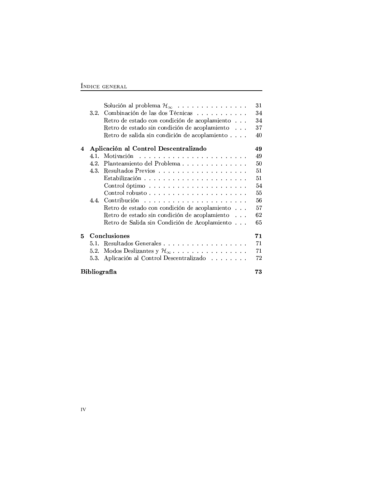### $\hat{\bf I}$ NDICE GENERAL

|                           |      | Solución al problema $\mathcal{H}_{\infty}$   | 31 |  |
|---------------------------|------|-----------------------------------------------|----|--|
|                           | 3.2. | Combinación de las dos Técnicas               | 34 |  |
|                           |      | Retro de estado con condición de acoplamiento | 34 |  |
|                           |      | Retro de estado sin condición de acoplamiento | 37 |  |
|                           |      | Retro de salida sin condición de acoplamiento | 40 |  |
|                           |      |                                               |    |  |
| 4                         |      | Aplicación al Control Descentralizado         | 49 |  |
|                           |      | 4.1. Motivación                               | 49 |  |
|                           | 4.2. | Planteamiento del Problema                    | 50 |  |
|                           | 4.3. |                                               | 51 |  |
|                           |      |                                               | 51 |  |
|                           |      |                                               | 54 |  |
|                           |      |                                               | 55 |  |
|                           |      |                                               | 56 |  |
|                           |      | Retro de estado con condición de acoplamiento | 57 |  |
|                           |      | Retro de estado sin condición de acoplamiento | 62 |  |
|                           |      | Retro de Salida sin Condición de Acoplamiento | 65 |  |
|                           |      |                                               |    |  |
| 5.                        |      | Conclusiones                                  | 71 |  |
|                           | 5.1. | Resultados Generales                          | 71 |  |
|                           | 5.2. |                                               | 71 |  |
|                           | 5.3. | Aplicación al Control Descentralizado         | 72 |  |
|                           |      |                                               |    |  |
| <b>Bibliografía</b><br>73 |      |                                               |    |  |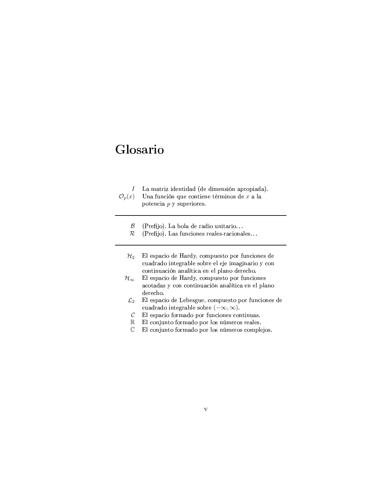- $I$  La matriz identidad (de dimensión apropiada).  $\mathcal{O}_p(x)$ na función que contiene términos de  $x$  a la potencia  $p$  y superiores.  $\beta$  (Prefijo). La bola de radio unitario...  $\mathcal{R}$  (Prefijo). Las funciones reales-racionales...  $\mathcal{H}_2$  El espacio de Hardy, compuesto por funciones de cuadrado integrable sobre el eje imaginario y con continuación analítica en el plano derecho.  $\mathcal{H}_{\infty}-$  El espacio de Hardy, compuesto por funciones acotadas y con continuación analítica en el plano derecho.  $\mathcal{L}_2$  El espacio de Lebesgue, compuesto por funciones de cuadrado integrable sobre  $(-\infty, \infty)$ .
	- C El espacio formado por funciones continuas.<br>  $\mathbb{R}$  El conjunto formado por los números reales.  $\mathbb R$  El conjunto formado por los números reales.
	- $\mathbb C$  El conjunto formado por los números complejos.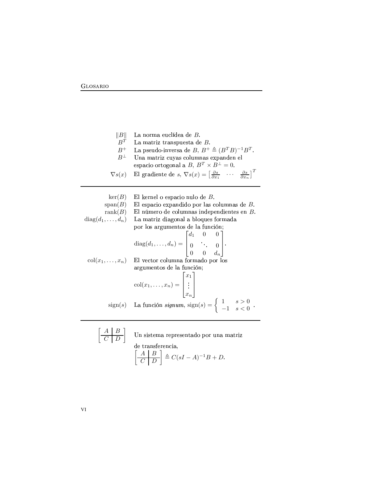$||B||$ La norma euclídea de B.  $B^T$ La matriz transpuesta de  $B$ . La pseudo-inversa de  $B, B^+ \triangleq (B^T B)^{-1} B^T$ .  $B^+$ Una matriz cuyas columnas expanden el<br>
espacio ortogonal a  $B, B^T \times B^{\perp} = 0$ .<br>
El gradiente de  $s, \nabla s(x) = \begin{bmatrix} \frac{\partial s}{\partial x_1} & \cdots & \frac{\partial s}{\partial x_n} \end{bmatrix}^T$  $B^\perp$  $\nabla s(x)$ El kernel o espacio nulo de  $B$ .  $\ker(B)$  $span(B)$ El espacio expandido por las columnas de  $B$ . rank $(B)$ El número de columnas independientes en B.  $diag(d_1,\ldots,d_n)$ La matriz diagonal a bloques formada por los argumentos de la función; diag $(d_1, ..., d_n) = \begin{bmatrix} d_1 & 0 & 0 \\ 0 & \ddots & 0 \\ 0 & 0 & d_n \end{bmatrix}$ .<br>El vector columna formado por los  $col(x_1, \ldots, x_n)$ argumentos de la función;  $col(x_1,...,x_n) = \begin{bmatrix} x_1 \\ \vdots \\ x_n \end{bmatrix}$ <br>sign(s) La función signum, sign(s) =  $\begin{cases} 1 & s > 0 \\ -1 & s < 0 \end{cases}$ .

$$
\begin{array}{c}\n\begin{array}{c}\nA & B \\
\hline\nC & D\n\end{array}\n\end{array}\n\quad \text{Un sistema representado por una matriz} \\
\begin{array}{c}\n\text{de transforma,} \\
\begin{bmatrix}\nA & B \\
\hline\nC & D\n\end{bmatrix}\n\triangleq C(sI - A)^{-1}B + D.
$$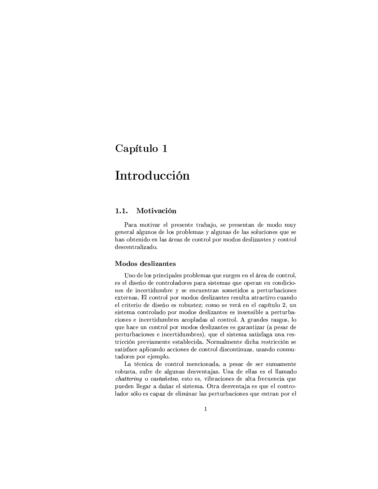# Capítulo 1

# Introducción

#### $1.1.$ Motivación

Para motivar el presente trabajo, se presentan de modo muy general algunos de los problemas y algunas de las soluciones que se han obtenido en las áreas de control por modos deslizantes y control descentralizado.

#### **Modos** deslizantes

Uno de los principales problemas que surgen en el área de control, es el diseño de controladores para sistemas que operan en condiciones de incertidumbre y se encuentran sometidos a perturbaciones externas. El control por modos deslizantes resulta atractivo cuando el criterio de diseño es robustez; como se verá en el capítulo 2, un sistema controlado por modos deslizantes es insensible a perturbaciones e incertidumbres acopladas al control. A grandes rasgos, lo que hace un control por modos deslizantes es garantizar (a pesar de perturbaciones e incertidumbres), que el sistema satisfaga una restricción previamente establecida. Normalmente dicha restricción se satisface aplicando acciones de control discontinuas, usando conmutadores por ejemplo.

La técnica de control mencionada, a pesar de ser sumamente robusta, sufre de algunas desventajas. Una de ellas es el llamado *chattering* o *castañeteo*, esto es, vibraciones de alta frecuencia que pueden llegar a dañar el sistema. Otra desventaja es que el controlador sólo es capaz de eliminar las perturbaciones que entran por el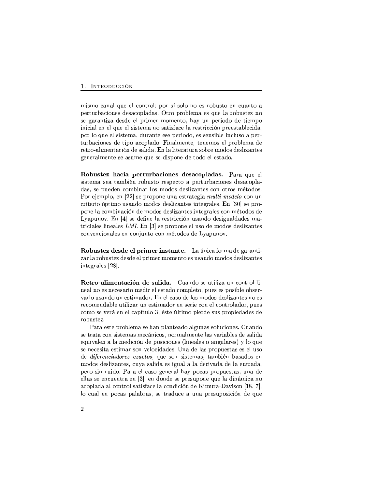#### 1. INTRODUCCIÓN

mismo canal que el control: por sí solo no es robusto en cuanto a perturbaciones desacopladas. Otro problema es que la robustez no se garantiza desde el primer momento, hay un periodo de tiempo inicial en el que el sistema no satisface la restricción preestablecida, por lo que el sistema, durante ese periodo, es sensible incluso a perturbaciones de tipo acoplado. Finalmente, tenemos el problema de retro-alimentación de salida. En la literatura sobre modos deslizantes generalmente se asume que se dispone de todo el estado.

Robustez hacia perturbaciones desacopladas. Para que el sistema sea también robusto respecto a perturbaciones desacopladas, se pueden combinar los modos deslizantes con otros métodos. Por ejemplo, en [22] se propone una estrategia multi-modelo con un criterio óptimo usando modos deslizantes integrales. En [30] se propone la combinación de modos deslizantes integrales con métodos de Lyapunov. En [4] se define la restricción usando desigualdades matriciales lineales LMI. En [3] se propone el uso de modos deslizantes convencionales en conjunto con métodos de Lyapunov.

Robustez desde el primer instante. La única forma de garantizar la robustez desde el primer momento es usando modos deslizantes integrales [28].

Retro-alimentación de salida. Cuando se utiliza un control lineal no es necesario medir el estado completo, pues es posible observarlo usando un estimador. En el caso de los modos deslizantes no es recomendable utilizar un estimador en serie con el controlador, pues como se verá en el capítulo 3, éste último pierde sus propiedades de robustez.

Para este problema se han planteado algunas soluciones. Cuando se trata con sistemas mecánicos, normalmente las variables de salida equivalen a la medición de posiciones (lineales o angulares) y lo que se necesita estimar son velocidades. Una de las propuestas es el uso de *diferenciadores exactos*, que son sistemas, también basados en modos deslizantes, cuya salida es igual a la derivada de la entrada, pero sin ruido. Para el caso general hay pocas propuestas, una de ellas se encuentra en [3], en donde se presupone que la dinámica no acoplada al control satisface la condición de Kimura-Davison [18, 7], lo cual en pocas palabras, se traduce a una presuposición de que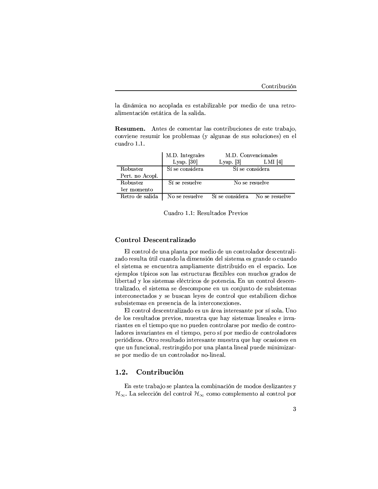la dinámica no acoplada es estabilizable por medio de una retroalimentación estática de la salida.

Resumen. Antes de comentar las contribuciones de este trabajo, conviene resumir los problemas (y algunas de sus soluciones) en el cuadro 1.1.

|                 | M.D. Integrales | M.D. Convencionales            |
|-----------------|-----------------|--------------------------------|
|                 | Lyap. $[30]$    | Lyap $[3]$<br>$LMI$ [4]        |
| Robustez        | Sí se considera | Sí se considera                |
| Pert. no Acopl. |                 |                                |
| Robustez        | Sí se resuelve  | No se resuelve                 |
| ler momento     |                 |                                |
| Retro de salida | No se resuelve  | Sí se considera No se resuelve |

Cuadro 1.1: Resultados Previos

### Control Descentralizado

El control de una planta por medio de un controlador descentralizado resulta útil cuando la dimensión del sistema es grande o cuando el sistema se encuentra ampliamente distribuido en el espacio. Los ejemplos típicos son las estructuras flexibles con muchos grados de libertad y los sistemas eléctricos de potencia. En un control descentralizado, el sistema se descompone en un conjunto de subsistemas interconectados y se buscan leyes de control que estabilicen dichos subsistemas en presencia de la interconexiones.

El control descentralizado es un área interesante por sí sola. Uno de los resultados previos, muestra que hay sistemas lineales e invariantes en el tiempo que no pueden controlarse por medio de controladores invariantes en el tiempo, pero sí por medio de controladores periódicos. Otro resultado interesante muestra que hay ocasiones en que un funcional, restringido por una planta lineal puede minimizarse por medio de un controlador no-lineal.

#### 1.2. Contribución

En este trabajo se plantea la combinación de modos deslizantes y  $\mathcal{H}_{\infty}$ . La selección del control  $\mathcal{H}_{\infty}$  como complemento al control por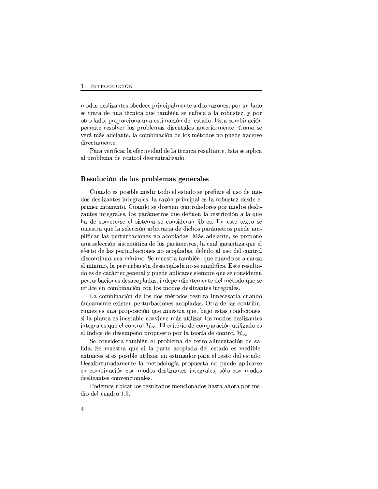modos deslizantes obedece principalmente a dos razones: por un lado se trata de una técnica que también se enfoca a la robustez, y por otro lado, proporciona una estimación del estado. Esta combinación permite resolver los problemas discutidos anteriormente. Como se verá más adelante, la combinación de los métodos no puede hacerse directamente.

Para verificar la efectividad de la técnica resultante, ésta se aplica al problema de control descentralizado.

#### Resolución de los problemas generales

Cuando es posible medir todo el estado se prefiere el uso de modos deslizantes integrales, la razón principal es la robustez desde el primer momento. Cuando se diseñan controladores por modos deslizantes integrales, los parámetros que definen la restricción a la que ha de someterse el sistema se consideran libres. En este texto se muestra que la selección arbitraria de dichos parámetros puede amplificar las perturbaciones no acopladas. Más adelante, se propone una selección sistemática de los parámetros, la cual garantiza que el efecto de las perturbaciones no acopladas, debido al uso del control discontinuo, sea mínimo. Se muestra también, que cuando se alcanza el mínimo, la perturbación desacoplada no se amplifica. Este resultado es de carácter general y puede aplicarse siempre que se consideren perturbaciones desacopladas, independientemente del método que se utilice en combinación con los modos deslizantes integrales.

La combinación de los dos métodos resulta innecesaria cuando únicamente existen perturbaciones acopladas. Otra de las contribuciones es una proposición que muestra que, bajo estas condiciones, si la planta es inestable conviene más utilizar los modos deslizantes integrales que el control  $\mathcal{H}_{\infty}$ . El criterio de comparación utilizado es el índice de desempeño propuesto por la teoría de control  $\mathcal{H}_{\infty}$ .

Se considera también el problema de retro-alimentación de salida. Se muestra que si la parte acoplada del estado es medible, entonces sí es posible utilizar un estimador para el resto del estado. Desafortunadamente la metodología propuesta no puede aplicarse en combinación con modos deslizantes integrales, sólo con modos deslizantes convencionales.

Podemos ubicar los resultados mencionados hasta ahora por medio del cuadro 1.2.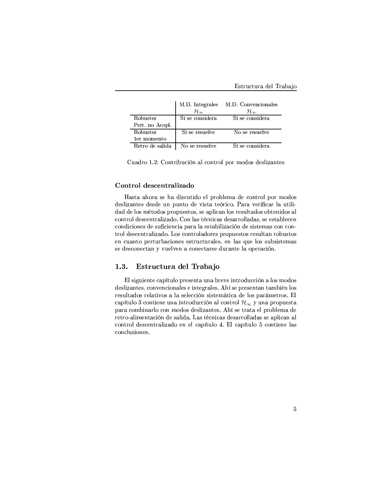|                 | $\mathcal{H}_{\infty}$ | M.D. Integrales M.D. Convencionales<br>$\mathcal{H}_{\infty}$ |
|-----------------|------------------------|---------------------------------------------------------------|
| Robustez        | Sí se considera        | Sí se considera                                               |
| Pert. no Acopl. |                        |                                                               |
| Robustez        | Sí se resuelve         | No se resuelve                                                |
| ler momento     |                        |                                                               |
| Retro de salida | No se resuelve         | Sí se considera                                               |

Cuadro 1.2: Contribución al control por modos deslizantes

#### Control descentralizado

Hasta ahora se ha discutido el problema de control por modos deslizantes desde un punto de vista teórico. Para verificar la utilidad de los métodos propuestos, se aplican los resultados obtenidos al control descentralizado. Con las técnicas desarrolladas, se establecen condiciones de suficiencia para la estabilización de sistemas con control descentralizado. Los controladores propuestos resultan robustos en cuanto perturbaciones estructurales, en las que los subsistemas se desconectan y vuelven a conectarse durante la operación.

#### $1.3.$ Estructura del Trabajo

El siguiente capítulo presenta una breve introducción a los modos deslizantes, convencionales e integrales. Ahí se presentan también los resultados relativos a la selección sistemática de los parámetros. El capítulo 3 contiene una introducción al control  $\mathcal{H}_{\infty}$  y una propuesta para combinarlo con modos deslizantes. Ahí se trata el problema de retro-alimentación de salida. Las técnicas desarrolladas se aplican al control descentralizado en el capítulo 4. El capítulo 5 contiene las conclusiones.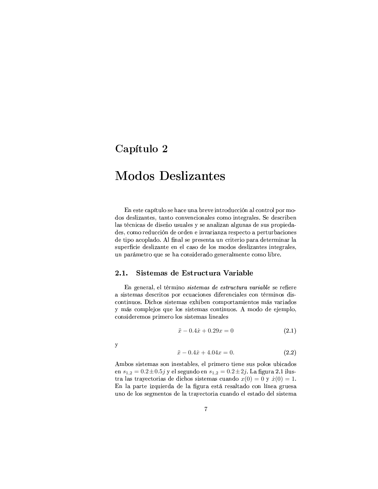## Capítulo 2

# **Modos Deslizantes**

En este capítulo se hace una breve introducción al control por modos deslizantes, tanto convencionales como integrales. Se describen las técnicas de diseño usuales y se analizan algunas de sus propiedades, como reducción de orden e invarianza respecto a perturbaciones de tipo acoplado. Al final se presenta un criterio para determinar la superficie deslizante en el caso de los modos deslizantes integrales, un parámetro que se ha considerado generalmente como libre.

#### $2.1.$ Sistemas de Estructura Variable

En general, el término sistemas de estructura variable se refiere a sistemas descritos por ecuaciones diferenciales con términos discontinuos. Dichos sistemas exhiben comportamientos más variados y más complejos que los sistemas continuos. A modo de ejemplo, consideremos primero los sistemas lineales

$$
\ddot{x} - 0.4\dot{x} + 0.29x = 0 \tag{2.1}
$$

 $\mathbf{y}$ 

$$
\ddot{x} - 0.4\dot{x} + 4.04x = 0. \tag{2.2}
$$

Ambos sistemas son inestables, el primero tiene sus polos ubicados en  $s_{1,2} = 0.2 \pm 0.5j$  y el segundo en  $s_{1,2} = 0.2 \pm 2j$ . La figura 2.1 ilustra las trayectorias de dichos sistemas cuando  $x(0) = 0$  y  $\dot{x}(0) = 1$ . En la parte izquierda de la figura está resaltado con línea gruesa uno de los segmentos de la trayectoria cuando el estado del sistema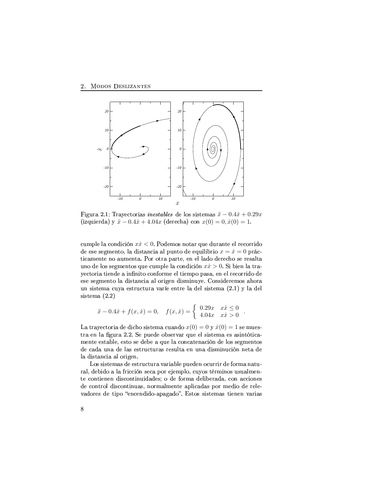

Figura 2.1: Trayectorias *inestables* de los sistemas  $\ddot{x} - 0.4\dot{x} + 0.29x$ (izquierda) y  $\ddot{x} - 0.4\dot{x} + 4.04x$  (derecha) con  $x(0) = 0, \dot{x}(0) = 1$ .

cumple la condición  $x\dot{x} < 0$ . Podemos notar que durante el recorrido de ese segmento, la distancia al punto de equilibrio  $x = \dot{x} = 0$  prácticamente no aumenta. Por otra parte, en el lado derecho se resalta uno de los segmentos que cumple la condición  $x\dot{x} > 0$ . Si bien la trayectoria tiende a infinito conforme el tiempo pasa, en el recorrido de ese segmento la distancia al origen disminuye. Consideremos ahora un sistema cuya estructura varíe entre la del sistema (2.1) y la del sistema $(2.2)$ 

$$
\ddot{x} - 0.4\dot{x} + f(x, \dot{x}) = 0, \quad f(x, \dot{x}) = \begin{cases} 0.29x & x\dot{x} \le 0 \\ 4.04x & x\dot{x} > 0 \end{cases}.
$$

La trayectoria de dicho sistema cuando  $x(0) = 0$  y  $\dot{x}(0) = 1$  se muestra en la figura 2.2. Se puede observar que el sistema es asintóticamente estable, esto se debe a que la concatenación de los segmentos de cada una de las estructuras resulta en una disminución neta de la distancia al origen.

Los sistemas de estructura variable pueden ocurrir de forma natural, debido a la fricción seca por ejemplo, cuyos términos usualmente contienen discontinuidades; o de forma deliberada, con acciones de control discontinuas, normalmente aplicadas por medio de relevadores de tipo "encendido-apagado". Estos sistemas tienen varias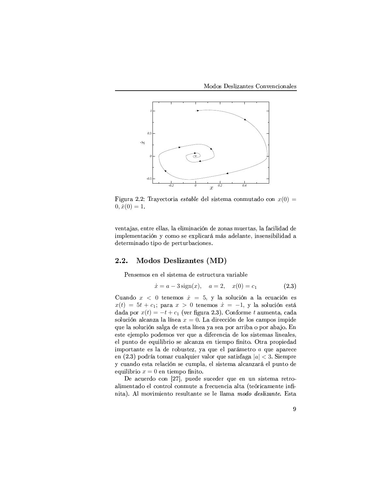

Figura 2.2: Trayectoria *estable* del sistema conmutado con  $x(0) =$  $0, \dot{x}(0) = 1.$ 

ventajas, entre ellas, la eliminación de zonas muertas, la facilidad de richter in der Richter and Richter and Richter and Richter and Richter and Richter and Richter and Richter and R O1R8C\*R8Y+jDUK<FO1B-C\*D?h!BO(RLh<RSYfC+c(Y\*b<FHD?BKdRSPS>

### 2.2. Modos Deslizantes (MD)

R8KdP\*R8jBIPmRSK R8T9P\*D?PfC\*RSjFO1RLR0PvC+Y\*c<HsC\*cdY+F-E&F]Y+D?Fb(T?R

$$
\dot{x} = a - 3\,\text{sign}(x), \quad a = 2, \quad x(0) = c_1 \tag{2.3}
$$

Cuando  $x < 0$  tenemos  $\dot{x} = 5$ , y la solución a la ecuación es  $x(t) = 5t + c_1$ ; para  $x > 0$  tenemos  $\dot{x} = -1$ , y la solución está dada por  $x(t) = -t + c_1$  (ver figura 2.3). Conforme  $t$  aumenta, cada solución alcanza la línea  $x = 0$ . La dirección de los campos impide  $\mathbf{F}$  represents the proposition of  $\mathbf{F}$  and  $\mathbf{F}$  proposition of  $\mathbf{F}$ RSPfC\*R-RvuvRSjh(TUB h!B1O1R8jBIPNEIR8Y \$c(RkF O1DR8Y+R8K<HDF O1RT?BIPMP\*D?PfC\*RSjFIPNTUD?K(RSFTUR0P  $R$  ratio and  $R$  ratio and  $R$  ratio and  $R$  finite  $R$  and  $R$  and  $R$  has been defined by  $R$  and  $R$ importante es la de robustez, ya que el parámetro  $a$  que aparece en (2.3) podría tomar cualquier valor que satisfaga  $|a| < 3$ . Siempre y cuando esta relación se cumpla, el sistema alcanzará el punto de equilibrio  $x = 0$  en tiempo finito.

De acuerdo con [27], puede suceder que en un sistema retro-F]T?D?j-RSK\$C+FO(B R8T H8BK\$C\*Y+BT HBIK(jc1C+R-<sup>F</sup> Y+RSHcdR8KdH8D?FgF]TUC+F C+R8JY+DH8F]jRSKIC+R D?K  $\mathbf{F} \times \mathbf{F}$  and  $\mathbf{F} \times \mathbf{F}$  is the problem of the  $\mathbf{F}$  representation of the  $\mathbf{F}$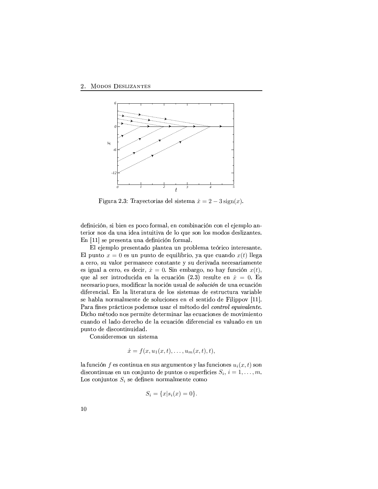

Figura 2.3: Trayectorias del sistema  $\dot{x} = 2 - 3 \text{sign}(x)$ .

definición, si bien es poco formal, en combinación con el ejemplo anterior nos da una idea intuitiva de lo que son los modos deslizantes. En [11] se presenta una definición formal.

El ejemplo presentado plantea un problema teórico interesante. El punto  $x = 0$  es un punto de equilibrio, ya que cuando  $x(t)$  llega a cero, su valor permanece constante y su derivada necesariamente es igual a cero, es decir,  $\dot{x} = 0$ . Sin embargo, no hay función  $x(t)$ , que al ser introducida en la ecuación (2.3) resulte en  $\dot{x} = 0$ . Es necesario pues, modificar la noción usual de solución de una ecuación diferencial. En la literatura de los sistemas de estructura variable se habla normalmente de soluciones en el sentido de Filippov [11]. Para fines prácticos podemos usar el método del control equivalente. Dicho método nos permite determinar las ecuaciones de movimiento cuando el lado derecho de la ecuación diferencial es valuado en un punto de discontinuidad.

Consideremos un sistema

$$
\dot{x} = f(x, u_1(x, t), \dots, u_m(x, t), t),
$$

la función f es continua en sus argumentos y las funciones  $u_i(x, t)$  son discontinuas en un conjunto de puntos o superficies  $S_i$ ,  $i = 1, ..., m$ . Los conjuntos  $S_i$  se definen normalmente como

$$
S_i = \{x | s_i(x) = 0\}.
$$

10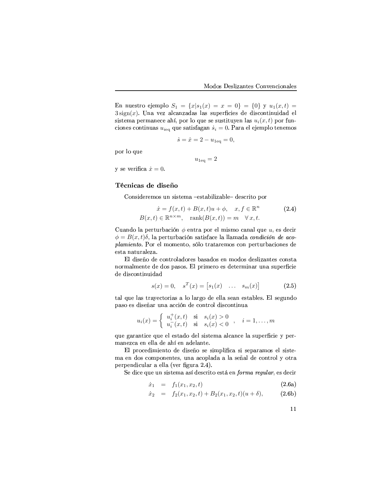En nuestro ejemplo  $S_1 = \{x | s_1(x) = x = 0\} = \{0\}$  y  $u_1(x,t) =$  $3\operatorname{sign}(x)$ . Una vez alcanzadas las superficies de discontinuidad el sistema permanece ahí, por lo que se sustituyen las  $u_i(x, t)$  por funciones continuas  $u_{i\text{eq}}$  que satisfagan  $\dot{s}_i = 0$ . Para el ejemplo tenemos

$$
\dot{s} = \dot{x} = 2 - u_{1eq} = 0,
$$

 $u_{1\text{eq}}=2$ 

por lo que

y se verifica  $\dot{x} = 0$ .

#### Técnicas de diseño

Consideremos un sistema -estabilizable- descrito por

$$
\dot{x} = f(x, t) + B(x, t)u + \phi, \quad x, f \in \mathbb{R}^n
$$
  
\n
$$
B(x, t) \in \mathbb{R}^{n \times m}, \quad \text{rank}(B(x, t)) = m \quad \forall x, t.
$$
\n(2.4)

Cuando la perturbación  $\phi$  entra por el mismo canal que u, es decir  $\phi = B(x, t)\delta$ , la perturbación satisface la llamada condición de acoplamiento. Por el momento, sólo trataremos con perturbaciones de esta naturaleza.

El diseño de controladores basados en modos deslizantes consta normalmente de dos pasos. El primero es determinar una superficie de discontinuidad

$$
s(x) = 0, \quad s^T(x) = [s_1(x) \quad \dots \quad s_m(x)] \tag{2.5}
$$

tal que las trayectorias a lo largo de ella sean estables. El segundo paso es diseñar una acción de control discontinua

$$
u_i(x) = \begin{cases} u_i^+(x,t) & \text{si} \quad s_i(x) > 0 \\ u_i^-(x,t) & \text{si} \quad s_i(x) < 0 \end{cases}, \quad i = 1,\dots,m
$$

que garantice que el estado del sistema alcance la superficie y permanezca en ella de ahí en adelante.

El procedimiento de diseño se simplifica si separamos el sistema en dos componentes, una acoplada a la señal de control y otra perpendicular a ella (ver figura 2.4).

Se dice que un sistema así descrito está en forma regular, es decir

$$
\dot{x}_1 = f_1(x_1, x_2, t) \tag{2.6a}
$$

$$
\dot{x}_2 = f_2(x_1, x_2, t) + B_2(x_1, x_2, t)(u + \delta), \quad (2.6b)
$$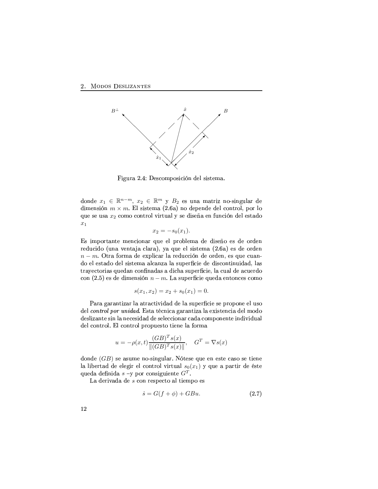

Figura 2.4: Descomposición del sistema.

donde  $x_1 \in \mathbb{R}^{n-m}$ ,  $x_2 \in \mathbb{R}^m$  y  $B_2$  es una matriz no-singular de dimensión  $m \times m$ . El sistema (2.6a) no depende del control, por lo que se usa  $x_2$  como control virtual y se diseña en función del estado  $x_1$ 

$$
x_2 = -s_0(x_1).
$$

Es importante mencionar que el problema de diseño es de orden reducido (una ventaja clara), ya que el sistema (2.6a) es de orden  $n - m$ . Otra forma de explicar la reducción de orden, es que cuanon a choibreachd ann an choibreachd ann an t-aiste. Daoine an choibreachd ann an choibreachd ann an choibreach trayectorias quedan confinadas a dicha superficie, la cual de acuerdo  $\hbox{con (2.5)}$  es de dimensión  $n-m.$  La superficie queda entonces como

$$
s(x_1, x_2) = x_2 + s_0(x_1) = 0.
$$

Para garantizar la atractividad de la superficie se propone el uso Olah - Andrej McHarl II That a transition and an analyzed the standard of the standard of the standard of the s deslizante sin la necesidad de seleccionar cada componente individual O1RSTHBIKIC+Y\*BIT>"qTHBK\$C+Y\*BIT!hdY\*BIh(c(RSPfC\*B-C+DURSK(RLT?FBIY\*jkF

$$
u = -\rho(x, t) \frac{(GB)^T s(x)}{\|(GB)^T s(x)\|}, \quad G^T = \nabla s(x)
$$

donde  $(GB)$  se asume no-singular. Nótese que en este caso se tiene la libertad de elegir el control virtual  $s_0(x_1)$  y que a partir de éste queda definida  $s$  –y por consiguiente  $G^T.$ 

La derivada de  $s$  con respecto al tiempo es

$$
\dot{s} = G(f + \phi) + GBu. \tag{2.7}
$$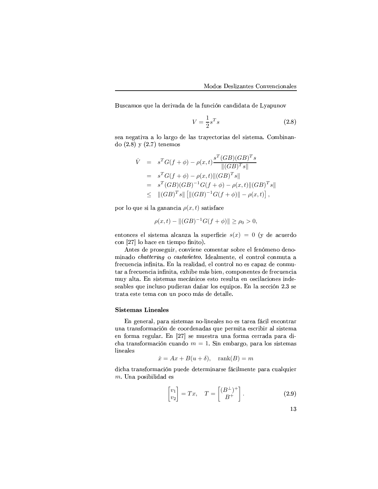Buscamos que la derivada de la función candidata de Lyapunov

$$
V = \frac{1}{2}s^T s \tag{2.8}
$$

sea negativa a lo largo de las travectorias del sistema. Combinando  $(2.8)$  y  $(2.7)$  tenemos

$$
\dot{V} = s^T G(f + \phi) - \rho(x, t) \frac{s^T (GB)(GB)^T s}{||(GB)^T s||}
$$
\n
$$
= s^T G(f + \phi) - \rho(x, t) ||(GB)^T s||
$$
\n
$$
= s^T (GB)(GB)^{-1} G(f + \phi) - \rho(x, t) ||(GB)^T s||
$$
\n
$$
\leq ||(GB)^T s|| [||(GB)^{-1} G(f + \phi)|| - \rho(x, t)],
$$

por lo que si la ganancia  $\rho(x,t)$  satisface

$$
\rho(x,t) - ||(GB)^{-1}G(f+\phi)|| \ge \rho_0 > 0,
$$

entonces el sistema alcanza la superficie  $s(x) = 0$  (y de acuerdo h:B definition definition and distribution and distribution of the state of the state of the state of the state of the state of the state of the state of the state of the state of the state of the state of the state of the

Antes de proseguir, conviene comentar sobre el fenómeno deno- $\mathbf{1}$  ,  $\mathbf{1}$  ,  $\mathbf{1}$  ,  $\mathbf{1}$  ,  $\mathbf{1}$  ,  $\mathbf{1}$  ,  $\mathbf{1}$  ,  $\mathbf{1}$  ,  $\mathbf{1}$  ,  $\mathbf{1}$  ,  $\mathbf{1}$  ,  $\mathbf{1}$  ,  $\mathbf{1}$  ,  $\mathbf{1}$  ,  $\mathbf{1}$  ,  $\mathbf{1}$  ,  $\mathbf{1}$  ,  $\mathbf{1}$  ,  $\mathbf{1}$  ,  $\mathbf{1}$  ,  $\mathbf{A}$  and  $\mathbf{A}$  the state  $\mathbf{A}$  the state  $\mathbf{A}$ tar a frecuencia infinita, exhibe más bien, componentes de frecuencia jc#wF]TUC+Fd>9qKAPfDPfC\*R8jkFIPMj-R0H8K(D?H8BIPNRSPfC\*BY+RSP\*c(TUC+FgR8K BIP+HD?TFHD?BKdRSPNDUK<O1R seables que incluso pudieran dañar los equipos. En la sección 2.3 se  $\Gamma$  and the state corresponding corresponding to the state corresponding to the state corresponding to the state corresponding to the state corresponding to the state of the state corresponding to the state of the state

### $\rm{Sistemas\ Linear}$

En general, para sistemas no-lineales no es tarea fácil encontrar  $\mathcal{A}$  by the set of  $\mathcal{A}$  by the set of  $\mathcal{A}$  by the set of  $\mathcal{A}$  by the set of  $\mathcal{A}$  $\overline{\phantom{A}}$  , the finally contribution of  $\overline{\phantom{A}}$ cha transformación cuando  $m = 1$ . Sin embargo, para los sistemas lineales

$$
\dot{x} = Ax + B(u + \delta), \quad \text{rank}(B) = m
$$

O1DHaber - Charles and Rose and Charles and Charles and Charles and Charles and Charles and Charles and Charles and Charles and Charles and Charles and Charles and Charles and Charles and Charles and Charles and Charles an  $m$ . Una posibilidad es

$$
\begin{bmatrix} v_1 \\ v_2 \end{bmatrix} = Tx, \quad T = \begin{bmatrix} (B^\perp)^+ \\ B^+ \end{bmatrix}.
$$
 (2.9)

=0\_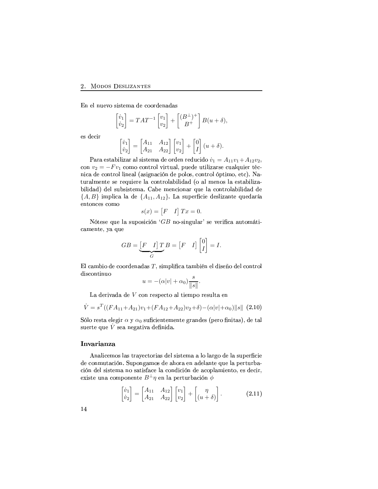#### 2. MODOS DESLIZANTES

En el nuevo sistema de coordenadas

$$
\begin{bmatrix} \dot{v}_1 \\ \dot{v}_2 \end{bmatrix} = TAT^{-1} \begin{bmatrix} v_1 \\ v_2 \end{bmatrix} + \begin{bmatrix} (B^\perp)^+ \\ B^+ \end{bmatrix} B(u+\delta),
$$

es decir

$$
\begin{bmatrix} \dot{v}_1 \\ \dot{v}_2 \end{bmatrix} = \begin{bmatrix} A_{11} & A_{12} \\ A_{21} & A_{22} \end{bmatrix} \begin{bmatrix} v_1 \\ v_2 \end{bmatrix} + \begin{bmatrix} 0 \\ I \end{bmatrix} (u + \delta).
$$

Para estabilizar al sistema de orden reducido  $\dot{v}_1 = A_{11}v_1 + A_{12}v_2$ , con  $v_2 = -Fv_1$  como control virtual, puede utilizarse cualquier técnica de control lineal (asignación de polos, control óptimo, etc). Naturalmente se requiere la controlabilidad (o al menos la estabilizabilidad) del subsistema. Cabe mencionar que la controlabilidad de  $\{A, B\}$  implica la de  $\{A_{11}, A_{12}\}$ . La superficie deslizante quedaría entonces como

$$
s(x) = \begin{bmatrix} F & I \end{bmatrix} Tx = 0
$$

Nótese que la suposición 'GB no-singular' se verifica automáticamente, ya que

$$
GB = \underbrace{[F \quad I] \, T \, B}_{G} = [F \quad I] \begin{bmatrix} 0 \\ I \end{bmatrix} = I.
$$

El cambio de coordenadas  $T$ , simplifica también el diseño del control discontinuo

$$
u = -(\alpha|v| + \alpha_0) \frac{s}{\|s\|}.
$$

La derivada de V con respecto al tiempo resulta en

$$
\dot{V} = s^T((FA_{11} + A_{21})v_1 + (FA_{12} + A_{22})v_2 + \delta) - (\alpha|v| + \alpha_0) \|s\| \tag{2.10}
$$

Sólo resta elegir  $\alpha$  y  $\alpha_0$  suficientemente grandes (pero finitas), de tal suerte que  $\dot{V}$  sea negativa definida.

### Invarianza

Analicemos las trayectorias del sistema a lo largo de la superficie de conmutación. Supongamos de ahora en adelante que la perturbación del sistema no satisface la condición de acoplamiento, es decir, existe una componente  $B^{\perp}\eta$  en la perturbación  $\phi$ 

$$
\begin{bmatrix} \dot{v}_1 \\ \dot{v}_2 \end{bmatrix} = \begin{bmatrix} A_{11} & A_{12} \\ A_{21} & A_{22} \end{bmatrix} \begin{bmatrix} v_1 \\ v_2 \end{bmatrix} + \begin{bmatrix} \eta \\ (u+\delta) \end{bmatrix}.
$$
 (2.11)

14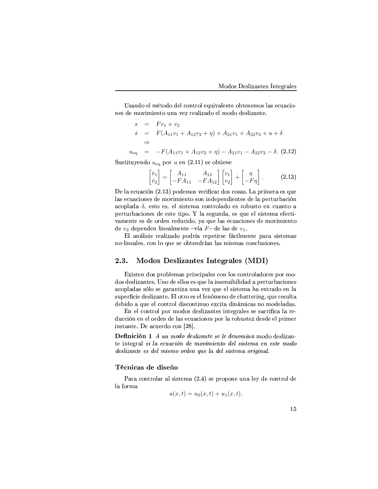Usando el método del control equivalente obtenemos las ecuaciones de movimiento una vez realizado el modo deslizante.

$$
s = Fv_1 + v_2
$$
  
\n
$$
\dot{s} = F(A_{11}v_1 + A_{12}v_2 + \eta) + A_{21}v_1 + A_{22}v_2 + u + \delta
$$
  
\n
$$
\Rightarrow
$$
  
\n
$$
u_{eq} = -F(A_{11}v_1 + A_{12}v_2 + \eta) - A_{21}v_1 - A_{22}v_2 - \delta.
$$
 (2.12)

Sustituyendo  $u_{eq}$  por u en (2.11) se obtiene

$$
\begin{bmatrix} \dot{v}_1 \\ \dot{v}_2 \end{bmatrix} = \begin{bmatrix} A_{11} & A_{12} \\ -FA_{11} & -FA_{12} \end{bmatrix} \begin{bmatrix} v_1 \\ v_2 \end{bmatrix} + \begin{bmatrix} \eta \\ -F\eta \end{bmatrix}.
$$
 (2.13)

De la ecuación (2.13) podemos verificar dos cosas. La primera es que las ecuaciones de movimiento son independientes de la perturbación acoplada  $\delta$ , esto es, el sistema controlado es robusto en cuanto a perturbaciones de este tipo. Y la segunda, es que el sistema efectivamente es de orden reducido, ya que las ecuaciones de movimiento de  $v_2$  dependen linealmente -vía F- de las de  $v_1$ .

El análisis realizado podría repetirse fácilmente para sistemas no-lineales, con lo que se obtendrían las mismas conclusiones.

#### 2.3. Modos Deslizantes Integrales (MDI)

Existen dos problemas principales con los controladores por modos deslizantes. Uno de ellos es que la insensibilidad a perturbaciones acopladas sólo se garantiza una vez que el sistema ha entrado en la superficie deslizante. El otro es el fenómeno de chattering, que resulta debido a que el control discontinuo excita dinámicas no modeladas.

En el control por modos deslizantes integrales se sacrifica la reducción en el orden de las ecuaciones por la robustez desde el primer instante. De acuerdo con [28],

Definición 1 A un modo deslizante se le denomina modo deslizante integral si la ecuación de movimiento del sistema en este modo deslizante es del mismo orden que la del sistema original.

#### Técnicas de diseño

Para controlar al sistema (2.4) se propone una ley de control de la forma

$$
u(x,t) = u_0(x,t) + u_1(x,t).
$$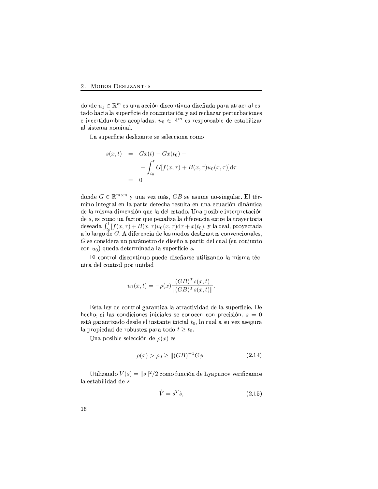donde  $u_1 \in \mathbb{R}^m$  es una acción discontinua diseñada para atraer al estado hacia la superficie de conmutación y así rechazar perturbaciones e incertidumbres acopladas.  $u_0 \in \mathbb{R}^m$  es responsable de estabilizar al sistema nominal.

La superficie deslizante se selecciona como

$$
s(x,t) = Gx(t) - Gx(t_0) -
$$

$$
- \int_{t_0}^t G[f(x,\tau) + B(x,\tau)u_0(x,\tau)]d\tau
$$

$$
= 0
$$

donde  $G \in \mathbb{R}^{m \times n}$  y una vez más, GB se asume no-singular. El término integral en la parte derecha resulta en una ecuación dinámica de la misma dimensión que la del estado. Una posible interpretación de  $s$ , es como un factor que penaliza la diferencia entre la trayectoria deseada  $\int_{t_0}^t [f(x,\tau)+B(x,\tau)u_0(x,\tau)d\tau+x(t_0),y]$ la real, proyectada a lo largo de G. A diferencia de los modos deslizantes convencionales,  $G$  se considera un parámetro de diseño a partir del cual (en conjunto con  $u_0$ ) queda determinada la superficie s.

El control discontinuo puede diseñarse utilizando la misma técnica del control por unidad

$$
u_1(x,t) = -\rho(x) \frac{(GB)^T s(x,t)}{\|(GB)^T s(x,t)\|}
$$

Esta ley de control garantiza la atractividad de la superficie. De hecho, si las condiciones iniciales se conocen con precisión,  $s = 0$ está garantizado desde el instante inicial  $t_0$ , lo cual a su vez asegura la propiedad de robustez para todo  $t \geq t_0$ .

Una posible selección de  $\rho(x)$  es

$$
\rho(x) > \rho_0 \ge ||(GB)^{-1}G\phi|| \tag{2.14}
$$

Utilizando  $V(s) = ||s||^2/2$  como función de Lyapunov verificamos la estabilidad de $\boldsymbol{s}$ 

$$
\dot{V} = s^T \dot{s},\tag{2.15}
$$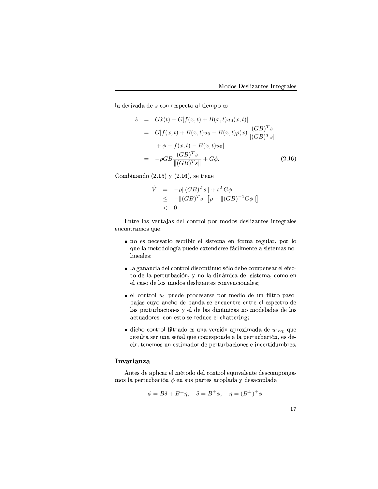la derivada de  $s$  con respecto al tiempo es

$$
\dot{s} = G\dot{x}(t) - G[f(x, t) + B(x, t)u_0(x, t)]
$$
\n
$$
= G[f(x, t) + B(x, t)u_0 - B(x, t)\rho(x)\frac{(GB)^T s}{||(GB)^T s||}
$$
\n
$$
+ \phi - f(x, t) - B(x, t)u_0]
$$
\n
$$
= -\rho GB \frac{(GB)^T s}{||(GB)^T s||} + G\phi.
$$
\n(2.16)

Combinando  $(2.15)$  y  $(2.16)$ , se tiene

$$
\dot{V} = -\rho ||(GB)^{T} s|| + s^{T} G \phi
$$
  
\n
$$
\leq - ||(GB)^{T} s|| [\rho - ||(GB)^{-1} G \phi ||]
$$
  
\n
$$
< 0
$$

 $\mathbf r$  the contractor extending the contractor of the contractors of the contractors of the contractors of the contractors of the contractors of the contractors of the contractors of the contractors of the contractors of

- no es necesario escribir el sistema en forma regular, por lo que la metodología puede extenderse fácilmente a sistemas nolineales:
- la ganancia del control discontinuo sólo debe compensar el efecto de la perturbación, y no la dinámica del sistema, como en el caso de los modos deslizantes convencionales;
- el control  $u_1$  puede procesarse por medio de un filtro pasob<F&ufFPLH8c
BFKdH(B O1RkbdF]K<O(F PfRkRSKdHc(RSK\$C\*Y+R-RSK\$C\*Y+R-RSTRSP\*h!RSHsC+Y\*BO1R TFPNh!R8Y\*C\*c(Y+bdFIHD?BK(R0P RSTO1RT?FIPMO1DUK<]jD?HSFPNK(BgjB"O(R8TFO(FIPNO(R-T?BIP actuadores, con esto se reduce el chattering;
- $\blacksquare$  dicho control filtrado es una versión aproximada de  $u_{1\text{eq}}$ , que resulta ser una señal que corresponde a la perturbación, es decir, tenemos un estimador de perturbaciones e incertidumbres.

### Invarianza

Antes de aplicar el método del control equivalente descompongamos la perturbación  $\phi$  en sus partes acoplada y desacoplada

$$
\phi = B\delta + B^{\perp}\eta, \quad \delta = B^{+}\phi, \quad \eta = (B^{\perp})^{+}\phi.
$$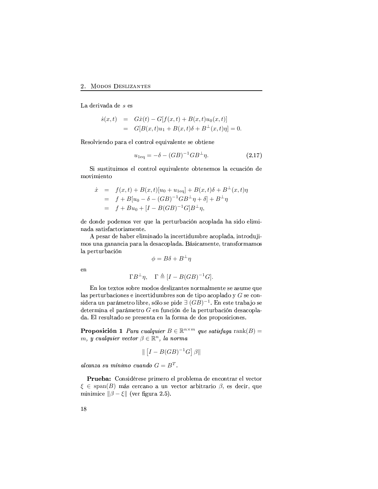La derivada de s es

$$
\dot{s}(x,t) = G\dot{x}(t) - G[f(x,t) + B(x,t)u_0(x,t)]
$$
  
= 
$$
G[B(x,t)u_1 + B(x,t)\delta + B^{\perp}(x,t)\eta] = 0
$$

Resolviendo para el control equivalente se obtiene

$$
u_{1\text{eq}} = -\delta - (GB)^{-1}GB^{\perp}\eta. \tag{2.17}
$$

Si sustituimos el control equivalente obtenemos la ecuación de movimiento

$$
\dot{x} = f(x,t) + B(x,t)[u_0 + u_{1\text{eq}}] + B(x,t)\delta + B^{\perp}(x,t)\eta
$$
  
=  $f + B[u_0 - \delta - (GB)^{-1}GB^{\perp}\eta + \delta] + B^{\perp}\eta$   
=  $f + Bu_0 + [I - B(GB)^{-1}G]B^{\perp}\eta$ ,

de donde podemos ver que la perturbación acoplada ha sido eliminada satisfactoriamente.

A pesar de haber eliminado la incertidumbre acoplada, introdujimos una ganancia para la desacoplada. Básicamente, transformamos la perturbación

$$
\phi = B\delta + B^{\perp}\eta
$$

 $en$ 

$$
\Gamma B^{\perp}\eta, \quad \Gamma \triangleq [I - B(GB)^{-1}G].
$$

En los textos sobre modos deslizantes normalmente se asume que las perturbaciones e incertidumbres son de tipo acoplado y  $G$  se considera un parámetro libre, sólo se pide  $\exists$   $(GB)^{-1}$ . En este trabajo se determina el parámetro  $G$  en función de la perturbación desacoplada. El resultado se presenta en la forma de dos proposiciones.

**Proposición 1** Para cualquier  $B \in \mathbb{R}^{n \times m}$  que satisfaga rank $(B)$  = m, y cualquier vector  $\beta \in \mathbb{R}^n$ , la norma

$$
\| [I - B(GB)^{-1}G] \beta \|
$$

alcanza su mínimo cuando  $G = B<sup>T</sup>$ .

Prueba: Considérese primero el problema de encontrar el vector  $\xi \in \text{span}(B)$  más cercano a un vector arbitrario  $\beta$ , es decir, que minimice  $\|\beta - \xi\|$  (ver figura 2.5).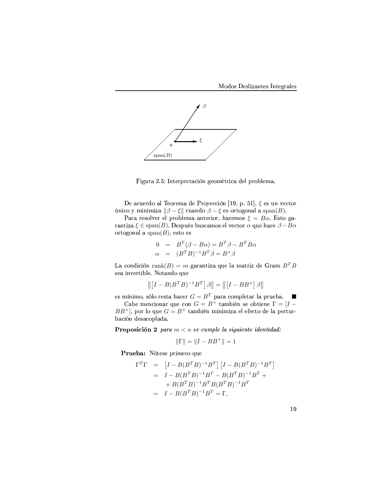

D?lc(Y\F-`(> p- K\$C\*R8Y+h(Y+RC\FHD?JK lRSBjC+Y\*DH8F-O1R8Th(Y\*BIb(T?R8jkF(>

De acuerdo al Teorema de Proyección [19, p. 51],  $\xi$  es un vector único y minimiza  $\|\beta - \xi\|$  cuando  $\beta - \xi$  es ortogonal a span(*B*).

Para resolver el problema anterior, hacemos  $\xi = B\alpha$ . Esto ga- $\text{rantiza } \xi \in \text{span}(B)$ . Después buscamos el vector  $\alpha$  que hace  $\beta - B\alpha$ ortogonal a span $(B)$ , esto es

$$
0 = BT(\beta - B\alpha) = BT\beta - BTB\alpha
$$
  
\n
$$
\alpha = (BTB)-1BT\beta = B+\beta
$$

La condición rank $(B) = m$  garantiza que la matriz de Gram  $B^T B$ P\*RSF-DUK"EIR8Y\*C\*D?b(TURI> =B]C\F]KdO(B \$c(R

$$
\left\| \left[I - B(B^T B)^{-1} B^T\right] \beta \right\| = \left\| \left[I - BB^+ \right] \beta \right\|
$$

es mínimo, sólo resta hacer  $G = B^T$  para completar la prueba.

Cabe mencionar que con  $G = B^+$  también se obtiene  $\Gamma = [I BB^+]$ , por lo que  $G = B^+$  también minimiza el efecto de la perturbación desacoplada.

**Proposición 2** para  $m < n$  se cumple la siguiente identidad:

$$
\|\Gamma\| = \|I - BB^+\| = 1
$$

 $\blacksquare$  and  $\blacksquare$  are the contract of  $\blacksquare$ 

$$
\Gamma^T \Gamma = [I - B(B^T B)^{-1} B^T] [I - B(B^T B)^{-1} B^T]
$$
  
=  $I - B(B^T B)^{-1} B^T - B(B^T B)^{-1} B^T +$   
+  $B(B^T B)^{-1} B^T B (B^T B)^{-1} B^T$   
=  $I - B(B^T B)^{-1} B^T = \Gamma$ ,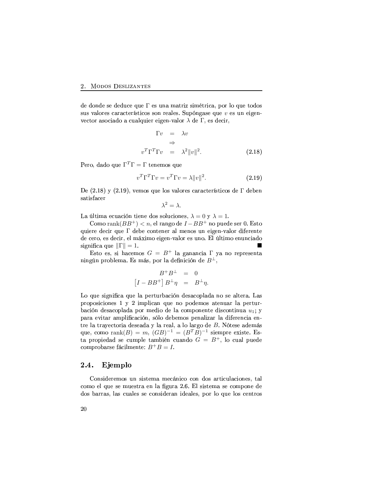de donde se deduce que  $\Gamma$  es una matriz simétrica, por lo que todos sus valores característicos son reales. Supóngase que  $v$  es un eigenvector asociado a cualquier eigen-valor  $\lambda$  de  $\Gamma,$  es decir,

$$
\begin{aligned}\n\Gamma v &= \lambda v \\
&\Rightarrow \\
v^T \Gamma^T \Gamma v &= \lambda^2 ||v||^2. \n\end{aligned} \n(2.18)
$$

Pero, dado que  $\Gamma^T\Gamma=\Gamma$  tenemos que

$$
v^T \Gamma^T \Gamma v = v^T \Gamma v = \lambda ||v||^2. \tag{2.19}
$$

De  $(2.18)$  y  $(2.19)$ , vemos que los valores característicos de  $\Gamma$  deben satisfacer

$$
\lambda^2=\lambda.
$$

La última ecuación tiene dos soluciones,  $\lambda = 0$  y  $\lambda = 1$ .

Como  $\mathrm{rank}(BB^+) < n$ , el rango de  $I-BB^+$  no puede ser 0. Esto quiere decir que  $\Gamma$  debe contener al menos un eigen-valor diferente O1RMHRSY\*B IR0PiO1R0HD?Y "RST!jk"D?jB RSDUlIR8KE&F]T?BYrR0PrcdK(Bd>"qT-(TUC\*D?jB RSK"c(KdHDFO(B significa que  $\|\Gamma\|=1.$  $\blacksquare$ 

Esto es, si hacemos  $G = B^+$  la ganancia  $\Gamma$  ya no representa ningún problema. Es más, por la definición de  $B^\perp,$ 

$$
\begin{array}{rcl} B^+B^\perp &=& 0 \\ \left[I-BB^+\right]B^\perp\eta &=& B^\perp\eta. \end{array}
$$

Lo que significa que la perturbación desacoplada no se altera. Las here here the second state  $\mathbf{R}$  is the second state of the second state  $\mathbf{R}$ bación desacoplada por medio de la componente discontinua  $u_1;$  y para evitar amplificación, sólo debemos penalizar la diferencia entre la trayectoria deseada y la real, a lo largo de  $B$ . Nótese además que, como  $\text{rank}(B) = m$ ,  $(GB)^{-1} = (B^T B)^{-1}$  siempre existe. Esta propiedad se cumple también cuando  $G = B^+$ , lo cual puede comprobarse fácilmente:  $B^+B = I$ .

#### <sup>T</sup> - -

Consideremos un sistema mecánico con dos articulaciones, tal  $\mathbf{r} = \mathbf{r} \mathbf{r}$ O1B\$PbdFY\*Y\FP T?FIP H8cdF]T?RSP PfR H8BKdP\*DO1R8Y\F]K DO1RSFTUR0Ph<BIY T?B \$c(R T?BIP H8R8K\$C\*Y+BIP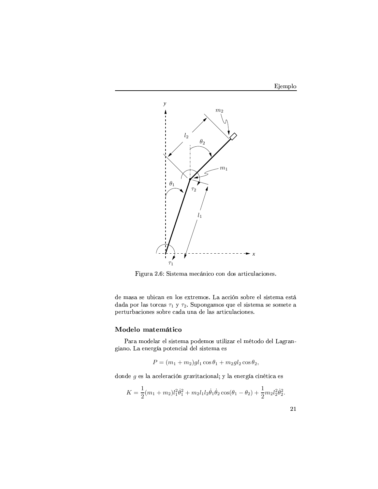



Figura 2.6: Sistema mecánico con dos articulaciones.

de masa se ubican en los extremos. La acción sobre el sistema está dada por las torcas  $\tau_1$ y  $\tau_2.$  Supongamos que el sistema se somete a perturbaciones sobre cada una de las articulaciones.

### Modelo matemático

Para modelar el sistema podemos utilizar el método del Lagrangiano. La energía potencial del sistema es

$$
P = (m_1 + m_2)gl_1 \cos \theta_1 + m_2gl_2 \cos \theta_2,
$$

donde  $g$ es la aceleración gravitacional; y la energía cinética es

$$
K = \frac{1}{2}(m_1 + m_2)l_1^2\dot{\theta}_1^2 + m_2l_1l_2\dot{\theta}_1\dot{\theta}_2\cos(\theta_1 - \theta_2) + \frac{1}{2}m_2l_2^2\dot{\theta}_2^2.
$$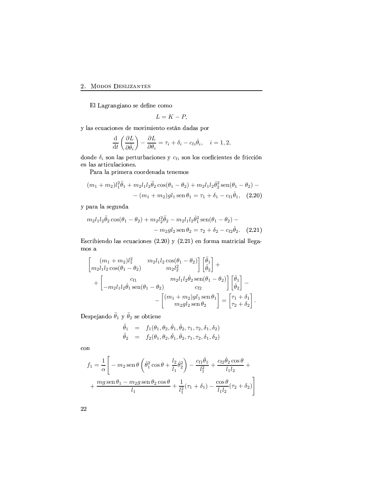#### $\sim$   $\sim$   $\sim$   $\sim$

El Lagrangiano se define como

$$
L=K-P,
$$

TFPmR0HcdFIHD?BK(R0PQO1RMj-B&E"D?jDURSKIC+BRSPfC+]K O(FIO(FPmh!BY

$$
\frac{\mathrm{d}}{\mathrm{d}t}\left(\frac{\partial L}{\partial \dot{\theta}_i}\right) - \frac{\partial L}{\partial \theta_i} = \tau_i + \delta_i - c_{fi}\dot{\theta}_i, \quad i = 1, 2,
$$

donde $\delta_i$ son las perturbaciones y $c_{\mathrm{f}i}$ son los coeficientes de fricción en las articulaciones.

 $\blacksquare$  is the state of  $\blacksquare$ 

$$
(m_1 + m_2)l_1^2 \ddot{\theta}_1 + m_2 l_1 l_2 \ddot{\theta}_2 \cos(\theta_1 - \theta_2) + m_2 l_1 l_2 \dot{\theta}_2^2 \sin(\theta_1 - \theta_2) - - (m_1 + m_2)gl_1 \sin \theta_1 = \tau_1 + \delta_1 - c_{f1} \dot{\theta}_1, (2.20)
$$

hodie in the following the state of the following the state of the state of the state of the state of the state of the state of the state of the state of the state of the state of the state of the state of the state of the

$$
m_2 l_1 l_2 \ddot{\theta}_2 \cos(\theta_1 - \theta_2) + m_2 l_2^2 \ddot{\theta}_2 - m_2 l_1 l_2 \dot{\theta}_1^2 \sin(\theta_1 - \theta_2) -
$$

$$
- m_2 g l_2 \sin \theta_2 = \tau_2 + \delta_2 - c_{f2} \dot{\theta}_2. \quad (2.21)
$$

Escribiendo las ecuaciones (2.20) y (2.21) en forma matricial llega- $\max$ a

$$
\begin{bmatrix}\n(m_1 + m_2)l_1^2 & m_2l_1l_2 \cos(\theta_1 - \theta_2) \\
m_2l_1l_2 \cos(\theta_1 - \theta_2) & m_2l_2^2\n\end{bmatrix} \begin{bmatrix} \ddot{\theta}_1 \\ \ddot{\theta}_2 \end{bmatrix} + \begin{bmatrix} \\
-m_2l_1l_2\dot{\theta}_1 \sin(\theta_1 - \theta_2) \\
-m_2l_1l_2\dot{\theta}_1 \sin(\theta_1 - \theta_2)\n\end{bmatrix} \begin{bmatrix} \dot{\theta}_1 \\ \dot{\theta}_2 \end{bmatrix} - \begin{bmatrix} (m_1 + m_2)gl_1 \sin \theta_1 \\ m_2gl_2 \sin \theta_2 \end{bmatrix} = \begin{bmatrix} \tau_1 + \delta_1 \\ \tau_2 + \delta_2 \end{bmatrix}.
$$

Despejando  $\ddot{\theta}_1$  y  $\ddot{\theta}_2$  se obtiene

$$
\ddot{\theta}_1 = f_1(\theta_1, \theta_2, \dot{\theta}_1, \dot{\theta}_2, \tau_1, \tau_2, \delta_1, \delta_2) \n\ddot{\theta}_2 = f_2(\theta_1, \theta_2, \dot{\theta}_1, \dot{\theta}_2, \tau_1, \tau_2, \delta_1, \delta_2)
$$

con

$$
f_1 = \frac{1}{\alpha} \left[ -m_2 \operatorname{sen} \theta \left( \dot{\theta}_1^2 \cos \theta + \frac{l_2}{l_1} \dot{\theta}_2^2 \right) - \frac{c_{f1} \dot{\theta}_1}{l_1^2} + \frac{c_{f2} \dot{\theta}_2 \cos \theta}{l_1 l_2} + \frac{m g \operatorname{sen} \theta_1 - m_2 g \operatorname{sen} \theta_2 \cos \theta}{l_1} + \frac{1}{l_1^2} (\tau_1 + \delta_1) - \frac{\cos \theta}{l_1 l_2} (\tau_2 + \delta_2) \right]
$$

 $22\,$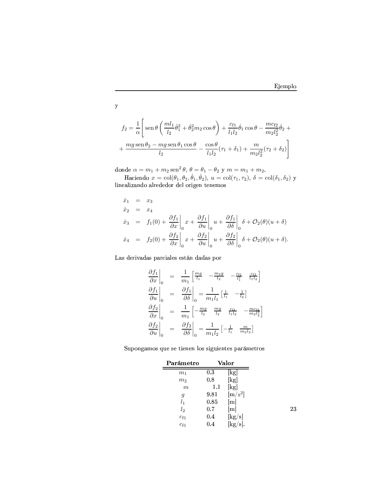$23\,$ 

$$
f_2 = \frac{1}{\alpha} \left[ \text{sen}\,\theta \left( \frac{ml_1}{l_2} \dot{\theta}_1^2 + \dot{\theta}_2^2 m_2 \cos \theta \right) + \frac{c_{f1}}{l_1 l_2} \dot{\theta}_1 \cos \theta - \frac{mc_{f2}}{m_2 l_2^2} \dot{\theta}_2 + \frac{mg \sin \theta_2 - mg \sin \theta_1 \cos \theta}{l_2} - \frac{\cos \theta}{l_1 l_2} (\tau_1 + \delta_1) + \frac{m}{m_2 l_2^2} (\tau_2 + \delta_2) \right]
$$

donde  $\alpha = m_1 + m_2 \operatorname{sen}^2 \theta$ ,  $\theta = \theta_1 - \theta_2$  y  $m = m_1 + m_2$ .

Haciendo  $x = col(\theta_1, \theta_2, \dot{\theta}_1, \dot{\theta}_2), u = col(\tau_1, \tau_2), \delta = col(\delta_1, \delta_2)$  y

$$
\dot{x}_1 = x_3
$$
\n
$$
\dot{x}_2 = x_4
$$
\n
$$
\dot{x}_3 = f_1(0) + \frac{\partial f_1}{\partial x}\Big|_0 x + \frac{\partial f_1}{\partial u}\Big|_0 u + \frac{\partial f_1}{\partial \delta}\Big|_0 \delta + \mathcal{O}_2(\theta)(u + \delta)
$$
\n
$$
\dot{x}_4 = f_2(0) + \frac{\partial f_2}{\partial x}\Big|_0 x + \frac{\partial f_2}{\partial u}\Big|_0 u + \frac{\partial f_2}{\partial \delta}\Big|_0 \delta + \mathcal{O}_2(\theta)(u + \delta).
$$

Las derivadas parciales están dadas por

$$
\begin{aligned}\n\frac{\partial f_1}{\partial x}\Big|_0 &= \frac{1}{m_1} \Big[ \frac{mg}{l_1} - \frac{m_2g}{l_2} - \frac{c_{f1}}{l_1^2} - \frac{c_{f2}}{l_1l_2} \Big] \\
\frac{\partial f_1}{\partial u}\Big|_0 &= \frac{\partial f_1}{\partial \delta}\Big|_0 = \frac{1}{m_1 l_1} \Big[ \frac{1}{l_1} - \frac{1}{l_2} \Big] \\
\frac{\partial f_2}{\partial x}\Big|_0 &= \frac{1}{m_1} \Big[ -\frac{mg}{l_2} - \frac{mg}{l_2} - \frac{c_{f1}}{l_1l_2} - \frac{mc_{f2}}{m_2l_2^2} \Big] \\
\frac{\partial f_2}{\partial u}\Big|_0 &= \frac{\partial f_2}{\partial \delta}\Big|_0 = \frac{1}{m_1 l_2} \Big[ -\frac{1}{l_1} - \frac{m}{m_2 l_2} \Big]\n\end{aligned}
$$

Supongamos que se tienen los siguientes parámetros

| Parámetro        |           | Valor                                 |
|------------------|-----------|---------------------------------------|
| m <sub>1</sub>   | 0.3       | $\lg$                                 |
| $m_2$            | 0.8       | [kg]                                  |
| $\boldsymbol{m}$ | $1.1\,$   | [kg]                                  |
| g                | 9.81      | $\rm [m/s^2]$                         |
| l <sub>1</sub>   | 0.85      | $\lceil m \rceil$                     |
| $l_2$            | 0.7       | $\lceil m \rceil$                     |
| $c_{f1}$         | $\rm 0.4$ | $\left[\mathrm{kg}/\mathrm{s}\right]$ |
| $c_{f1}$         | 0.4       | $[\mathrm{kg}/\mathrm{s}].$           |

 $\mathbf{y}$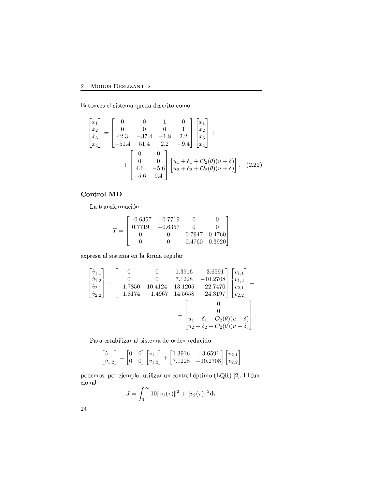### 2. MODOS DESLIZANTES

Entonces el sistema queda descrito como

$$
\begin{bmatrix} \dot{x}_1 \\ \dot{x}_2 \\ \dot{x}_3 \\ \dot{x}_4 \end{bmatrix} = \begin{bmatrix} 0 & 0 & 1 & 0 \\ 0 & 0 & 0 & 1 \\ 42.3 & -37.4 & -1.8 & 2.2 \\ -51.4 & 51.4 & 2.2 & -9.4 \end{bmatrix} \begin{bmatrix} x_1 \\ x_2 \\ x_3 \\ x_4 \end{bmatrix} + \begin{bmatrix} 0 & 0 \\ 0 & 0 \\ 4.6 & -5.6 \\ -5.6 & 9.4 \end{bmatrix} \begin{bmatrix} u_1 + \delta_1 + \mathcal{O}_2(\theta)(u + \delta) \\ u_2 + \delta_2 + \mathcal{O}_2(\theta)(u + \delta) \end{bmatrix}.
$$
 (2.22)

### Control MD

La transformación

$$
T = \begin{bmatrix} -0.6357 & -0.7719 & 0 & 0\\ 0.7719 & -0.6357 & 0 & 0\\ 0 & 0 & 0.7947 & 0.4760\\ 0 & 0 & 0.4760 & 0.3920 \end{bmatrix}
$$

expresa al sistema en la forma regular

$$
\begin{bmatrix} \dot{v}_{1,1} \\ \dot{v}_{1,2} \\ \dot{v}_{2,1} \\ \dot{v}_{2,2} \end{bmatrix} = \begin{bmatrix} 0 & 0 & 1.3916 & -3.6591 \\ 0 & 0 & 7.1228 & -10.2708 \\ -1.7850 & 10.4124 & 13.1205 & -22.7470 \\ -1.8174 & -1.4967 & 14.5658 & -24.3197 \end{bmatrix} \begin{bmatrix} v_{1,1} \\ v_{1,2} \\ v_{2,1} \\ v_{2,2} \end{bmatrix} + \begin{bmatrix} 0 \\ u_1 + \delta_1 + \mathcal{O}_2(\theta)(u + \delta) \\ u_2 + \delta_2 + \mathcal{O}_2(\theta)(u + \delta) \end{bmatrix}.
$$

Para estabilizar al sistema de orden reducido

$$
\begin{bmatrix} \dot{v}_{1,1} \\ \dot{v}_{1,2} \end{bmatrix} = \begin{bmatrix} 0 & 0 \\ 0 & 0 \end{bmatrix} \begin{bmatrix} v_{1,1} \\ v_{1,2} \end{bmatrix} + \begin{bmatrix} 1.3916 & -3.6591 \\ 7.1228 & -10.2708 \end{bmatrix} \begin{bmatrix} v_{2,1} \\ v_{2,2} \end{bmatrix}
$$

podemos, por ejemplo, utilizar un control óptimo (LQR) [2]. El funcional

$$
J = \int_0^\infty 10||v_1(\tau)||^2 + ||v_2(\tau)||^2 d\tau
$$

24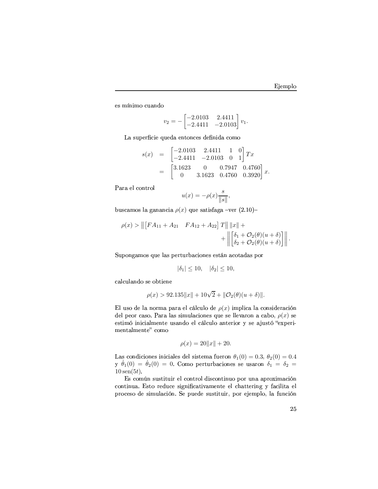es mínimo cuando

$$
v_2 = -\begin{bmatrix} -2.0103 & 2.4411 \\ -2.4411 & -2.0103 \end{bmatrix} v_1.
$$

La superficie queda entonces definida como

$$
s(x) = \begin{bmatrix} -2.0103 & 2.4411 & 1 & 0 \ -2.4411 & -2.0103 & 0 & 1 \end{bmatrix} Tx
$$

$$
= \begin{bmatrix} 3.1623 & 0 & 0.7947 & 0.4760 \ 0 & 3.1623 & 0.4760 & 0.3920 \end{bmatrix} x
$$

Para el control

$$
u(x)=-\rho(x)\frac{s}{\|s\|},
$$

buscamos la ganancia  $\rho(x)$  que satisfaga -ver (2.10)-

$$
\rho(x) > \| [FA_{11} + A_{21} \quad FA_{12} + A_{22}] \, T \| \, \|x\| + \\ + \| \Big[ \delta_1 + \mathcal{O}_2(\theta)(u+\delta) \Big] \| \, .
$$

Supongamos que las perturbaciones están acotadas por

$$
|\delta_1| \le 10, \quad |\delta_2| \le 10,
$$

calculando se obtiene

$$
\rho(x) > 92.135||x|| + 10\sqrt{2} + ||\mathcal{O}_2(\theta)(u+\delta)||.
$$

El uso de la norma para el cálculo de  $\rho(x)$  implica la consideración del peor caso. Para las simulaciones que se llevaron a cabo,  $\rho(x)$  se estimó inicialmente usando el cálculo anterior y se ajustó "experimentalmente" como

$$
\rho(x) = 20||x|| + 20.
$$

Las condiciones iniciales del sistema fueron  $\theta_1(0) = 0.3$ ,  $\theta_2(0) = 0.4$ y  $\dot{\theta}_1(0) = \dot{\theta}_2(0) = 0$ . Como perturbaciones se usaron  $\delta_1 = \delta_2 =$  $10\,\text{sen}(5t)$ .

Es común sustituir el control discontinuo por una aproximación continua. Esto reduce significativamente el chattering y facilita el proceso de simulación. Se puede sustituir, por ejemplo, la función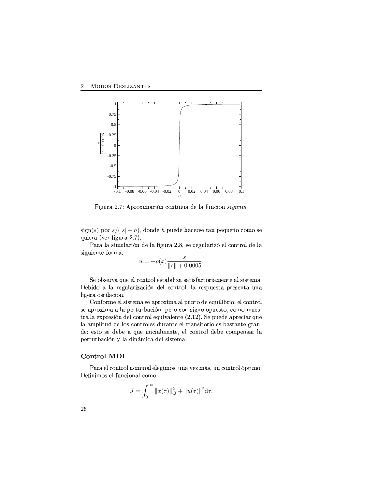

Figura 2.7: Aproximación continua de la función signum.

 $\operatorname{sign}(s)$  por  $s/(|s| + h)$ , donde  $h$  puede hacerse tan pequeño como se quiera (ver figura  $2.7$ ).

F]Y\F TFkP\*DUjc(T?FIHD?JKO1RLTFdlcdY+Fk`1> , <PfRLY+R8lIc(T?FY\*D?V8J-R8THBK\$C+Y\*BIT9O1RLT?F P\*DUlIc(DURSK\$C\*R BY+jkF-

$$
u = -\rho(x) \frac{s}{\|s\| + 0.0005}.
$$

Se observa que el control estabiliza satisfactoriamente al sistema. Debido a la regularización del control, la respuesta presenta una ligera oscilación.

Conforme el sistema se aproxima al punto de equilibrio, el control P\*RF]h(Y+B1DUjkF-<sup>F</sup> TFh!R8Y\*C\*c(Y+bdFH8DUJIK 1h!R8Y+BH8BKP\*DUlIK(BBh(c(R0PvC+B dH8BjBjc(R0P  $\sim$  1. Ref. 1. Ref. 2. Ref. 2. And 2. Ref. 2. Ref. 2. Ref. 2. Ref. 2. Ref. 2. Ref. 2. Ref. 2. Ref. 2. Ref. 2. Ref. 2. Ref. 2. Ref. 2. Ref. 2. Ref. 2. Ref. 2. Ref. 2. Ref. 2. Ref. 2. Ref. 2. Ref. 2. Ref. 2. Ref. 2. Ref. 2 TF-Fjh(TUDUC\*c<O O1RMT?BIPQH8BK\$C\*Y+BT?RSP O1c(Y\F]K\$C\*RNR8T7C+Y+FKdP\*DC+BY+DUB-RSP bdFIPvC\F]K\$C\*RMlY\F]K O1R RSPfC\*B PfR O1R8b!RF IcdR D?K(DHDF]T?j-RSK\$C\*R RST HBIKIC+Y\*BIT O(R8b!R H8Bjh!R8KdP+F]Y-T?F perturbación y la dinámica del sistema.

### Control MDI

Para el control nominal elegimos, una vez más, un control óptimo. ZRdK(D?jBIPmRST-c(KdH8DUBIKdF]T9H8BjB

$$
J = \int_0^\infty ||x(\tau)||_Q^2 + ||u(\tau)||^2 d\tau,
$$

**26**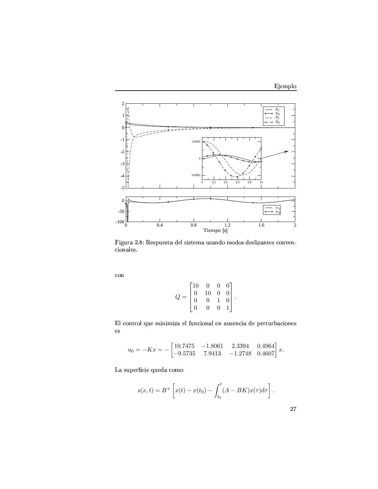

Figura 2.8: Respuesta del sistema usando modos deslizantes conven- $\rm cionales.$ 

 $\operatorname{con}$ 

$$
Q = \begin{bmatrix} 10 & 0 & 0 & 0 \\ 0 & 10 & 0 & 0 \\ 0 & 0 & 1 & 0 \\ 0 & 0 & 0 & 1 \end{bmatrix}
$$

El control que minimiza el funcional en ausencia de perturbaciones  $\mathop{\mathrm{es}}$ 

$$
u_0 = -Kx = -\begin{bmatrix} 10.7475 & -1.8061 & 2.3394 & 0.4964 \\ -9.5735 & 7.9413 & -1.2748 & 0.4607 \end{bmatrix} x.
$$

La superficie queda como

$$
s(x,t) = B^{+} \left[ x(t) - x(t_0) - \int_{t_0}^{t} (A - BK)x(\tau) d\tau \right].
$$

 $\sqrt{27}$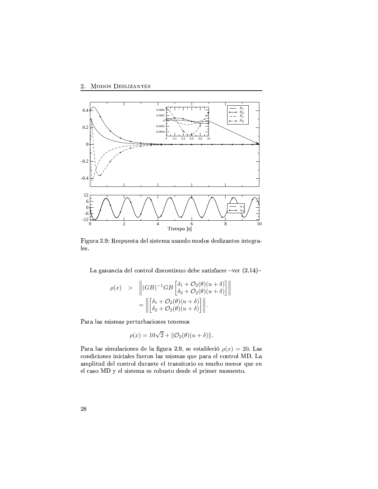

Figura 2.9: Respuesta del sistema usando modos deslizantes integrales.

La ganancia del control discontinuo debe satisfacer –ver  $(2.14)$ –

$$
\rho(x) > \left\| (GB)^{-1}GB\left[\begin{array}{l} \delta_1 + \mathcal{O}_2(\theta)(u+\delta) \\ \delta_2 + \mathcal{O}_2(\theta)(u+\delta) \end{array}\right] \right\|
$$

$$
= \left\| \begin{bmatrix} \delta_1 + \mathcal{O}_2(\theta)(u+\delta) \\ \delta_2 + \mathcal{O}_2(\theta)(u+\delta) \end{bmatrix} \right\|.
$$

Para las mismas perturbaciones tenemos

$$
\rho(x) = 10\sqrt{2} + ||\mathcal{O}_2(\theta)(u+\delta)||.
$$

Para las simulaciones de la figura 2.9, se estableció  $\rho(x) = 20$ . Las condiciones iniciales fueron las mismas que para el control MD. La amplitud del control durante el transitorio es mucho menor que en R8T9HSFP\*Bk@ Z RSTPfDPfC\*R8jkF-RSPmY+BbdcdPvC+BkO1RSP+O1RMR8T9hdY\*D?jR8YQjBjR8K\$C+Bd>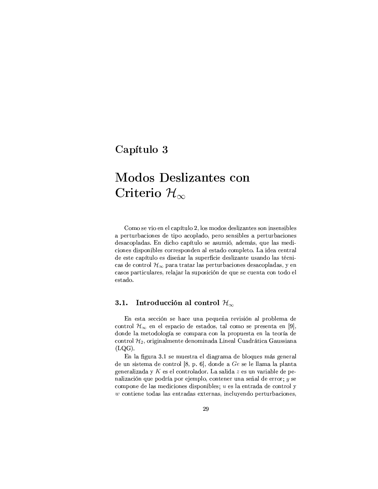## Capítulo 3

# **Modos Deslizantes con** Criterio  $\mathcal{H}_{\infty}$

Como se vio en el capítulo 2, los modos deslizantes son insensibles a perturbaciones de tipo acoplado, pero sensibles a perturbaciones desacopladas. En dicho capítulo se asumió, además, que las mediciones disponibles corresponden al estado completo. La idea central de este capítulo es diseñar la superficie deslizante usando las técnicas de control  $\mathcal{H}_{\infty}$  para tratar las perturbaciones desacopladas, y en casos particulares, relajar la suposición de que se cuenta con todo el estado.

#### $3.1.$ Introducción al control  $\mathcal{H}_{\infty}$

En esta sección se hace una pequeña revisión al problema de control  $\mathcal{H}_{\infty}$  en el espacio de estados, tal como se presenta en [9], donde la metodología se compara con la propuesta en la teoría de control  $\mathcal{H}_2$ , originalmente denominada Lineal Cuadrática Gaussiana  $(LQG).$ 

En la figura 3.1 se muestra el diagrama de bloques más general de un sistema de control [8, p. 6], donde a  $Ge$  se le llama la planta generalizada y  $K$  es el controlador. La salida  $z$  es un variable de penalización que podría por ejemplo, contener una señal de error;  $y$  se compone de las mediciones disponibles;  $u$  es la entrada de control y  $w$  contiene todas las entradas externas, incluyendo perturbaciones,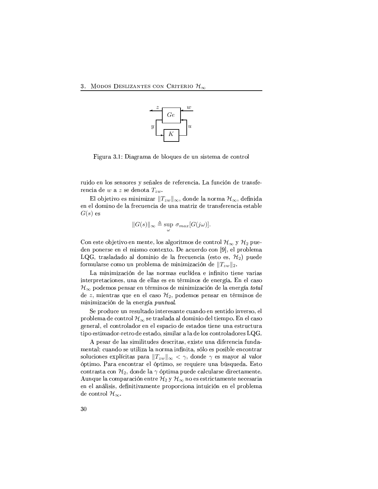

Figura 3.1: Diagrama de bloques de un sistema de control

ruido en los sensores y señales de referencia. La función de transferencia de  $w$  a  $z$  se denota  $T_{zw}$ .

El objetivo es minimizar  $||T_{zw}||_{\infty}$ , donde la norma  $\mathcal{H}_{\infty}$ , definida en el domino de la frecuencia de una matriz de transferencia estable  $G(s)$  es

$$
||G(s)||_{\infty} \triangleq \sup_{\omega} \sigma_{max}[G(j\omega)].
$$

Con este objetivo en mente, los algoritmos de control  $\mathcal{H}_{\infty}$  y  $\mathcal{H}_2$  pueden ponerse en el mismo contexto. De acuerdo con [9], el problema LQG, trasladado al dominio de la frecuencia (esto es,  $\mathcal{H}_2$ ) puede formularse como un problema de minimización de  $||T_{zw}||_2$ .

La minimización de las normas euclídea e infinito tiene varias interpretaciones, una de ellas es en términos de energía. En el caso  $\mathcal{H}_{\infty}$  podemos pensar en términos de minimización de la energía total de  $z$ , mientras que en el caso  $\mathcal{H}_2$ , podemos pensar en términos de minimización de la energía puntual.

Se produce un resultado interesante cuando en sentido inverso, el problema de control  $\mathcal{H}_{\infty}$  se traslada al dominio del tiempo. En el caso general, el controlador en el espacio de estados tiene una estructura tipo estimador-retro de estado, similar a la de los controladores LQG.

A pesar de las similitudes descritas, existe una diferencia fundamental: cuando se utiliza la norma infinita, sólo es posible encontrar soluciones explícitas para  $||T_{zw}||_{\infty} < \gamma$ , donde  $\gamma$  es mayor al valor óptimo. Para encontrar el óptimo, se requiere una búsqueda. Esto contrasta con  $\mathcal{H}_2$ , donde la  $\gamma$  óptima puede calcularse directamente. Aunque la comparación entre  $\mathcal{H}_2$  y  $\mathcal{H}_{\infty}$  no es estrictamente necesaria en el análisis, definitivamente proporciona intuición en el problema de control  $\mathcal{H}_{\infty}$ .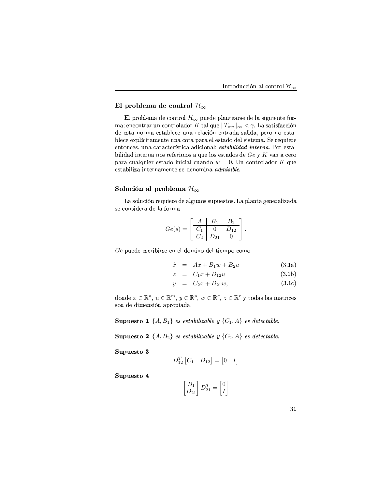# El problema de control  $\mathcal{H}_{\infty}$

El problema de control  $\mathcal{H}_{\infty}$  puede plantearse de la siguiente forma: encontrar un controlador  $K$ tal que  $||T_{zw}||_{\infty} < \gamma$ . La satisfacción de esta norma establece una relación entrada-salida, pero no establece explícitamente una cota para el estado del sistema. Se requiere entonces, una característica adicional: estabilidad interna. Por estabilidad interna nos referimos a que los estados de  $Ge$  y K van a cero para cualquier estado inicial cuando  $w = 0$ . Un controlador K que estabiliza internamente se denomina admisible.

# Solución al problema  $\mathcal{H}_{\infty}$

La solución requiere de algunos supuestos. La planta generalizada se considera de la forma

$$
Ge(s) = \begin{bmatrix} A & B_1 & B_2 \\ \hline C_1 & 0 & D_{12} \\ C_2 & D_{21} & 0 \end{bmatrix}.
$$

Ge puede escribirse en el domino del tiempo como

$$
\dot{x} = Ax + B_1 w + B_2 u \tag{3.1a}
$$

$$
z = C_1 x + D_{12} u \t\t(3.1b)
$$

$$
y = C_2 x + D_{21} w, \t\t(3.1c)
$$

donde  $x \in \mathbb{R}^n$ ,  $u \in \mathbb{R}^m$ ,  $y \in \mathbb{R}^p$ ,  $w \in \mathbb{R}^q$ ,  $z \in \mathbb{R}^r$  y todas las matrices son de dimensión apropiada.

**Supuesto 1**  $\{A, B_1\}$  es estabilizable y  $\{C_1, A\}$  es detectable.

**Supuesto 2**  $\{A, B_2\}$  es estabilizable y  $\{C_2, A\}$  es detectable.

Supuesto 3

$$
D_{12}^T \begin{bmatrix} C_1 & D_{12} \end{bmatrix} = \begin{bmatrix} 0 & I \end{bmatrix}
$$

Supuesto 4

$$
\begin{bmatrix} B_1 \\ D_{21} \end{bmatrix} D_{21}^T = \begin{bmatrix} 0 \\ I \end{bmatrix}
$$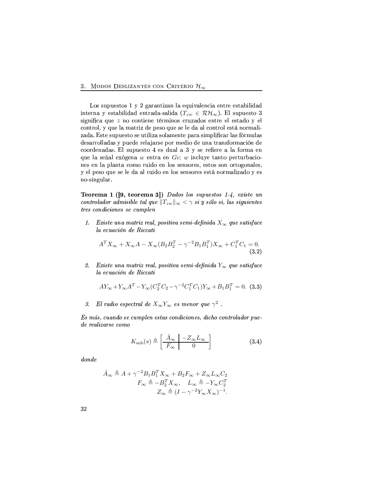Los supuestos 1 y 2 garantizan la equivalencia entre estabilidad interna y estabilidad entrada-salida ( $T_{zw} \in \mathcal{RH}_{\infty}$ ). El supuesto 3 significa que z no contiene términos cruzados entre el estado y el control, y que la matriz de peso que se le da al control está normalizada. Este supuesto se utiliza solamente para simplificar las fórmulas desarrolladas y puede relajarse por medio de una transformación de coordenadas. El supuesto 4 es dual a 3 y se refiere a la forma en que la señal exógena  $w$  entra en  $Ge$ :  $w$  incluye tanto perturbaciones en la planta como ruido en los sensores, estos son ortogonales, y el peso que se le da al ruido en los sensores está normalizado y es no-singular.

**Teorema 1** ([9, teorema 3]) Dados los supuestos 1-4, existe un controlador admisible tal que  $||T_{zw}||_{\infty} < \gamma$  si y sólo si, las siguientes tres condiciones se cumplen

1. Existe una matriz real, positiva semi-definida  $X_{\infty}$  que satisface la ecuación de Riccati

$$
A^T X_{\infty} + X_{\infty} A - X_{\infty} (B_2 B_2^T - \gamma^{-2} B_1 B_1^T) X_{\infty} + C_1^T C_1 = 0.
$$
\n(3.2)

Existe una matriz real, positiva semi-definida  $Y_{\infty}$  que satisface 2. la ecuación de Riccati

$$
AY_{\infty} + Y_{\infty}A^T - Y_{\infty}(C_2^T C_2 - \gamma^{-2}C_1^T C_1)Y_{\infty} + B_1B_1^T = 0.
$$
 (3.3)

El radio espectral de  $X_{\infty}Y_{\infty}$  es menor que  $\gamma^2$ . 3.

Es más, cuando se cumplen estas condiciones, dicho controlador puede realizarse como

$$
K_{\rm sub}(s) \triangleq \left[\begin{array}{c|c}\n\hat{A}_{\infty} & -Z_{\infty}L_{\infty} \\
\hline\nF_{\infty} & 0\n\end{array}\right]
$$
\n(3.4)

 $\emph{donde}$ 

$$
\hat{A}_{\infty} \triangleq A + \gamma^{-2} B_1 B_1^T X_{\infty} + B_2 F_{\infty} + Z_{\infty} L_{\infty} C_2
$$

$$
F_{\infty} \triangleq -B_2^T X_{\infty}, \quad L_{\infty} \triangleq -Y_{\infty} C_2^T
$$

$$
Z_{\infty} \triangleq (I - \gamma^{-2} Y_{\infty} X_{\infty})^{-1}.
$$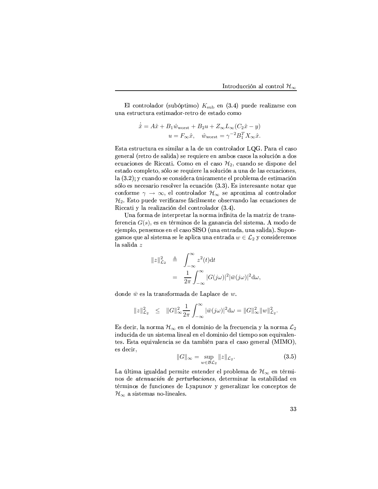El controlador (subóptimo)  $K_{\text{sub}}$  en (3.4) puede realizarse con una estructura estimador-retro de estado como

$$
\dot{\hat{x}} = A\hat{x} + B_1 \hat{w}_{\text{worst}} + B_2 u + Z_{\infty} L_{\infty} (C_2 \hat{x} - y)
$$

$$
u = F_{\infty} \hat{x}, \quad \hat{w}_{\text{worst}} = \gamma^{-2} B_1^T X_{\infty} \hat{x}.
$$

Esta estructura es similar a la de un controlador LQG. Para el caso general (retro de salida) se requiere en ambos casos la solución a dos ecuaciones de Riccati. Como en el caso  $\mathcal{H}_2$ , cuando se dispone del estado completo, sólo se requiere la solución a una de las ecuaciones, la (3.2); y cuando se considera únicamente el problema de estimación sólo es necesario resolver la ecuación (3.3). Es interesante notar que conforme  $\gamma \to \infty$ , el controlador  $\mathcal{H}_{\infty}$  se aproxima al controlador  $\mathcal{H}_2.$ Esto puede verificarse fácilmente observando las ecuaciones de Riccati y la realización del controlador (3.4).

Una forma de interpretar la norma infinita de la matriz de transferencia  $G(s)$ , es en términos de la ganancia del sistema. A modo de ejemplo, pensemos en el caso SISO (una entrada, una salida). Supongamos que al sistema se le aplica una entrada  $w \in \mathcal{L}_2$  y consideremos la salida $\boldsymbol{z}$ 

$$
||z||_{\mathcal{L}_2}^2 \triangleq \int_{-\infty}^{\infty} z^2(t) dt
$$
  
= 
$$
\frac{1}{2\pi} \int_{-\infty}^{\infty} |G(j\omega)|^2 |\bar{w}(j\omega)|^2 d\omega,
$$

donde  $\bar{w}$  es la transformada de Laplace de  $w$ .

$$
||z||_{\mathcal{L}_2}^2 \leq ||G||_{\infty}^2 \frac{1}{2\pi} \int_{-\infty}^{\infty} |\bar{w}(j\omega)|^2 d\omega = ||G||_{\infty}^2 ||w||_{\mathcal{L}_2}^2.
$$

Es decir, la norma  $\mathcal{H}_{\infty}$  en el dominio de la frecuencia y la norma  $\mathcal{L}_2$ inducida de un sistema lineal en el dominio del tiempo son equivalentes. Esta equivalencia se da también para el caso general (MIMO), es decir,

$$
||G||_{\infty} = \sup_{w \in BC_2} ||z||_{\mathcal{L}_2}.
$$
 (3.5)

La última igualdad permite entender el problema de  $\mathcal{H}_{\infty}$  en términos de *atenuación de perturbaciones*, determinar la estabilidad en términos de funciones de Lyapunov y generalizar los conceptos de  $\mathcal{H}_{\infty}$  a sistemas no-lineales.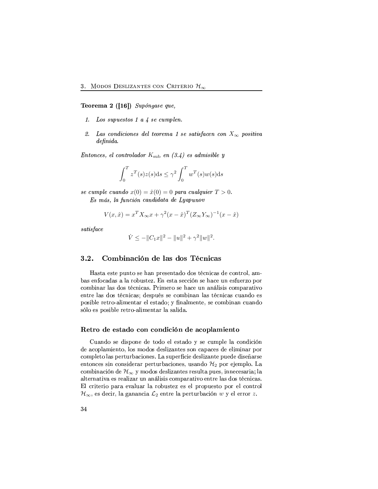Teorema 2 ([16]) Supóngase que,

- 1. Los supuestos 1 a 4 se cumplen.
- 2. Las condiciones del teorema 1 se satisfacen con  $X_{\infty}$  positiva  $definida.$

Entonces, el controlador  $K_{\text{sub}}$  en (3.4) es admisible y

$$
\int_0^T z^T(s)z(s)ds \le \gamma^2 \int_0^T w^T(s)w(s)ds
$$

se cumple cuando  $x(0) = \hat{x}(0) = 0$  para cualquier  $T > 0$ . Es más, la función candidata de Lyapunov

$$
V(x, \hat{x}) = x^T X_{\infty} x + \gamma^2 (x - \hat{x})^T (Z_{\infty} Y_{\infty})^{-1} (x - \hat{x})
$$

 $satisface$ 

$$
\dot{V} \le -||C_1x||^2 - ||u||^2 + \gamma^2 ||w||^2.
$$

#### $3.2.$ Combinación de las dos Técnicas

Hasta este punto se han presentado dos técnicas de control, ambas enfocadas a la robustez. En esta sección se hace un esfuerzo por combinar las dos técnicas. Primero se hace un análisis comparativo entre las dos técnicas; después se combinan las técnicas cuando es posible retro-alimentar el estado; y finalmente, se combinan cuando sólo es posible retro-alimentar la salida.

# Retro de estado con condición de acoplamiento

Cuando se dispone de todo el estado y se cumple la condición de acoplamiento, los modos deslizantes son capaces de eliminar por completo las perturbaciones. La superficie deslizante puede diseñarse entonces sin considerar perturbaciones, usando  $\mathcal{H}_2$  por ejemplo. La combinación de  $\mathcal{H}_{\infty}$  y modos deslizantes resulta pues, innecesaria; la alternativa es realizar un análisis comparativo entre las dos técnicas. El criterio para evaluar la robustez es el propuesto por el control  $\mathcal{H}_{\infty}$ , es decir, la ganancia  $\mathcal{L}_2$  entre la perturbación w y el error z.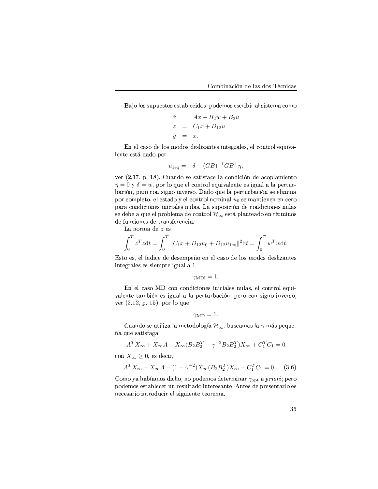Bajo los supuestos establecidos, podemos escribir al sistema como

$$
\dot{x} = Ax + B_2w + B_2u
$$
  
\n
$$
z = C_1x + D_{12}u
$$
  
\n
$$
y = x.
$$

En el caso de los modos deslizantes integrales, el control equivalente está dado por

$$
u_{1\text{eq}} = -\delta - (GB)^{-1}GB^{\perp}\eta,
$$

ver (2.17, p. 18). Cuando se satisface la condición de acoplamiento  $\eta = 0$  y  $\delta = w$ , por lo que el control equivalente es igual a la perturbación, pero con signo inverso. Dado que la perturbación se elimina por completo, el estado y el control nominal  $u_0$  se mantienen en cero para condiciones iniciales nulas. La suposición de condiciones nulas se debe a que el problema de control  $\mathcal{H}_{\infty}$  está planteado en términos de funciones de transferencia.

La norma de  $z$ es

$$
\int_0^T z^T z dt = \int_0^T \|C_1 x + D_{12} u_0 + D_{12} u_{1\text{eq}}\|^2 dt = \int_0^T w^T w dt.
$$

Esto es, el índice de desempeño en el caso de los modos deslizantes integrales es siempre igual a 1

$$
\gamma_{\rm MDI}=1.
$$

En el caso MD con condiciones iniciales nulas, el control equivalente también es igual a la perturbación, pero con signo inverso, ver  $(2.12, p. 15)$ , por lo que

$$
\gamma_{\rm MD}=1.
$$

Cuando se utiliza la metodología  $\mathcal{H}_{\infty}$ , buscamos la  $\gamma$  más pequeña que satisfaga

$$
A^T X_{\infty} + X_{\infty} A - X_{\infty} (B_2 B_2^T - \gamma^{-2} B_2 B_2^T) X_{\infty} + C_1^T C_1 = 0
$$

con  $X_{\infty} \geq 0$ , es decir,

$$
A^T X_{\infty} + X_{\infty} A - (1 - \gamma^{-2}) X_{\infty} (B_2 B_2^T) X_{\infty} + C_1^T C_1 = 0.
$$
 (3.6)

Como ya habíamos dicho, no podemos determinar  $\gamma_{\rm opt}$  a priori; pero podemos establecer un resultado interesante. Antes de presentarlo es necesario introducir el siguiente teorema.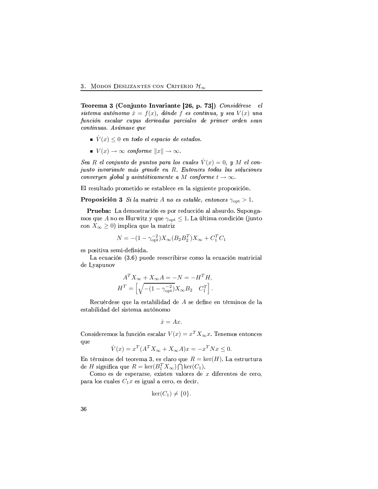Teorema 3 (Conjunto Invariante [26, p. 73]) Considérese el sistema autónomo  $\dot{x} = f(x)$ , dónde f es continua, y sea  $V(x)$  una función escalar cuyas derivadas parciales de primer orden sean continuas. Asúmase que

- $\bullet$   $\dot{V}(x) \leq 0$  en todo el espacio de estados.
- $V(x) \rightarrow \infty$  conforme  $||x|| \rightarrow \infty$ .

Sea R el conjunto de puntos para los cuales  $V(x) = 0$ , y M el conjunto invariante más grande en R. Entonces todas las soluciones convergen global y asintóticamente a M conforme  $t \to \infty$ .

El resultado prometido se establece en la siguiente proposición.

**Proposición 3** Si la matriz A no es estable, entonces  $\gamma_{\text{opt}} > 1$ .

Prueba: La demostración es por reducción al absurdo. Supongamos que A no es Hurwitz y que  $\gamma_{\text{opt}} \leq 1$ . La última condición (junto con  $X_{\infty} \geq 0$  implica que la matriz

$$
N = -(1 - \gamma_{\rm opt}^{-2})X_{\infty}(B_2 B_2^T)X_{\infty} + C_1^T C_1
$$

es positiva semi-definida.

La ecuación (3.6) puede reescribirse como la ecuación matricial de Lyapunov

$$
A^T X_{\infty} + X_{\infty} A = -N = -H^T H,
$$
  

$$
H^T = \left[ \sqrt{- (1 - \gamma_{\rm opt}^{-2})} X_{\infty} B_2 \quad C_1^T \right].
$$

Recuérdese que la estabilidad de A se define en términos de la estabilidad del sistema autónomo

$$
\dot{x} = Ax.
$$

Consideremos la función escalar  $V(x) = x^T X_\infty x$ . Tenemos entonces que

$$
\dot{V}(x) = x^T (A^T X_{\infty} + X_{\infty} A)x = -x^T N x \le 0.
$$

En términos del teorema 3, es claro que  $R = \text{ker}(H)$ . La estructura de H significa que  $R = \text{ker}(B_1^T X_\infty) \bigcap \text{ker}(C_1)$ .

Como es de esperarse, existen valores de  $x$  diferentes de cero, para los cuales  $C_1x$  es igual a cero, es decir,

$$
\ker(C_1) \neq \{0\}
$$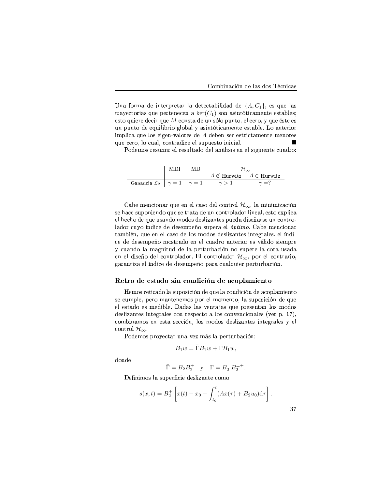Una forma de interpretar la detectabilidad de  $\{A, C_1\}$ , es que las trayectorias que pertenecen a  $\ker(C_1)$  son asintóticamente estables; esto quiere decir que  $M$  consta de un sólo punto, el cero, y que éste es un punto de equilibrio global y asintóticamente estable. Lo anterior implica que los eigen-valores de A deben ser estrictamente menores que cero, lo cual, contradice el supuesto inicial. п

Podemos resumir el resultado del análisis en el siguiente cuadro:

|                                                                   | l MDI | MD. |                                    |              |
|-------------------------------------------------------------------|-------|-----|------------------------------------|--------------|
|                                                                   |       |     | $A \notin$ Hurwitz $A \in$ Hurwitz |              |
| Ganancia $\mathcal{L}_2$   $\gamma = 1$ $\gamma = 1$ $\gamma > 1$ |       |     |                                    | $\gamma = ?$ |

Cabe mencionar que en el caso del control  $\mathcal{H}_{\infty}$ , la minimización se hace suponiendo que se trata de un controlador lineal, esto explica el hecho de que usando modos deslizantes pueda diseñarse un controlador cuyo índice de desempeño supera el óptimo. Cabe mencionar también, que en el caso de los modos deslizantes integrales, el índice de desempeño mostrado en el cuadro anterior es válido siempre y cuando la magnitud de la perturbación no supere la cota usada en el diseño del controlador. El controlador  $\mathcal{H}_{\infty}$ , por el contrario, garantiza el índice de desempeño para cualquier perturbación.

# Retro de estado sin condición de acoplamiento

Hemos retirado la suposición de que la condición de acoplamiento se cumple, pero mantenemos por el momento, la suposición de que el estado es medible. Dadas las ventajas que presentan los modos deslizantes integrales con respecto a los convencionales (ver p. 17). combinamos en esta sección, los modos deslizantes integrales y el control  $\mathcal{H}_{\infty}$ .

Podemos proyectar una vez más la perturbación:

$$
B_1 w = \Gamma B_1 w + \Gamma B_1 w,
$$

donde

 $\overline{\Gamma} = B_2 B_2^+$  y  $\Gamma = B_2^{\perp} B_2^{\perp +}$ .

Definimos la superficie deslizante como

$$
s(x,t) = B_2^+ \left[ x(t) - x_0 - \int_{t_0}^t (Ax(\tau) + B_2 u_0) d\tau \right].
$$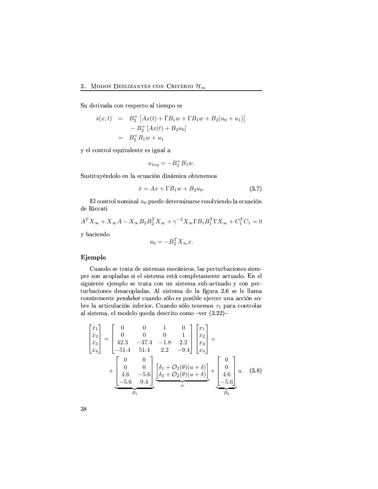Su derivada con respecto al tiempo es

$$
\dot{s}(x,t) = B_2^+ [Ax(t) + \bar{\Gamma}B_1w + \Gamma B_1w + B_2(u_0 + u_1)]
$$
  

$$
- B_2^+ [Ax(t) + B_2u_0]
$$
  

$$
= B_2^+ B_1w + u_1
$$

y el control equivalente es igual a

$$
u_{1\text{eq}} = -B_2^+ B_1 w.
$$

Sustituyéndolo en la ecuación dinámica obtenemos

$$
\dot{x} = Ax + \Gamma B_1 w + B_2 u_0. \tag{3.7}
$$

El control nominal  $u_0$  puede determinarse resolviendo la ecuación de Riccati

$$
A^T X_{\infty} + X_{\infty} A - X_{\infty} B_2 B_2^T X_{\infty} + \gamma^{-2} X_{\infty} \Gamma B_1 B_1^T \Gamma X_{\infty} + C_1^T C_1 = 0
$$

y haciendo

$$
u_0 = -B_2^T X_\infty x.
$$

# Ejemplo

Cuando se trata de sistemas mecánicos, las perturbaciones siempre son acopladas si el sistema está completamente actuado. En el siguiente ejemplo se trata con un sistema sub-actuado y con perturbaciones desacopladas. Al sistema de la figura 2.6 se le llama comúnmente pendubot cuando sólo es posible ejercer una acción sobre la articulación inferior. Cuando sólo tenemos  $\tau_1$  para controlar al sistema, el modelo queda descrito como -ver (2.22)-

$$
\begin{bmatrix} \dot{x}_1 \\ \dot{x}_2 \\ \dot{x}_3 \\ \dot{x}_4 \end{bmatrix} = \begin{bmatrix} 0 & 0 & 1 & 0 \\ 0 & 0 & 0 & 1 \\ 42.3 & -37.4 & -1.8 & 2.2 \\ -51.4 & 51.4 & 2.2 & -9.4 \end{bmatrix} \begin{bmatrix} x_1 \\ x_2 \\ x_3 \\ x_4 \end{bmatrix} + \begin{bmatrix} 0 & 0 \\ 0 & 0 \\ 4.6 & -5.6 \\ -5.6 & 9.4 \end{bmatrix} \underbrace{\begin{bmatrix} \delta_1 + \mathcal{O}_2(\theta)(u+\delta) \\ \delta_2 + \mathcal{O}_2(\theta)(u+\delta) \end{bmatrix}}_{w} + \underbrace{\begin{bmatrix} 0 \\ 0 \\ 4.6 \\ -5.6 \end{bmatrix}}_{B_2} u. \quad (3.8)
$$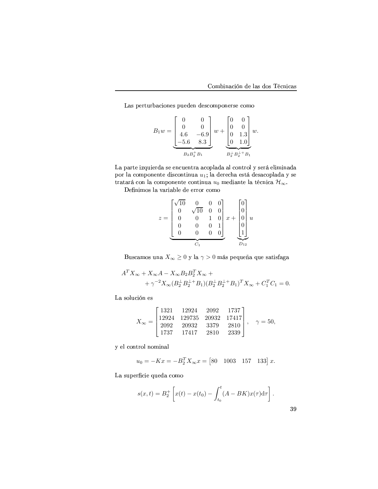Las perturbaciones pueden descomponerse como

$$
B_1 w = \underbrace{\begin{bmatrix} 0 & 0 \\ 0 & 0 \\ 4.6 & -6.9 \\ -5.6 & 8.3 \end{bmatrix}}_{B_2 B_2^+ B_1} w + \underbrace{\begin{bmatrix} 0 & 0 \\ 0 & 0 \\ 0 & 1.3 \\ 0 & 1.0 \end{bmatrix}}_{B_2^+ B_2^+ B_1} w.
$$

La parte izquierda se encuentra acoplada al control y será eliminada por la componente discontinua  $u_1;$  la derecha está desacoplada y se tratará con la componente continua  $u_0$  mediante la técnica  $\mathcal{H}_{\infty}$ .

 $\blacksquare$  and the point of the point of the point of the point of the point of the point of the point of the point of the point of the point of the point of the point of the point of the point of the point of the point of th

$$
z = \underbrace{\begin{bmatrix} \sqrt{10} & 0 & 0 & 0 \\ 0 & \sqrt{10} & 0 & 0 \\ 0 & 0 & 1 & 0 \\ 0 & 0 & 0 & 1 \\ 0 & 0 & 0 & 0 \end{bmatrix}}_{C_1} x + \underbrace{\begin{bmatrix} 0 \\ 0 \\ 0 \\ 0 \\ 1 \end{bmatrix}}_{D_{12}} u
$$

Buscamos una $X_\infty \geq 0$ y la $\gamma > 0$ más pequeña que satisfaga

$$
A^T X_{\infty} + X_{\infty} A - X_{\infty} B_2 B_2^T X_{\infty} +
$$
  
+  $\gamma^{-2} X_{\infty} (B_2^{\perp} B_2^{\perp +} B_1) (B_2^{\perp} B_2^{\perp +} B_1)^T X_{\infty} + C_1^T C_1 = 0.$ 

La solución es

$$
X_{\infty} = \begin{bmatrix} 1321 & 12924 & 2092 & 1737 \\ 12924 & 129735 & 20932 & 17417 \\ 2092 & 20932 & 3379 & 2810 \\ 1737 & 17417 & 2810 & 2339 \end{bmatrix}, \quad \gamma = 50,
$$

y el control nominal

$$
u_0 = -Kx = -B_2^T X_{\infty} x = [80 \quad 1003 \quad 157 \quad 133] \, x.
$$

La superficie queda como

$$
s(x,t) = B_2^+ \left[ x(t) - x(t_0) - \int_{t_0}^t (A - BK) x(\tau) d\tau \right].
$$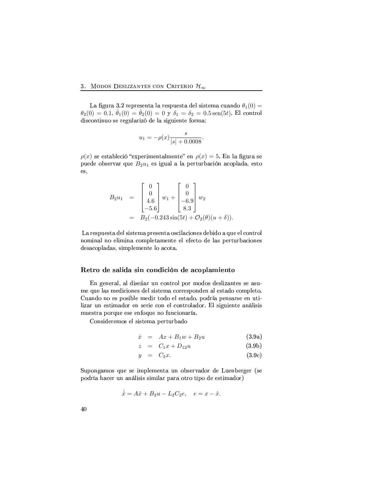# 3. MODOS DESLIZANTES CON CRITERIO  $\mathcal{H}_{\infty}$

La figura 3.2 representa la respuesta del sistema cuando  $\theta_1(0)$  =  $\theta_2(0) = 0.1, \ \dot{\theta}_1(0) = \dot{\theta}_2(0) = 0$  y  $\delta_1 = \delta_2 = 0.5$  sen(5t). El control discontinuo se regularizó de la siguiente forma:

$$
u_1 = -\rho(x) \frac{s}{|s| + 0.0008}
$$

 $\rho(x)$  se estableció "experimentalmente" en  $\rho(x) = 5$ . En la figura se puede observar que  $B_2u_1$  es igual a la perturbación acoplada, esto es,

$$
B_2 u_1 = \begin{bmatrix} 0 \\ 0 \\ 4.6 \\ -5.6 \end{bmatrix} w_1 + \begin{bmatrix} 0 \\ 0 \\ -6.9 \\ 8.3 \end{bmatrix} w_2
$$
  
=  $B_2(-0.243 \sin(5t) + \mathcal{O}_2(\theta)(u + \delta)).$ 

La respuesta del sistema presenta oscilaciones debido a que el control nominal no elimina completamente el efecto de las perturbaciones desacopladas, simplemente lo acota.

## Retro de salida sin condición de acoplamiento

En general, al diseñar un control por modos deslizantes se asume que las mediciones del sistema corresponden al estado completo. Cuando no es posible medir todo el estado, podría pensarse en utilizar un estimador en serie con el controlador. El siguiente análisis muestra porque ese enfoque no funcionaría.

Consideremos el sistema perturbado

$$
\dot{x} = Ax + B_1 w + B_2 u \qquad (3.9a)
$$

$$
z = C_1 x + D_{12} u \t\t(3.9b)
$$

$$
y = C_2 x. \t\t(3.9c)
$$

Supongamos que se implementa un observador de Luenberger (se podría hacer un análisis similar para otro tipo de estimador)

$$
\dot{\hat{x}} = A\hat{x} + B_2u - L_2C_2e, \quad e = x - \hat{x}.
$$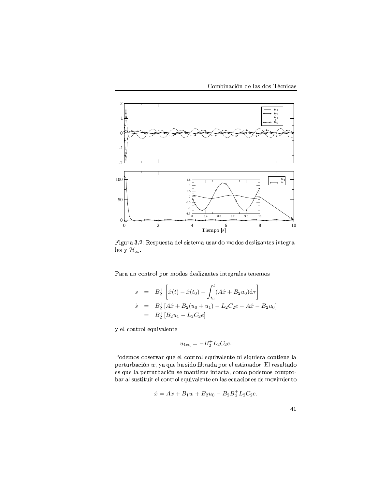Combinación de las dos Técnicas



Figura 3.2: Respuesta del sistema usando modos deslizantes integrales y $\mathcal{H}_{\infty}.$ 

Para un control por modos deslizantes integrales tenemos

$$
s = B_2^+ \left[ \hat{x}(t) - \hat{x}(t_0) - \int_{t_0}^t (A\hat{x} + B_2 u_0) d\tau \right]
$$
  
\n
$$
\dot{s} = B_2^+ [A\hat{x} + B_2(u_0 + u_1) - L_2 C_2 e - A\hat{x} - B_2 u_0]
$$
  
\n
$$
= B_2^+ [B_2 u_1 - L_2 C_2 e]
$$

y el control equivalente

$$
u_{1\text{eq}} = -B_2^+ L_2 C_2 e.
$$

Podemos observar que el control equivalente ni siquiera contiene la perturbación  $w$ , ya que ha sido filtrada por el estimador. El resultado es que la perturbación se mantiene intacta, como podemos comprobar al sustituir el control equivalente en las ecuaciones de movimiento

$$
\dot{x} = Ax + B_1 w + B_2 u_0 - B_2 B_2^+ L_2 C_2 e.
$$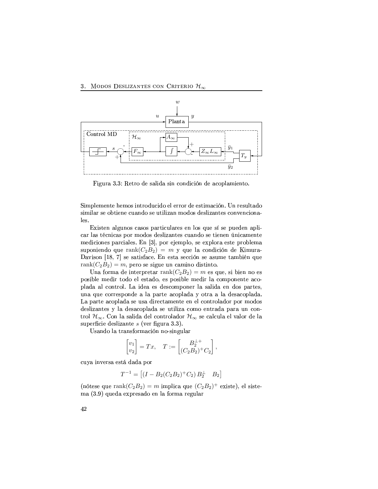# 3. MODOS DESLIZANTES CON CRITERIO  $\mathcal{H}_{\infty}$



Figura 3.3: Retro de salida sin condición de acoplamiento.

Simplemente hemos introducido el error de estimación. Un resultado similar se obtiene cuando se utilizan modos deslizantes convencionales.

Existen algunos casos particulares en los que sí se pueden aplicar las técnicas por modos deslizantes cuando se tienen únicamente mediciones parciales. En [3], por ejemplo, se explora este problema suponiendo que rank $(C_2B_2) = m$  y que la condición de Kimura-Davison [18, 7] se satisface. En esta sección se asume también que rank $(C_2B_2) = m$ , pero se sigue un camino distinto.

Una forma de interpretar rank $(C_2B_2)=m$  es que, si bien no es posible medir todo el estado, es posible medir la componente acoplada al control. La idea es descomponer la salida en dos partes, una que corresponde a la parte acoplada y otra a la desacoplada. La parte acoplada se usa directamente en el controlador por modos deslizantes y la desacoplada se utiliza como entrada para un control  $\mathcal{H}_{\infty}$ . Con la salida del controlador  $\mathcal{H}_{\infty}$  se calcula el valor de la superficie deslizante  $s$  (ver figura 3.3).

Usando la transformación no-singular

$$
\begin{bmatrix} v_1 \\ v_2 \end{bmatrix} = Tx, \quad T := \begin{bmatrix} B_2^{\perp +} \\ (C_2 B_2)^+ C_2 \end{bmatrix},
$$

cuya inversa está dada por

$$
T^{-1} = [(I - B_2(C_2B_2)^+ C_2) B_2^{\perp} \quad B_2]
$$

(nótese que rank $(C_2B_2) = m$  implica que  $(C_2B_2)^+$  existe), el sistema (3.9) queda expresado en la forma regular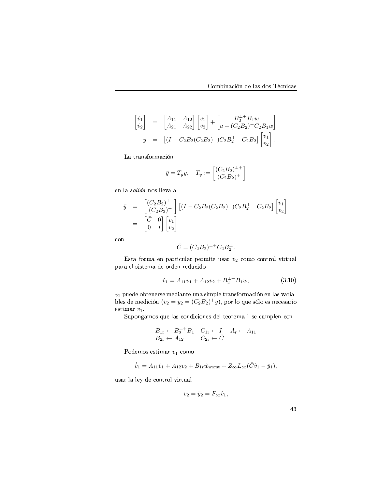$$
\begin{bmatrix} \dot{v}_1 \\ \dot{v}_2 \end{bmatrix} = \begin{bmatrix} A_{11} & A_{12} \\ A_{21} & A_{22} \end{bmatrix} \begin{bmatrix} v_1 \\ v_2 \end{bmatrix} + \begin{bmatrix} B_2^{\perp +} B_1 w \\ u + (C_2 B_2)^+ C_2 B_1 w \end{bmatrix}
$$
  

$$
y = \begin{bmatrix} (I - C_2 B_2 (C_2 B_2)^+) C_2 B_2^{\perp} & C_2 B_2 \end{bmatrix} \begin{bmatrix} v_1 \\ v_2 \end{bmatrix}.
$$

La transformación

$$
\bar{y} = T_y y, \quad T_y := \begin{bmatrix} (C_2 B_2)^{\perp +} \\ (C_2 B_2)^{\perp} \end{bmatrix}
$$

en la  $\it{salida}$ nos lleva a

$$
\begin{array}{rcl}\n\bar{y} & = & \begin{bmatrix} (C_2 B_2)^{\perp +} \\ (C_2 B_2)^{\perp} \end{bmatrix} \begin{bmatrix} (I - C_2 B_2 (C_2 B_2)^+) C_2 B_2^{\perp} & C_2 B_2 \end{bmatrix} \begin{bmatrix} v_1 \\ v_2 \end{bmatrix} \\
& = & \begin{bmatrix} \bar{C} & 0 \\ 0 & I \end{bmatrix} \begin{bmatrix} v_1 \\ v_2 \end{bmatrix}\n\end{array}
$$

con

$$
\bar{C} = (C_2 B_2)^{\perp +} C_2 B_2^{\perp}.
$$

Esta forma en particular permite usar  $v_2$  como control virtual para el sistema de orden reducido

$$
\dot{v}_1 = A_{11}v_1 + A_{12}v_2 + B_2^{\perp +}B_1w; \tag{3.10}
$$

 $v_2$  puede obtenerse mediante una simple transformación en las variables de medición  $(v_2 = \bar{y}_2 = (C_2 B_2)^+ y)$ , por lo que sólo es necesario estimar  $v_1$ .

Supongamos que las condiciones del teorema 1 se cumplen con

$$
B_{1r} \leftarrow B_2^{\perp +} B_1 \quad C_{1r} \leftarrow I \quad A_r \leftarrow A_{11}
$$
  

$$
B_{2r} \leftarrow A_{12} \quad C_{2r} \leftarrow \bar{C}
$$

Podemos estimar $v_1$ como

$$
\dot{\hat{v}}_1 = A_{11}\hat{v}_1 + A_{12}v_2 + B_{1r}\hat{w}_{\text{worst}} + Z_{\infty}L_{\infty}(\bar{C}\hat{v}_1 - \bar{y}_1)
$$

usar la ley de control virtual

$$
v_2 = \bar{y}_2 = F_{\infty} \hat{v}_1,
$$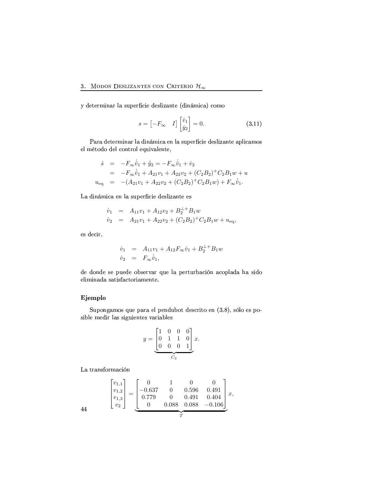y determinar la superficie deslizante (dinámica) como

$$
s = \begin{bmatrix} -F_{\infty} & I \end{bmatrix} \begin{bmatrix} \hat{v}_1 \\ \bar{y}_2 \end{bmatrix} = 0.
$$
 (3.11)

Para determinar la dinámica en la superficie deslizante aplicamos el método del control equivalente,

$$
\dot{s} = -F_{\infty}\dot{\hat{v}}_1 + \dot{\bar{y}}_2 = -F_{\infty}\dot{\hat{v}}_1 + \dot{v}_2
$$
  
\n
$$
= -F_{\infty}\dot{\hat{v}}_1 + A_{21}v_1 + A_{22}v_2 + (C_2B_2)^+C_2B_1w + u
$$
  
\n
$$
u_{\text{eq}} = -(A_{21}v_1 + A_{22}v_2 + (C_2B_2)^+C_2B_1w) + F_{\infty}\dot{\hat{v}}_1.
$$

La dinámica en la superficie deslizante es

$$
\dot{v}_1 = A_{11}v_1 + A_{12}v_2 + B_2^{++}B_1w
$$
  
\n
$$
\dot{v}_2 = A_{21}v_1 + A_{22}v_2 + (C_2B_2)^+C_2B_1w + u_{eq},
$$

es decir,

$$
\dot{v}_1 = A_{11}v_1 + A_{12}F_{\infty}\hat{v}_1 + B_2^{\perp +}B_1w
$$
  

$$
\dot{v}_2 = F_{\infty}\dot{\hat{v}}_1,
$$

de donde se puede observar que la perturbación acoplada ha sido eliminada satisfactoriamente.

# Ejemplo

Supongamos que para el pendubot descrito en (3.8), sólo es posible medir las siguientes variables

$$
y = \underbrace{\begin{bmatrix} 1 & 0 & 0 & 0 \\ 0 & 1 & 1 & 0 \\ 0 & 0 & 0 & 1 \end{bmatrix}}_{C_2} x.
$$

La transformación

$$
\begin{bmatrix} v_{1,1} \\ v_{1,2} \\ v_{1,3} \\ v_2 \end{bmatrix} = \underbrace{\begin{bmatrix} 0 & 1 & 0 & 0 \\ -0.637 & 0 & 0.596 & 0.491 \\ 0.779 & 0 & 0.491 & 0.404 \\ 0 & 0.088 & 0.088 & -0.106 \end{bmatrix}}_{T} x,
$$

 $4<sup>4</sup>$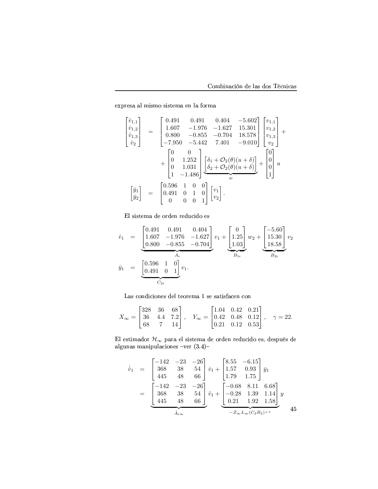R1h(Y+RSP+F-F]TjD?P\*jBkPfDPvC+R8jkF-R8K TFBIY\*jkF

$$
\begin{bmatrix}\n\dot{v}_{1,1} \\
\dot{v}_{1,2} \\
\dot{v}_{1,3} \\
\dot{v}_{2}\n\end{bmatrix} = \begin{bmatrix}\n0.491 & 0.491 & 0.404 & -5.602 \\
1.607 & -1.976 & -1.627 & 15.301 \\
0.800 & -0.855 & -0.704 & 18.578 \\
-7.950 & -5.442 & 7.401 & -9.010\n\end{bmatrix}\n\begin{bmatrix}\nv_{1,1} \\
v_{1,2} \\
v_{2}\n\end{bmatrix} + \begin{bmatrix}\n0 & 0 \\
0 & 1.252 \\
0 & 1.031 \\
1 & -1.486\n\end{bmatrix}\n\begin{bmatrix}\n\delta_1 + \mathcal{O}_2(\theta)(u + \delta) \\
\delta_2 + \mathcal{O}_2(\theta)(u + \delta)\n\end{bmatrix} + \begin{bmatrix}\n0 \\
0 \\
0 \\
1\n\end{bmatrix} u
$$
\n
$$
\begin{bmatrix}\n\bar{y}_1 \\
\bar{y}_2\n\end{bmatrix} = \begin{bmatrix}\n0.596 & 1 & 0 & 0 \\
0.491 & 0 & 1 & 0 \\
0 & 0 & 0 & 1\n\end{bmatrix}\n\begin{bmatrix}\nv_1 \\
v_2\n\end{bmatrix}.
$$

El sistema de orden reducido es

$$
\dot{v}_1 = \underbrace{\begin{bmatrix} 0.491 & 0.491 & 0.404 \\ 1.607 & -1.976 & -1.627 \\ 0.800 & -0.855 & -0.704 \end{bmatrix}}_{A_r} v_1 + \underbrace{\begin{bmatrix} 0 \\ 1.25 \\ 1.03 \end{bmatrix}}_{B_{1r}} w_2 + \underbrace{\begin{bmatrix} -5.60 \\ 15.30 \\ 18.58 \end{bmatrix}}_{B_{2r}} v_2
$$
\n
$$
\bar{y}_1 = \underbrace{\begin{bmatrix} 0.596 & 1 & 0 \\ 0.491 & 0 & 1 \end{bmatrix}}_{C_{2r}} v_1.
$$

Las condiciones del teorema 1 se satisfacen con

$$
X_{\infty} = \begin{bmatrix} 328 & 36 & 68 \\ 36 & 4.4 & 7.2 \\ 68 & 7 & 14 \end{bmatrix}, \quad Y_{\infty} = \begin{bmatrix} 1.04 & 0.42 & 0.21 \\ 0.42 & 0.48 & 0.12 \\ 0.21 & 0.12 & 0.53 \end{bmatrix}, \quad \gamma = 22.
$$

El estimador  $\mathcal{H}_\infty$  para el sistema de orden reducido es, después de algunas manipulaciones -ver  $(3.4)$ -

$$
\dot{\hat{v}}_1 = \begin{bmatrix} -142 & -23 & -26 \\ 368 & 38 & 54 \\ 445 & 48 & 66 \end{bmatrix} \hat{v}_1 + \begin{bmatrix} 8.55 & -6.15 \\ 1.57 & 0.93 \\ 1.79 & 1.75 \end{bmatrix} \bar{y}_1
$$

$$
= \begin{bmatrix} -142 & -23 & -26 \\ 368 & 38 & 54 \\ 445 & 48 & 66 \end{bmatrix} \hat{v}_1 + \begin{bmatrix} -0.68 & 8.11 & 6.68 \\ -0.28 & 1.39 & 1.14 \\ 0.21 & 1.92 & 1.58 \end{bmatrix} y
$$

$$
\overbrace{\hat{A}_{r\infty}}^{A_{r\infty}} \overbrace{\hat{A}_{r\infty}}^{}
$$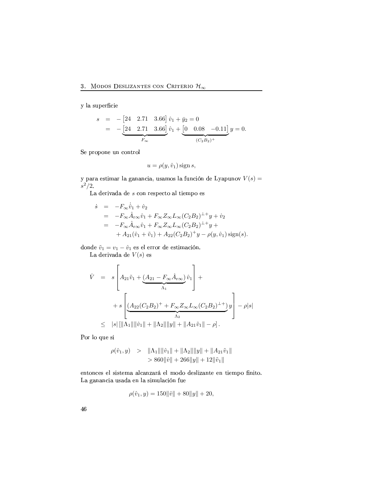$\mathbf y$ la superficie

$$
s = -[24 \quad 2.71 \quad 3.66] \hat{v}_1 + \bar{y}_2 = 0
$$
  
= -[24 \quad 2.71 \quad 3.66] \hat{v}\_1 + [0 \quad 0.08 \quad -0.11] \text{ y} = 0.

 ${\rm Se}$  propone un control

$$
u = \rho(y, \hat{v}_1) \operatorname{sign} s,
$$

y para estimar la ganancia, usamos la función de Lyapunov  $V(s) =$  $s^2/2$ .

La derivada de  $s$  con respecto al tiempo es

$$
\dot{s} = -F_{\infty}\dot{\hat{v}}_1 + \dot{v}_2 \n= -F_{\infty}\hat{A}_{r\infty}\hat{v}_1 + F_{\infty}Z_{\infty}L_{\infty}(C_2B_2)^{\perp +}y + \dot{v}_2 \n= -F_{\infty}\hat{A}_{r\infty}\hat{v}_1 + F_{\infty}Z_{\infty}L_{\infty}(C_2B_2)^{\perp +}y + \n+ A_{21}(\hat{v}_1 + \tilde{v}_1) + A_{22}(C_2B_2)^{\perp}y - \rho(y, \hat{v}_1)\text{sign}(s).
$$

donde $\tilde{v}_1 = v_1 - \hat{v}_1$ es el error de estimación.

La derivada de  $V(s)$  es

$$
\dot{V} = s \left[ A_{21} \tilde{v}_1 + \underbrace{(A_{21} - F_{\infty} \hat{A}_{r\infty})}_{\Lambda_1} \hat{v}_1 \right] + \n+ s \left[ \underbrace{(A_{22}(C_2 B_2)^+ + F_{\infty} Z_{\infty} L_{\infty} (C_2 B_2)^+ +}_{\Lambda_2} y \right] - \rho |s| \n\leq |s| [\|\Lambda_1\| \|\hat{v}_1\| + \|\Lambda_2\| \|y\| + \|A_{21} \tilde{v}_1\| - \rho].
$$

Por lo que si

$$
\rho(\hat{v}_1, y) > ||\Lambda_1|| ||\hat{v}_1|| + ||\Lambda_2|| ||y|| + ||A_{21}\tilde{v}_1||
$$
  
> 860||\hat{v}|| + 266||y|| + 12||\tilde{v}\_1||

R8K\$C+BKdH8RSPRSTiP\*D?PfC\*RSjkF F]TH8FK(VSFY+gR8T jB1O1BwO1R0PfT?DUV0F]K\$C\*R R8KAC+DURSj-h!B <K(DC+Bd> La ganancia usada en la simulación fue

$$
\rho(\hat{v}_1, y) = 150 \|\hat{v}\| + 80\|y\| + 20,
$$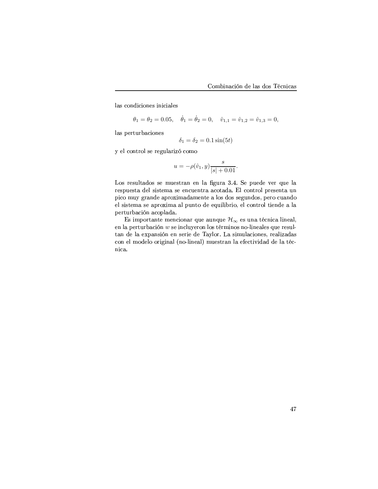las condiciones iniciales

$$
\theta_1 = \theta_2 = 0.05
$$
,  $\dot{\theta}_1 = \dot{\theta}_2 = 0$ ,  $\hat{v}_{1,1} = \hat{v}_{1,2} = \hat{v}_{1,3} = 0$ ,

las perturbaciones

$$
\delta_1 = \delta_2 = 0.1 \sin(5t)
$$

y el control se regularizó como

$$
u = -\rho(\hat{v}_1, y) \frac{s}{|s| + 0.01}
$$

Los resultados se muestran en la figura 3.4. Se puede ver que la respuesta del sistema se encuentra acotada. El control presenta un pico muy grande aproximadamente a los dos segundos, pero cuando el sistema se aproxima al punto de equilibrio, el control tiende a la perturbación acoplada.

Es importante mencionar que aunque  $\mathcal{H}_{\infty}$  es una técnica lineal, en la perturbación  $w$  se incluyeron los términos no-lineales que resultan de la expansión en serie de Taylor. La simulaciones, realizadas con el modelo original (no-lineal) muestran la efectividad de la técnica.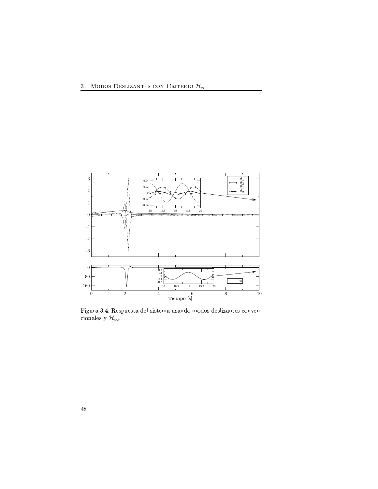

Figura 3.4: Respuesta del sistema usando modos deslizantes convencionales y $\mathcal{H}_{\infty}.$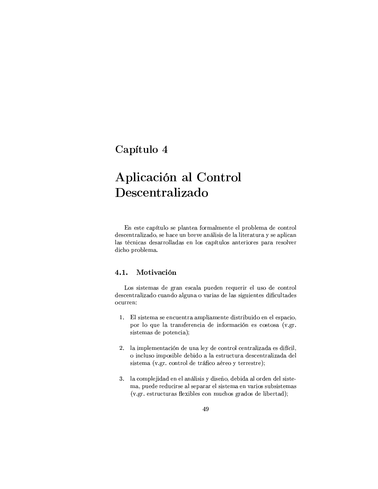# Capítulo 4

# Aplicación al Control Descentralizado

En este capítulo se plantea formalmente el problema de control descentralizado, se hace un breve análisis de la literatura y se aplican las técnicas desarrolladas en los capítulos anteriores para resolver dicho problema.

#### Motivación  $4.1.$

Los sistemas de gran escala pueden requerir el uso de control descentralizado cuando alguna o varias de las siguientes dificultades ocurren:

- 1. El sistema se encuentra ampliamente distribuido en el espacio, por lo que la transferencia de información es costosa (v.gr. sistemas de potencia);
- 2. la implementación de una ley de control centralizada es difícil, o incluso imposible debido a la estructura descentralizada del sistema (v.gr. control de tráfico aéreo y terrestre);
- 3. la complejidad en el análisis y diseño, debida al orden del sistema, puede reducirse al separar el sistema en varios subsistemas (v.gr. estructuras flexibles con muchos grados de libertad);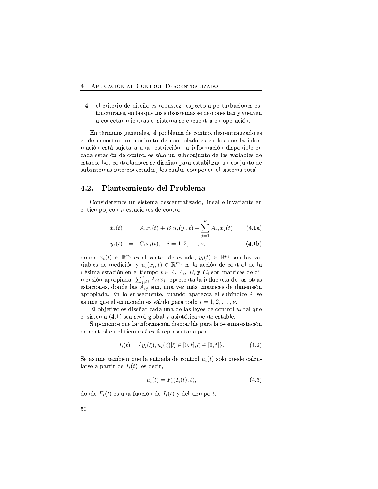4. el criterio de diseño es robustez respecto a perturbaciones estructurales, en las que los subsistemas se desconectan y vuelven a conectar mientras el sistema se encuentra en operación.

En términos generales, el problema de control descentralizado es el de encontrar un conjunto de controladores en los que la información está sujeta a una restricción: la información disponible en cada estación de control es sólo un subconjunto de las variables de estado. Los controladores se diseñan para estabilizar un conjunto de subsistemas interconectados, los cuales componen el sistema total.

#### Planteamiento del Problema  $4.2.$

Consideremos un sistema descentralizado, lineal e invariante en el tiempo, con  $\nu$  estaciones de control

$$
\dot{x}_i(t) = A_i x_i(t) + B_i u_i(y_i, t) + \sum_{i=1}^{\nu} A_{ij} x_j(t) \qquad (4.1a)
$$

$$
y_i(t) = C_i x_i(t), \quad i = 1, 2, \dots, \nu,
$$
\n(4.1b)

donde  $x_i(t) \in \mathbb{R}^{n_i}$  es el vector de estado,  $y_i(t) \in \mathbb{R}^{p_i}$  son las variables de medición y  $u_i(x_i, t) \in \mathbb{R}^{m_i}$  es la acción de control de la *i*-ésima estación en el tiempo  $t \in \mathbb{R}$ .  $A_i$ ,  $B_i$  y  $C_i$  son matrices de dimensión apropiada.  $\sum_{j\neq i}^{\nu} A_{ij} x_j$  representa la influencia de las otras estaciones, donde las  $A_{ij}$  son, una vez más, matrices de dimensión apropiada. En lo subsecuente, cuando aparezca el subíndice  $i$ , se asume que el enunciado es válido para todo  $i = 1, 2, ..., \nu$ .

El objetivo es diseñar cada una de las leyes de control  $u_i$  tal que el sistema (4.1) sea semi-global y asintóticamente estable.

Suponemos que la información disponible para la i-ésima estación de control en el tiempo  $t$  está representada por

$$
I_i(t) = \{ y_i(\xi), u_i(\zeta) | \xi \in [0, t], \zeta \in [0, t] \}. \tag{4.2}
$$

Se asume también que la entrada de control  $u_i(t)$  sólo puede calcularse a partir de  $I_i(t)$ , es decir,

$$
u_i(t) = F_i(I_i(t), t), \qquad (4.3)
$$

donde  $F_i(t)$  es una función de  $I_i(t)$  y del tiempo t.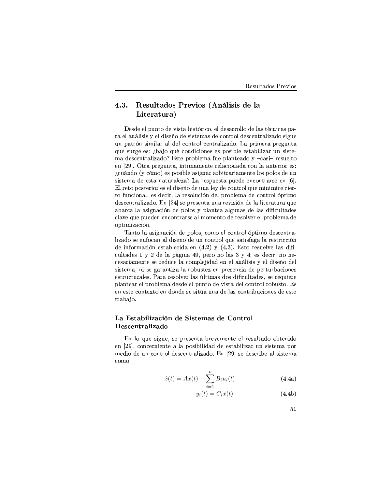### Resultados Previos (Análisis de la 4.3. Literatura)

Desde el punto de vista histórico, el desarrollo de las técnicas para el análisis y el diseño de sistemas de control descentralizado sigue un patrón similar al del control centralizado. La primera pregunta que surge es: ¿bajo qué condiciones es posible estabilizar un sistema descentralizado? Este problema fue planteado y -casi- resuelto en [29]. Otra pregunta, intimamente relacionada con la anterior es: ¿cuándo (y cómo) es posible asignar arbitrariamente los polos de un sistema de esta naturaleza? La respuesta puede encontrarse en [6]. El reto posterior es el diseño de una ley de control que minimice cierto funcional, es decir, la resolución del problema de control óptimo descentralizado. En [24] se presenta una revisión de la literatura que abarca la asignación de polos y plantea algunas de las dificultades clave que pueden encontrarse al momento de resolver el problema de optimización.

Tanto la asignación de polos, como el control óptimo descentralizado se enfocan al diseño de un control que satisfaga la restricción de información establecida en  $(4.2)$  y  $(4.3)$ . Esto resuelve las dificultades 1 y 2 de la página 49, pero no las 3 y 4; es decir, no necesariamente se reduce la complejidad en el análisis y el diseño del sistema, ni se garantiza la robustez en presencia de perturbaciones estructurales. Para resolver las últimas dos dificultades, se requiere plantear el problema desde el punto de vista del control robusto. Es en este contexto en donde se sitúa una de las contribuciones de este trabajo.

# La Estabilización de Sistemas de Control Descentralizado

En lo que sigue, se presenta brevemente el resultado obtenido en [29], concerniente a la posibilidad de estabilizar un sistema por medio de un control descentralizado. En [29] se describe al sistema como

$$
\dot{x}(t) = Ax(t) + \sum_{i=1}^{\nu} B_i u_i(t)
$$
\n(4.4a)

$$
y_i(t) = C_i x(t). \tag{4.4b}
$$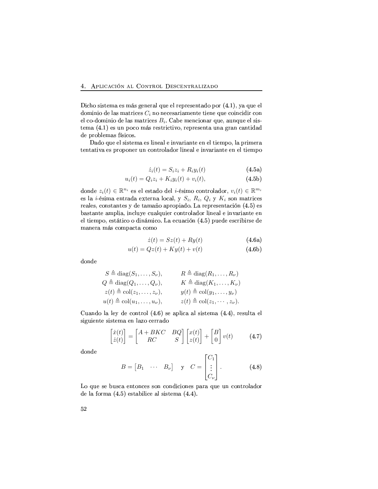Dicho sistema es más general que el representado por (4.1), ya que el dominio de las matrices  $C_i$  no necesariamente tiene que coincidir con el co-dominio de las matrices  $B_i$ . Cabe mencionar que, aunque el sistema (4.1) es un poco más restrictivo, representa una gran cantidad de problemas físicos.

Dado que el sistema es lineal e invariante en el tiempo, la primera tentativa es proponer un controlador lineal e invariante en el tiempo

$$
\dot{z}_i(t) = S_i z_i + R_i y_i(t) \tag{4.5a}
$$

$$
u_i(t) = Q_i z_i + K_i y_i(t) + v_i(t),
$$
\n(4.5b)

donde  $z_i(t) \in \mathbb{R}^{n_i}$  es el estado del *i*-ésimo controlador,  $v_i(t) \in \mathbb{R}^{m_i}$ es la *i*-ésima entrada externa local, y  $S_i$ ,  $R_i$ ,  $Q_i$  y  $K_i$  son matrices reales, constantes y de tamaño apropiado. La representación (4.5) es bastante amplia, incluye cualquier controlador lineal e invariante en el tiempo, estático o dinámico. La ecuación (4.5) puede escribirse de manera más compacta como

$$
\dot{z}(t) = Sz(t) + Ry(t) \tag{4.6a}
$$

$$
u(t) = Qz(t) + Ky(t) + v(t)
$$
\n(4.6b)

donde

$$
S \triangleq \text{diag}(S_1, \ldots, S_\nu), \qquad R \triangleq \text{diag}(R_1, \ldots, R_\nu)
$$
  
\n
$$
Q \triangleq \text{diag}(Q_1, \ldots, Q_\nu), \qquad K \triangleq \text{diag}(K_1, \ldots, K_\nu)
$$
  
\n
$$
z(t) \triangleq \text{col}(z_1, \ldots, z_\nu), \qquad y(t) \triangleq \text{col}(y_1, \ldots, y_\nu)
$$
  
\n
$$
u(t) \triangleq \text{col}(u_1, \ldots, u_\nu), \qquad z(t) \triangleq \text{col}(z_1, \ldots, z_\nu).
$$

Cuando la ley de control (4.6) se aplica al sistema (4.4), resulta el siguiente sistema en lazo cerrado

$$
\begin{bmatrix} \dot{x}(t) \\ \dot{z}(t) \end{bmatrix} = \begin{bmatrix} A + BKC & BQ \\ RC & S \end{bmatrix} \begin{bmatrix} x(t) \\ z(t) \end{bmatrix} + \begin{bmatrix} B \\ 0 \end{bmatrix} v(t) \tag{4.7}
$$

donde

$$
B = \begin{bmatrix} B_1 & \cdots & B_\nu \end{bmatrix} \quad \text{y} \quad C = \begin{bmatrix} C_1 \\ \vdots \\ C_\nu \end{bmatrix} . \tag{4.8}
$$

 $\sim$   $\sim$ 

Lo que se busca entonces son condiciones para que un controlador de la forma  $(4.5)$  estabilice al sistema  $(4.4)$ .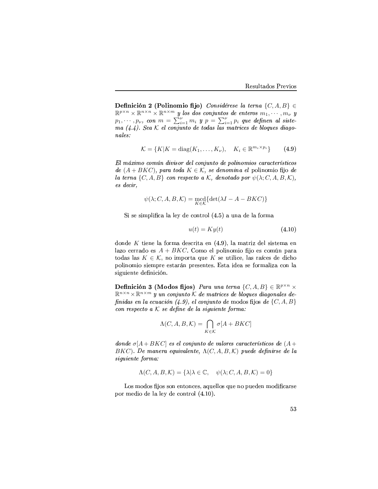Definición 2 (Polinomio fijo) Considérese la terna  $\{C, A, B\} \in$  $\mathbb{R}^{p \times n} \times \mathbb{R}^{n \times n} \times \mathbb{R}^{n \times m}$  y los dos conjuntos de enteros  $m_1, \dots, m_\nu$  y  $p_1, \cdots, p_{\nu}, \text{ con } m = \sum_{i=1}^{\nu} m_i \text{ } y \text{ } p = \sum_{i=1}^{\nu} p_i \text{ } que \text{ definen al siste-}$  $ma$  (4.4). Sea K el conjunto de todas las matrices de bloques diagoanala a componenti con un construction de la construction de la construction de la construction de la construc

$$
\mathcal{K} = \{K | K = \text{diag}(K_1, \dots, K_\nu), \quad K_i \in \mathbb{R}^{m_i \times p_i} \}
$$
(4.9)

 0
L >@L LDH <sup>F</sup> >@L C5L <sup>F</sup> BL L <sup>L</sup> >AHA
> CGFIH <sup>C</sup> >L  $de (A+BKC)$ , para toda  $K \in \mathcal{K}$ , se denomina el polinomio fijo de la terna  $\{C, A, B\}$  con respecto a K, denotado por  $\psi(\lambda; C, A, B, \mathcal{K}),$  $\it{es~decir.}$ 

$$
\psi(\lambda; C, A, B, \mathcal{K}) = \text{mcd}_{K \in \mathcal{K}} \{ \det(\lambda I - A - BKC) \}
$$

~"DP\*RLPfD?jh(TUD<HSFT?F-T?R O1RH8BK\$C\*Y+BT .od>apmF-c(KdFO1RLTFBY+jF

$$
u(t) = Ky(t) \tag{4.10}
$$

donde  $K$  tiene la forma descrita en  $(4.9)$ , la matriz del sistema en lazo cerrado es  $A + BKC.$  Como el polinomio fijo es común para todas las  $K \in \mathcal{K}$ , no importa que K se utilice, las raíces de dicho http://web.arrapidube.com/profiles/arrapidus-fytherrspfc.com/profiles/arrapidus-files/arrapidus-files/arrapidu siguiente definición.

**Definición 3 (Modos fijos)** Para una terna  $\{C, A, B\} \in \mathbb{R}^{p \times n} \times$  $\mathbb{R}^{n \times n} \times \mathbb{R}^{n \times m}$  y un conjunto K de matrices de bloques diagonales definidas en la ecuación  $(4.9)$ , el conjunto de modos fijos de  $\{C, A, B\}$  $\emph{con}$  respecto a K se define de la siguiente forma:

$$
\Lambda(C,A,B,\mathcal{K})=\bigcap_{K\in\mathcal{K}}\sigma[A+BKC]
$$

 $\emph{donde} \ \sigma[A+BKC]$  es el conjunto de valores característicos de  $(A+$  $BKC$ ). De manera equivalente,  $\Lambda(C, A, B, \mathcal{K})$  puede definirse de la garage formers

$$
\Lambda(C, A, B, \mathcal{K}) = \{\lambda | \lambda \in \mathbb{C}, \quad \psi(\lambda; C, A, B, \mathcal{K}) = 0\}
$$

Los modos fijos son entonces, aquellos que no pueden modificarse por medio de la ley de control  $(4.10)$ .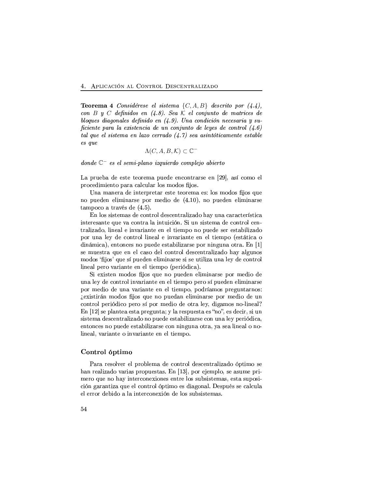**Teorema 4** Considérese el sistema  $\{C, A, B\}$  descrito por  $(4.4)$ ,  $\emph{con } B$  y  $C$  definidos en (4.8). Sea K el conjunto de matrices de bloques diagonales definido en  $(4.9)$ . Una condición necesaria y suficiente para la existencia de un conjunto de leyes de control  $(4.6)$ CGA -F <sup>F</sup> CGFA0FA <sup>L</sup> >@FIHHA <sup>L</sup> F@A0A CC >@AFCGF <sup>F</sup> CGA  F

$$
\Lambda(C,A,B,\mathcal{K})\subset\mathbb{C}^-
$$

 $\emph{donde } \mathbb{C}^-$  es el semi-plano izquierdo complejo abierto

La prueba de este teorema puede encontrarse en [29], así como el harsoches in the contract of the contract of the contract of the contract of the contract of the contract of the contract of the contract of the contract of the contract of the contract of the contract of the contract of t

Una manera de interpretar este teorema es: los modos fijos que  $\mathbf{N} = \mathbf{N}$  is the problem of the state  $\mathbf{N}$  is the state of the state of the state  $\mathbf{N}$  $t$ ampoco a través de  $(4.5)$ .

En los sistemas de control descentralizado hay una característica interesante que va contra la intuición. Si un sistema de control centralizado, lineal e invariante en el tiempo no puede ser estabilizado por una ley de control lineal e invariante en el tiempo (estática o On the second control of the second control results and the second control results of the second control results of the second control results of the second control results of the second control results of the second contr se muestra que en el caso del control descentralizado hay algunos the according to the state of the contract results and the contract of the contract of the contract of the contract of the contract of the contract of the contract of the contract of the contract of the contract of the con lineal pero variante en el tiempo (periódica).

~"DQR1DPvC+R8Kj-B1O1B\$P]uvBIP \$c(R K(B h(c(RSO(R8K RSTUD?jDUK<F]Y\PfRgh<BIYj-R0O1D?B O1R una ley de control invariante en el tiempo pero sí pueden eliminarse por medio de una variante en el tiempo, podríamos preguntarnos: SR1DPvC+DUY\]KjB1O1B\$PuvBIP \$c(R KdB h(cdRSO(FK R8T?D?j-D?KdFY+P\*R h!BYjRSO1D?B O1R cdK control periódico pero sí por medio de otra ley, digamos no-lineal?  $\mathbf F$  use the correct representation of  $\mathcal H$  and  $\mathcal H$  are presented by  $\mathcal H$ sistema descentralizado no puede estabilizarse con una ley periódica, entonces no puede estabilizarse con ninguna otra, ya sea lineal o no-T?Duk(R0F)T 1E&F}Y+D?FKIC+RMB-E&F}Y+D?FKIC+RMB-E&F}Y+D?FKIC+RMB-E&F{IC+RMB-E&F}Y+D?FKIC+RMB-E&F{IC+RMB-E&F{IC+RMB-E&F}

## Control óptimo

Para resolver el problema de control descentralizado óptimo se dFK Y+RSF); D?PIPPIN(RSPFC+FIP/R8jh(Transformation); D.P. 1http://www.information.com/ jR8Y+B
\$c(RLKdB<FkDUK\$C\*RSY+H8BK(R1DUBIK(RSP R8K\$C+Y\*RMT?BIPmPfcdbdPfDPfC\*R8jkFIP1R0PvC\F-P\*c(h!BIP\*D HD?JK lIFY+FKIC+DUV0F
\$c(RNR8T9HBIK\$C\*Y+BT!Jh1C+DUjB-RSPmO1DF]lBIKdF]T >"Z[R0Pfh(cdSPmPfRMH8FT?H8c(TF R8TRSY\*Y+BYQO1RSb(DO1BkFT?F-D?KIC+R8Y\HBIK(R1D?JK O(RLTUB\$PQPfc(b<PfDPvC+R8jkFPS>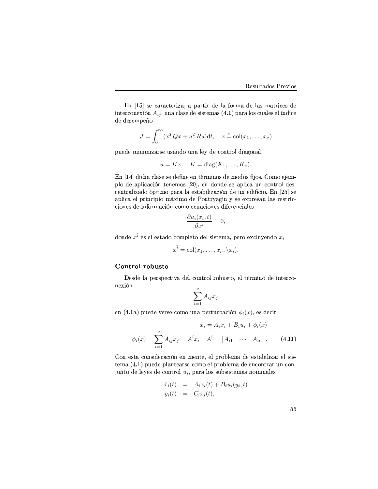En [15] se caracteriza, a partir de la forma de las matrices de interconexión  $A_{ij}$ , una clase de sistemas (4.1) para los cuales el índice de desempeño

$$
J = \int_0^\infty (x^T Q x + u^T R u) dt, \quad x \triangleq \text{col}(x_1, \dots, x_\nu)
$$

puede minimizarse usando una ley de control diagonal

$$
u = Kx, \quad K = \text{diag}(K_1, \dots, K_\nu)
$$

En [14] dicha clase se define en términos de modos fijos. Como ejemplo de aplicación tenemos [20], en donde se aplica un control descentralizado óptimo para la estabilización de un edificio. En [25] se aplica el principio máximo de Pontryagin y se expresan las restricciones de información como ecuaciones diferenciales

$$
\frac{\partial u_i(x_i, t)}{\partial x^{\bar{i}}} = 0,
$$

donde  $x^{\bar{i}}$  es el estado completo del sistema, pero excluyendo  $x_i$ 

$$
x^i = \text{col}(x_1, \ldots, x_{\nu}, \langle x_i \rangle).
$$

# Control robusto

Desde la perspectiva del control robusto, el término de interconexión  $\ddot{\phantom{a}}$ 

$$
\sum_{i=1}^{\nu} A_{ij} x_j
$$

en (4.1a) puede verse como una perturbación  $\phi_i(x)$ , es decir

$$
\dot{x}_i = A_i x_i + B_i u_i + \phi_i(x)
$$

$$
\phi_i(x) = \sum_{i=1}^{\nu} A_{ij} x_j = A^i x, \quad A^i = [A_{i1} \quad \cdots \quad A_{i\nu}]. \tag{4.11}
$$

Con esta consideración en mente, el problema de estabilizar el sistema (4.1) puede plantearse como el problema de encontrar un conjunto de leyes de control  $u_i$ , para los subsistemas nominales

$$
\dot{x}_i(t) = A_i x_i(t) + B_i u_i(y_i, t)
$$
  

$$
y_i(t) = C_i x_i(t),
$$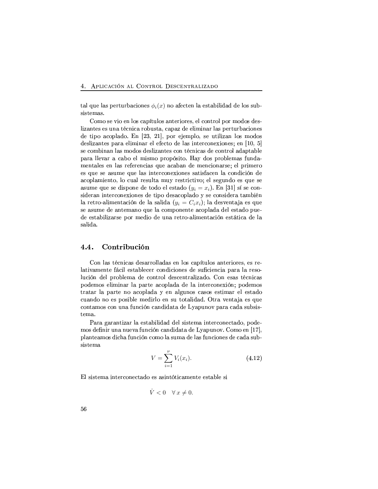tal que las perturbaciones  $\phi_i(x)$  no afecten la estabilidad de los subsistemas.

Como se vio en los capítulos anteriores, el control por modos deslizantes es una técnica robusta, capaz de eliminar las perturbaciones de tipo acoplado. En [23, 21], por ejemplo, se utilizan los modos deslizantes para eliminar el efecto de las interconexiones; en [10, 5] se combinan las modos deslizantes con técnicas de control adaptable para llevar a cabo el mismo propósito. Hay dos problemas fundamentales en las referencias que acaban de mencionarse; el primero es que se asume que las interconexiones satisfacen la condición de acoplamiento, lo cual resulta muy restrictivo; el segundo es que se asume que se dispone de todo el estado  $(y_i = x_i)$ . En [31] sí se consideran interconexiones de tipo desacoplado y se considera también la retro-alimentación de la salida  $(y_i = C_i x_i)$ ; la desventaja es que se asume de antemano que la componente acoplada del estado puede estabilizarse por medio de una retro-alimentación estática de la salida.

#### $4.4.$ Contribución

Con las técnicas desarrolladas en los capítulos anteriores, es relativamente fácil establecer condiciones de suficiencia para la resolución del problema de control descentralizado. Con esas técnicas podemos eliminar la parte acoplada de la interconexión; podemos tratar la parte no acoplada y en algunos casos estimar el estado cuando no es posible medirlo en su totalidad. Otra ventaja es que contamos con una función candidata de Lyapunov para cada subsistema.

Para garantizar la estabilidad del sistema interconectado, podemos definir una nueva función candidata de Lyapunov. Como en [17], planteamos dicha función como la suma de las funciones de cada subsistema

$$
V = \sum_{i=1}^{V} V_i(x_i).
$$
 (4.12)

El sistema interconectado es asintóticamente estable si

$$
V < 0 \quad \forall \, x \neq 0
$$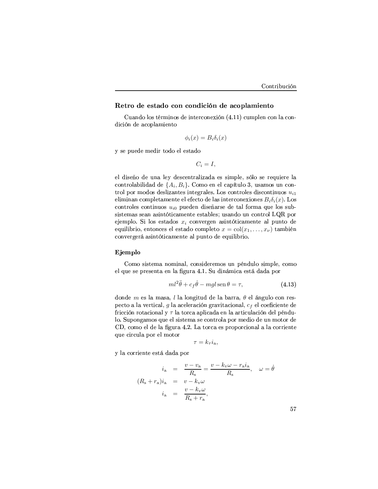# Retro de estado con condición de acoplamiento

Cuando los términos de interconexión (4.11) cumplen con la condición de acoplamiento

$$
\phi_i(x) = B_i \delta_i(x)
$$

y se puede medir todo el estado

$$
C_i = I,
$$

el diseño de una ley descentralizada es simple, sólo se requiere la controlabilidad de  $\{A_i, B_i\}$ . Como en el capítulo 3, usamos un control por modos deslizantes integrales. Los controles discontinuos  $u_{i1}$ eliminan completamente el efecto de las interconexiones  $B_i \delta_i(x)$ . Los controles continuos  $u_{i0}$  pueden diseñarse de tal forma que los subsistemas sean asintóticamente estables; usando un control LQR por ejemplo. Si los estados  $x_i$  convergen asintóticamente al punto de equilibrio, entonces el estado completo  $x = col(x_1, ..., x_{\nu})$  también convergerá asintóticamente al punto de equilibrio.

# Ejemplo

Como sistema nominal, consideremos un péndulo simple, como el que se presenta en la figura 4.1. Su dinámica está dada por

$$
ml^2\ddot{\theta} + c_f\dot{\theta} - mgl \operatorname{sen}\theta = \tau,\tag{4.13}
$$

donde m es la masa, l la longitud de la barra,  $\theta$  el ángulo con respecto a la vertical,  $g$  la aceleración gravitacional,  $c_f$  el coeficiente de fricción rotacional y  $\tau$  la torca aplicada en la articulación del péndulo. Supongamos que el sistema se controla por medio de un motor de CD, como el de la figura 4.2. La torca es proporcional a la corriente que circula por el motor

$$
\tau = k_{\tau} i_{\rm a},
$$

y la corriente está dada por

$$
i_{\rm a} = \frac{v - v_{\rm a}}{R_{\rm s}} = \frac{v - k_{\rm v} \omega - r_{\rm a} i_{\rm a}}{R_{\rm s}}, \quad \omega = \dot{\theta}
$$
  

$$
(R_{\rm s} + r_{\rm a})i_{\rm a} = v - k_{\rm v} \omega
$$
  

$$
i_{\rm a} = \frac{v - k_{\rm v} \omega}{R_{\rm s} + r_{\rm a}},
$$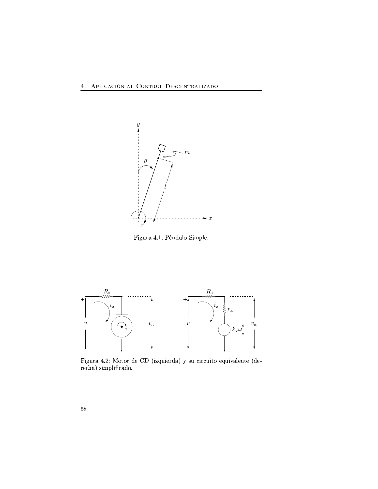

Figura 4.1: Péndulo Simple.



Figura 4.2: Motor de CD (izquierda) y su circuito equivalente (derecha) simplificado.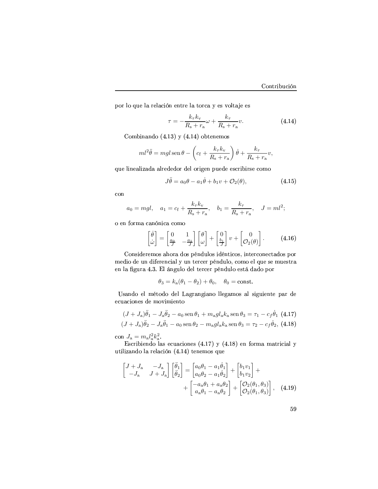por lo que la relación entre la torca y es voltaje es

$$
\tau = -\frac{k_{\tau}k_{\rm v}}{R_{\rm s} + r_{\rm a}}\omega + \frac{k_{\tau}}{R_{\rm s} + r_{\rm a}}v.
$$
 (4.14)

Combinando  $(4.13)$  y  $(4.14)$  obtenemos

$$
ml^2\ddot{\theta} = mgl \operatorname{sen}\theta - \left(c_f + \frac{k_{\tau}k_{\nu}}{R_{\rm s} + r_{\rm a}}\right)\dot{\theta} + \frac{k_{\tau}}{R_{\rm s} + r_{\rm a}}v,
$$

que linealizada alrededor del origen puede escribirse como

$$
J\ddot{\theta} = a_0\theta - a_1\dot{\theta} + b_1v + \mathcal{O}_2(\theta), \qquad (4.15)
$$

con

$$
a_0 = mgl
$$
,  $a_1 = c_f + \frac{k_{\tau}k_{\nu}}{R_s + r_a}$ ,  $b_1 = \frac{k_{\tau}}{R_s + r_a}$ ,  $J = ml^2$ ;

o en forma canónica como

$$
\begin{bmatrix} \dot{\theta} \\ \dot{\omega} \end{bmatrix} = \begin{bmatrix} 0 & 1 \\ \frac{a_0}{J} & -\frac{a_1}{J} \end{bmatrix} \begin{bmatrix} \theta \\ \omega \end{bmatrix} + \begin{bmatrix} 0 \\ \frac{b_1}{J} \end{bmatrix} v + \begin{bmatrix} 0 \\ \mathcal{O}_2(\theta) \end{bmatrix}.
$$
 (4.16)

Consideremos ahora dos péndulos idénticos, interconectados por medio de un diferencial y un tercer péndulo, como el que se muestra en la figura 4.3. El ángulo del tercer péndulo está dado por

$$
\theta_3 = k_a(\theta_1 - \theta_2) + \theta_0
$$
,  $\theta_0 = \text{const.}$ 

Usando el método del Lagrangiano llegamos al siguiente par de ecuaciones de movimiento

$$
(J + J_a)\ddot{\theta}_1 - J_a\ddot{\theta}_2 - a_0 \operatorname{sen}\theta_1 + m_a g l_a k_a \operatorname{sen}\theta_3 = \tau_1 - c_f \dot{\theta}_1 \tag{4.17}
$$
  

$$
(J + J_a)\ddot{\theta}_2 - J_a\ddot{\theta}_1 - a_0 \operatorname{sen}\theta_2 - m_a g l_a k_a \operatorname{sen}\theta_3 = \tau_2 - c_f \dot{\theta}_2, \tag{4.18}
$$

$$
(J + J_a)\ddot{\theta}_2 - J_a\ddot{\theta}_1 - a_0 \operatorname{sen}\theta_2 - m_a g l_a k_a \operatorname{sen}\theta_3 = \tau_2 - c_f \dot{\theta}_2, \tag{4.1}
$$

con  $J_a = m_a l_a^2 k_a^2$ .

Escribiendo las ecuaciones (4.17) y (4.18) en forma matricial y utilizando la relación (4.14) tenemos que

$$
\begin{bmatrix} J+J_{\rm a} & -J_{\rm a} \\ -J_{\rm a} & J+J_{\rm a} \end{bmatrix} \begin{bmatrix} \ddot{\theta}_{1} \\ \ddot{\theta}_{2} \end{bmatrix} = \begin{bmatrix} a_{0}\theta_{1} - a_{1}\dot{\theta}_{1} \\ a_{0}\theta_{2} - a_{1}\dot{\theta}_{2} \end{bmatrix} + \begin{bmatrix} b_{1}v_{1} \\ b_{1}v_{2} \end{bmatrix} + \begin{bmatrix} -a_{\rm a}\theta_{1} + a_{\rm a}\theta_{2} \\ a_{\rm a}\theta_{1} - a_{\rm a}\theta_{2} \end{bmatrix} + \begin{bmatrix} \mathcal{O}_{2}(\theta_{1}, \theta_{3}) \\ \mathcal{O}_{2}(\theta_{1}, \theta_{3}) \end{bmatrix}, \quad (4.19)
$$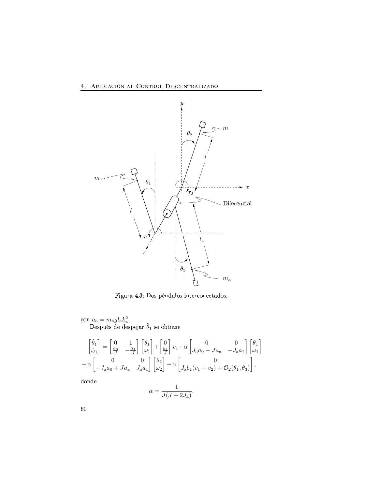# 4. APLICACIÓN AL CONTROL DESCENTRALIZADO



Figura 4.3: Dos péndulos interconectados.

# $\label{eq:con} \begin{array}{c} \mbox{con}~ a_{\rm a} = m_{\rm a} g l_{\rm a} k_{\rm a}^2. \\ \mbox{Después de despejar}~\ddot{\theta}_1~\mbox{se obtiene} \end{array}$

$$
\begin{bmatrix} \dot{\theta}_1 \\ \dot{\omega}_1 \end{bmatrix} = \begin{bmatrix} 0 & 1 \\ \frac{a_0}{J} & -\frac{a_1}{J} \end{bmatrix} \begin{bmatrix} \theta_1 \\ \omega_1 \end{bmatrix} + \begin{bmatrix} 0 \\ \frac{b_1}{J} \end{bmatrix} v_1 + \alpha \begin{bmatrix} 0 & 0 \\ J_a a_0 - J a_a & -J_a a_1 \end{bmatrix} \begin{bmatrix} \theta_1 \\ \omega_1 \end{bmatrix} + \alpha \begin{bmatrix} 0 \\ -J_a a_0 + J a_a & J_a a_1 \end{bmatrix} \begin{bmatrix} \theta_2 \\ \omega_2 \end{bmatrix} + \alpha \begin{bmatrix} 0 \\ J_a b_1 (v_1 + v_2) + \mathcal{O}_2(\theta_1, \theta_3) \end{bmatrix},
$$

donde

$$
\alpha = \frac{1}{J(J+2J_{\rm a})}
$$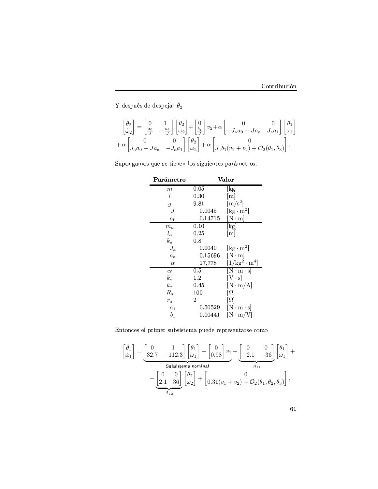Y después de despejar $\ddot{\theta}_2$ 

$$
\begin{bmatrix}\n\dot{\theta}_2 \\
\dot{\omega}_2\n\end{bmatrix} = \begin{bmatrix}\n0 & 1 \\
\frac{a_0}{J} & -\frac{a_1}{J}\n\end{bmatrix}\n\begin{bmatrix}\n\theta_2 \\
\omega_2\n\end{bmatrix} + \begin{bmatrix}\n0 \\
\frac{b_1}{J}\n\end{bmatrix} v_2 + \alpha \begin{bmatrix}\n0 & 0 \\
-J_a a_0 + Ja_a & J_a a_1\n\end{bmatrix}\n\begin{bmatrix}\n\theta_1 \\
\omega_1\n\end{bmatrix} + \alpha \begin{bmatrix}\n0 & 0 \\
J_a a_0 - Ja_a & -J_a a_1\n\end{bmatrix}\n\begin{bmatrix}\n\theta_2 \\
\omega_2\n\end{bmatrix} + \alpha \begin{bmatrix}\n0 \\
J_a b_1 (v_1 + v_2) + \mathcal{O}_2(\theta_1, \theta_3)\n\end{bmatrix}.
$$

Supongamos que se tienen los siguientes parámetros:

| Parámetro      | Valor       |                                         |  |
|----------------|-------------|-----------------------------------------|--|
| m              | 0.05        | kg                                      |  |
| l              | $\rm 0.30$  | $\lceil m \rceil$                       |  |
| $\mathfrak{g}$ | 9.81        | $\rm [m/s^2]$                           |  |
| J              | $0.0045\,$  | $\left[\text{kg}\cdot\text{m}^2\right]$ |  |
| $a_0$          | 0.14715     | $N \cdot m$                             |  |
| $m_a$          | 0.10        | kg                                      |  |
| $l_a$          | $\rm 0.25$  | $\lceil m \rceil$                       |  |
| $k_a$          | 0.8         |                                         |  |
| $J_{\rm a}$    | 0.0040      | $\left[\text{kg}\cdot\text{m}^2\right]$ |  |
| $a_{\rm a}$    | ${0.15696}$ | $[N \cdot m]$                           |  |
| $\alpha$       | 17,778      | $[1/\text{kg}^2 \cdot \text{m}^4]$      |  |
| $c_{\rm f}$    | 0.5         | $[N \cdot m \cdot s]$                   |  |
| $k_{\rm v}$    | $1.2\,$     | $ V \cdot s $                           |  |
| $k_{\tau}$     | $\rm 0.45$  | $[N \cdot m/A]$                         |  |
| $R_{\rm s}$    | 100         | $ \Omega $                              |  |
| $r_{\rm a}$    | 2           | $[\Omega]$                              |  |
| a <sub>1</sub> | 0.50529     | $[N \cdot m \cdot s]$                   |  |
| $b_1$          | 0.00441     | $ N \cdot m/V $                         |  |

Entonces el primer subsistema puede representarse como

$$
\begin{bmatrix} \dot{\theta}_1 \\ \dot{\omega}_1 \end{bmatrix} = \underbrace{\begin{bmatrix} 0 & 1 \\ 32.7 & -112.3 \end{bmatrix} \begin{bmatrix} \theta_1 \\ \omega_1 \end{bmatrix} + \begin{bmatrix} 0 \\ 0.98 \end{bmatrix} v_1}_{\text{Subsistema nominal}} + \underbrace{\begin{bmatrix} 0 & 0 \\ -2.1 & -36 \end{bmatrix} \begin{bmatrix} \theta_1 \\ \omega_1 \end{bmatrix}}_{A_{11}} + \underbrace{\begin{bmatrix} 0 & 0 \\ 2.1 & 36 \end{bmatrix} \begin{bmatrix} \theta_2 \\ \omega_2 \end{bmatrix} + \begin{bmatrix} 0 \\ 0.31(v_1 + v_2) + \mathcal{O}_2(\theta_1, \theta_2, \theta_3) \end{bmatrix}}_{A_{12}},
$$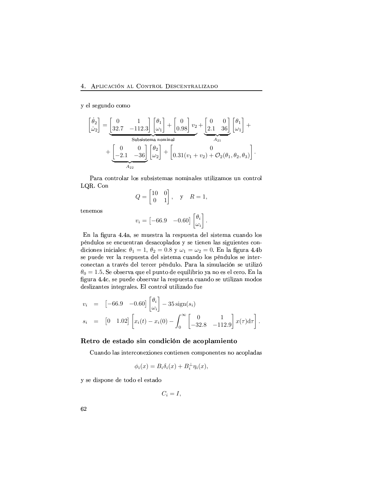y el segundo como

$$
\begin{bmatrix} \dot{\theta}_2 \\ \dot{\omega}_2 \end{bmatrix} = \underbrace{\begin{bmatrix} 0 & 1 \\ 32.7 & -112.3 \end{bmatrix} \begin{bmatrix} \theta_1 \\ \omega_1 \end{bmatrix} + \begin{bmatrix} 0 \\ 0.98 \end{bmatrix} v_2}_{\text{Subsistema nominal}} + \underbrace{\begin{bmatrix} 0 & 0 \\ 2.1 & 36 \end{bmatrix} \begin{bmatrix} \theta_1 \\ \omega_1 \end{bmatrix}}_{A_{21}} + \underbrace{\begin{bmatrix} 0 & 0 \\ -2.1 & -36 \end{bmatrix} \begin{bmatrix} \theta_2 \\ \omega_2 \end{bmatrix} + \begin{bmatrix} 0 \\ 0.31(v_1 + v_2) + \mathcal{O}_2(\theta_1, \theta_2, \theta_3) \end{bmatrix}}
$$

Para controlar los subsistemas nominales utilizamos un control LQR. Con

$$
Q = \begin{bmatrix} 10 & 0 \\ 0 & 1 \end{bmatrix}, \quad \text{y} \quad R = 1,
$$

tenemos

$$
v_i = \begin{bmatrix} -66.9 & -0.60 \end{bmatrix} \begin{bmatrix} \theta_i \\ \omega_i \end{bmatrix}.
$$

En la figura 4.4a, se muestra la respuesta del sistema cuando los péndulos se encuentran desacoplados y se tienen las siguientes condiciones iniciales:  $\theta_1 = 1, \theta_2 = 0.8$  y  $\omega_1 = \omega_2 = 0$ . En la figura 4.4b se puede ver la respuesta del sistema cuando los péndulos se interconectan a través del tercer péndulo. Para la simulación se utilizó  $\theta_0 = 1.5$ . Se observa que el punto de equilibrio ya no es el cero. En la figura 4.4c, se puede observar la respuesta cuando se utilizan modos deslizantes integrales. El control utilizado fue

$$
v_i = [-66.9 \ -0.60] \begin{bmatrix} \theta_i \\ \omega_i \end{bmatrix} - 35 \text{ sign}(s_i)
$$
  
\n
$$
s_i = [0 \ 1.02] \begin{bmatrix} x_i(t) - x_i(0) - \int_0^\infty \begin{bmatrix} 0 & 1 \\ -32.8 & -112.9 \end{bmatrix} x(\tau) d\tau \end{bmatrix}.
$$

# Retro de estado sin condición de acoplamiento

Cuando las interconexiones contienen componentes no acopladas

$$
\phi_i(x) = B_i \delta_i(x) + B_i^{\perp} \eta_i(x),
$$

y se dispone de todo el estado

$$
C_i = I,
$$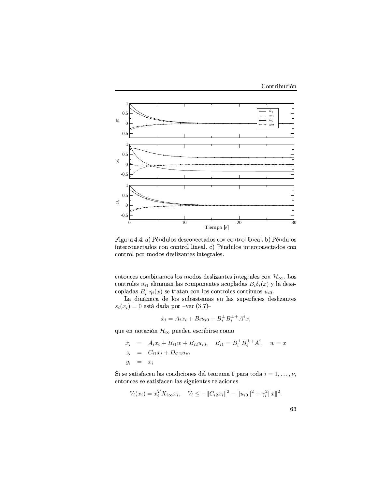

Figura 4.4: a) Péndulos desconectados con control lineal. b) Péndulos interconectados con control lineal. c) Péndulos interconectados con control por modos deslizantes integrales.

entonces combinamos los modos deslizantes integrales con $\mathcal{H}_{\infty}.$  Los controles  $u_{i1}$ eliminan las componentes acopladas $B_i\delta_i(x)$ y la desacopladas  $B_i^{\perp} \eta_i(x)$  se tratan con los controles continuos  $u_{i0}$ .

La dinámica de los subsistemas en las superficies deslizantes  $s_i(x_i) = 0$  está dada por -ver (3.7)-

$$
\dot{x}_i = A_i x_i + B_i u_{i0} + B_i^{\perp} B_i^{\perp +} A^i x,
$$

que en notación  $\mathcal{H}_{\infty}$ pueden escribirse como

$$
\dot{x}_i = A_i x_i + B_{i1} w + B_{i2} u_{i0}, \quad B_{i1} = B_i^{\perp} B_i^{\perp +} A^i, \quad w = x
$$
  
\n
$$
z_i = C_{i1} x_i + D_{i12} u_{i0}
$$
  
\n
$$
y_i = x_i
$$

Si se satisfacen las condiciones del teorema 1 para toda  $i = 1, \ldots, \nu$ ,  $entonces\; se\; satisfacen\; las\; siguientes\; relaciones$ 

$$
V_i(x_i) = x_i^T X_{i\infty} x_i, \quad V_i \leq -\|C_{i2} x_i\|^2 - \|u_{i0}\|^2 + \gamma_i^2 \|x\|^2.
$$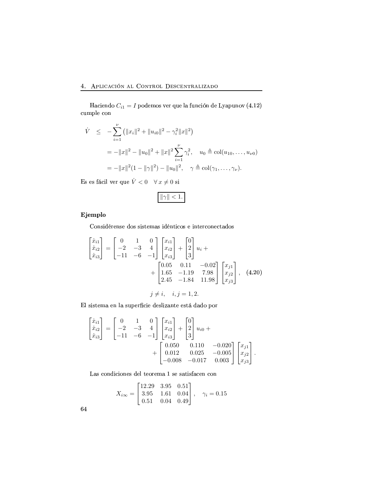Haciendo  $C_{i1} = I$  podemos ver que la función de Lyapunov (4.12) cumple con

$$
\dot{V} \leq -\sum_{i=1}^{\nu} (||x_i||^2 + ||u_{i0}||^2 - \gamma_i^2 ||x||^2)
$$
  
=  $-||x||^2 - ||u_0||^2 + ||x||^2 \sum_{i=1}^{\nu} \gamma_i^2$ ,  $u_0 \triangleq \text{col}(u_{10}, \dots, u_{\nu 0})$   
=  $-||x||^2 (1 - ||\gamma||^2) - ||u_0||^2$ ,  $\gamma \triangleq \text{col}(\gamma_1, \dots, \gamma_{\nu})$ .

Es es fácil ver que  $\dot{V}<0 \quad \forall\,x\neq 0$ si

$$
\|\gamma\|<1.
$$

# Ejemplo

Considérense dos sistemas idénticos e interconectados

$$
\begin{bmatrix} \dot{x}_{i1} \\ \dot{x}_{i2} \\ \dot{x}_{i3} \end{bmatrix} = \begin{bmatrix} 0 & 1 & 0 \\ -2 & -3 & 4 \\ -11 & -6 & -1 \end{bmatrix} \begin{bmatrix} x_{i1} \\ x_{i2} \\ x_{i3} \end{bmatrix} + \begin{bmatrix} 0 \\ 2 \\ 3 \end{bmatrix} u_i + + \begin{bmatrix} 0.05 & 0.11 & -0.02 \\ 1.65 & -1.19 & 7.98 \\ 2.45 & -1.84 & 11.98 \end{bmatrix} \begin{bmatrix} x_{j1} \\ x_{j2} \\ x_{j3} \end{bmatrix}, (4.20) j \neq i, \quad i, j = 1, 2.
$$

El sistema en la superficie deslizante está dado por

$$
\begin{bmatrix} \dot{x}_{i1} \\ \dot{x}_{i2} \\ \dot{x}_{i3} \end{bmatrix} = \begin{bmatrix} 0 & 1 & 0 \\ -2 & -3 & 4 \\ -11 & -6 & -1 \end{bmatrix} \begin{bmatrix} x_{i1} \\ x_{i2} \\ x_{i3} \end{bmatrix} + \begin{bmatrix} 0 \\ 2 \\ 3 \end{bmatrix} u_{i0} + \\ + \begin{bmatrix} 0.050 & 0.110 & -0.020 \\ 0.012 & 0.025 & -0.005 \\ -0.008 & -0.017 & 0.003 \end{bmatrix} \begin{bmatrix} x_{j1} \\ x_{j2} \\ x_{j3} \end{bmatrix}.
$$

Las condiciones del teorema 1 se satisfacen con

 $\overline{a}$ 

$$
X_{i\infty} = \begin{bmatrix} 12.29 & 3.95 & 0.51 \\ 3.95 & 1.61 & 0.04 \\ 0.51 & 0.04 & 0.49 \end{bmatrix}, \quad \gamma_i = 0.15
$$

 $\sim$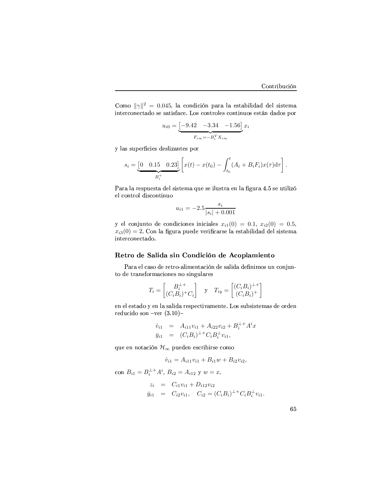Como  $\|\gamma\|^2 = 0.045$ , la condición para la estabilidad del sistema interconectado se satisface. Los controles continuos están dados por

$$
u_{i0} = \underbrace{[-9.42 - 3.34 - 1.56]}_{F_{i\infty} = -B_i^T X_{i\infty}} x_i
$$

y las superficies deslizantes por

$$
s_i = \underbrace{[0 \quad 0.15 \quad 0.23]}_{B_i^+} \left[ x(t) - x(t_0) - \int_{t_0}^t (A_i + B_i F_i) x(\tau) d\tau \right].
$$

Para la respuesta del sistema que se ilustra en la figura 4.5 se utilizó el control discontinuo

$$
u_{i1} = -2.5 \frac{s_i}{|s_i| + 0.001}
$$

y el conjunto de condiciones iniciales  $x_{i1}(0) = 0.1, x_{i2}(0) = 0.5,$  $x_{i3}(0) = 2$ . Con la figura puede verificarse la estabilidad del sistema interconectado.

# Retro de Salida sin Condición de Acoplamiento

Para el caso de retro-alimentación de salida definimos un conjunto de transformaciones no singulares

$$
T_i = \begin{bmatrix} B_i^{\perp +} \\ (C_i B_i)^{\perp} C_i \end{bmatrix} \quad \text{y} \quad T_{iy} = \begin{bmatrix} (C_i B_i)^{\perp +} \\ (C_i B_i)^{\perp} \end{bmatrix}
$$

en el estado y en la salida respectivamente. Los subsistemas de orden reducido son -ver  $(3.10)$ -

$$
\dot{v}_{i1} = A_{i11}v_{i1} + A_{i22}v_{i2} + B_i^{\perp +} A^i x \n\bar{y}_{i1} = (C_i B_i)^{\perp +} C_i B_i^{\perp} v_{i1},
$$

que en notación  $\mathcal{H}_{\infty}$ pueden escribirse como

$$
\dot{v}_{i1} = A_{i11}v_{i1} + B_{i1}w + B_{i2}v_{i2}
$$

con  $B_{i1} = B_i^{\perp +} A^i$ ,  $B_{i2} = A_{i12}$  y  $w = x$ .

$$
z_i = C_{i1}v_{i1} + D_{i12}v_{i2}
$$
  
\n
$$
\bar{y}_{i1} = C_{i2}v_{i1}, \quad C_{i2} = (C_iB_i)^{\perp + C_iB_i^{\perp}v_{i1}.
$$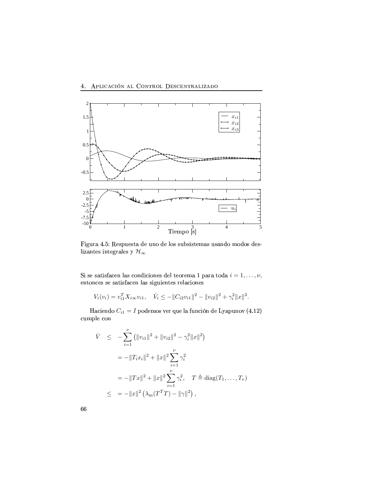

Figura 4.5: Respuesta de uno de los subsistemas usando modos deslizantes integrales y  $\mathcal{H}_{\infty}$ 

Si se satisfacen las condiciones del teorema 1 para toda  $i = 1, ..., \nu$ , entonces se satisfacen las siguientes relaciones

$$
V_i(v_i) = v_{i1}^T X_{i\infty} v_{i1}, \quad \dot{V}_i \le -||C_{i2} v_{i1}||^2 - ||v_{i2}||^2 + \gamma_i^2 ||x||^2.
$$

Haciendo $C_{i1}=I$ podemos ver que la función de Lyapunov $\left( 4.12\right)$  $\operatorname{cumple\;con}$ 

$$
\dot{V} \leq -\sum_{i=1}^{\nu} (||v_{i1}||^{2} + ||v_{i2}||^{2} - \gamma_{i}^{2}||x||^{2})
$$
\n
$$
= -||T_{i}x_{i}||^{2} + ||x||^{2} \sum_{i=1}^{\nu} \gamma_{i}^{2}
$$
\n
$$
= -||Tx||^{2} + ||x||^{2} \sum_{i=1}^{\nu} \gamma_{i}^{2}, \quad T \triangleq \text{diag}(T_{1}, ..., T_{\nu})
$$
\n
$$
\leq = -||x||^{2} (\lambda_{m}(T^{T}T) - ||\gamma||^{2}),
$$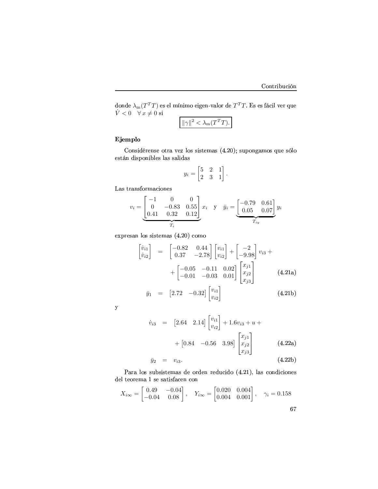donde  $\lambda_\text{m}(T^TT)$  es el mínimo eigen-valor de  $T^TT.$  Es es fácil ver que  $\dot{V} < 0 \quad \forall x \neq 0 \text{ si}$ 

$$
\|\gamma\|^2 < \lambda_m(T^TT).
$$

## Ejemplo

 $\mathcal{S}$  and the interval of the interval of the interval of the interval of the interval of the interval of the interval of the interval of the interval of the interval of the interval of the interval of the interval of están disponibles las salidas

$$
y_i = \begin{bmatrix} 5 & 2 & 1 \\ 2 & 3 & 1 \end{bmatrix}.
$$

 $\rm\,Las~transformaciones$ 

$$
v_i = \underbrace{\begin{bmatrix} -1 & 0 & 0 \\ 0 & -0.83 & 0.55 \\ 0.41 & 0.32 & 0.12 \end{bmatrix}}_{T_i} x_i \quad \text{y} \quad \bar{y}_i = \underbrace{\begin{bmatrix} -0.79 & 0.61 \\ 0.05 & 0.07 \end{bmatrix}}_{T_{iy}} y_i
$$

 $expressan$  los sistemas  $(4.20)$  como

$$
\begin{bmatrix} \dot{v}_{i1} \\ \dot{v}_{i2} \end{bmatrix} = \begin{bmatrix} -0.82 & 0.44 \\ 0.37 & -2.78 \end{bmatrix} \begin{bmatrix} v_{i1} \\ v_{i2} \end{bmatrix} + \begin{bmatrix} -2 \\ -9.98 \end{bmatrix} v_{i3} + \\ + \begin{bmatrix} -0.05 & -0.11 & 0.02 \\ -0.01 & -0.03 & 0.01 \end{bmatrix} \begin{bmatrix} x_{j1} \\ x_{j2} \\ x_{j3} \end{bmatrix}
$$
(4.21a)

$$
\bar{y}_1 = [2.72 \quad -0.32] \begin{bmatrix} v_{i1} \\ v_{i2} \end{bmatrix} \tag{4.21b}
$$

 $\mathbf{y}$ 

$$
\dot{v}_{i3} = [2.64 \quad 2.14] \begin{bmatrix} v_{i1} \\ v_{i2} \end{bmatrix} + 1.6v_{i3} + u +
$$
  
+ 
$$
[0.84 \quad -0.56 \quad 3.98] \begin{bmatrix} x_{j1} \\ x_{j2} \\ x_{j3} \end{bmatrix}
$$
 (4.22a)

$$
\bar{y}_2 = v_{i3}. \t\t(4.22b)
$$

Para los subsistemas de orden reducido (4.21), las condiciones del teorema $1$ se satisfacen con

$$
X_{i\infty} = \begin{bmatrix} 0.49 & -0.04 \\ -0.04 & 0.08 \end{bmatrix}, \quad Y_{i\infty} = \begin{bmatrix} 0.020 & 0.004 \\ 0.004 & 0.001 \end{bmatrix}, \quad \gamma_i = 0.158
$$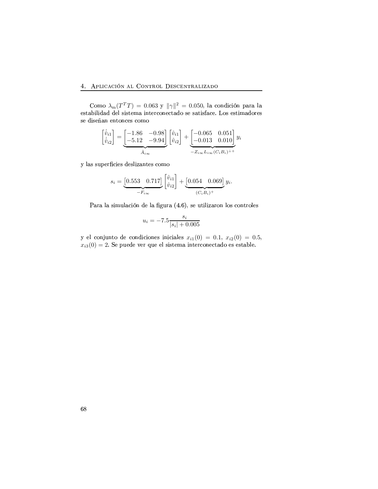### $\lambda$   $\lambda$  prior or  $\delta$  is the Country Deconvertising

Como  $\lambda_{\rm m}(T^T T) = 0.063$  y  $\|\gamma\|^2 = 0.050$ , la condición para la estabilidad del sistema interconectado se satisface. Los estimadores se diseñan entonces como

$$
\begin{bmatrix} \dot{\hat{v}}_{i1} \\ \dot{\hat{v}}_{i2} \end{bmatrix} = \underbrace{\begin{bmatrix} -1.86 & -0.98 \\ -5.12 & -9.94 \end{bmatrix}}_{\hat{A}_{i\infty}} \begin{bmatrix} \hat{v}_{i1} \\ \hat{v}_{i2} \end{bmatrix} + \underbrace{\begin{bmatrix} -0.065 & 0.051 \\ -0.013 & 0.010 \end{bmatrix}}_{-Z_{i\infty}L_{i\infty}(C_iB_i)^{\perp +}}
$$

y las superficies deslizantes como

$$
s_i = \underbrace{[0.553 \quad 0.717]}_{-F_{i\infty}} \left[\begin{matrix} \hat{v}_{i1} \\ \hat{v}_{i2} \end{matrix}\right] + \underbrace{[0.054 \quad 0.069]}_{(C_i B_i)^+} y_i.
$$

Para la simulación de la figura (4.6), se utilizaron los controles

$$
u_i = -7.5 \frac{s_i}{|s_i| + 0.005}
$$

y el conjunto de condiciones iniciales  $x_{i1}(0) = 0.1, x_{i2}(0) = 0.5,$  $x_{i3}(0) = 2$ . Se puede ver que el sistema interconectado es estable.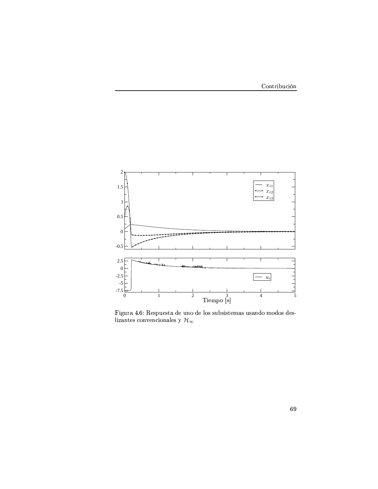

Figura 4.6: Respuesta de uno de los subsistemas usando modos deslizantes convencionales y $\mathcal{H}_{\infty}$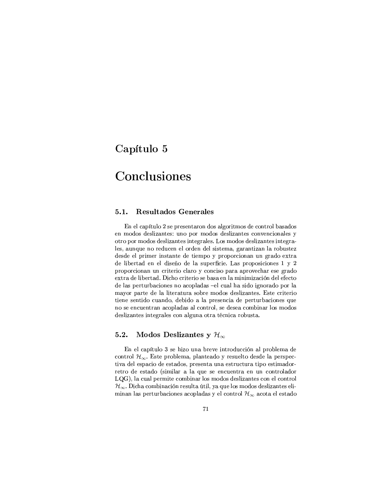## Capítulo 5

# Conclusiones

#### $5.1.$ **Resultados Generales**

En el capítulo 2 se presentaron dos algoritmos de control basados en modos deslizantes: uno por modos deslizantes convencionales y otro por modos deslizantes integrales. Los modos deslizantes integrales, aunque no reducen el orden del sistema, garantizan la robustez desde el primer instante de tiempo y proporcionan un grado extra de libertad en el diseño de la superficie. Las proposiciones 1 y 2 proporcionan un criterio claro y conciso para aprovechar ese grado extra de libertad. Dicho criterio se basa en la minimización del efecto de las perturbaciones no acopladas -el cual ha sido ignorado por la mayor parte de la literatura sobre modos deslizantes. Este criterio tiene sentido cuando, debido a la presencia de perturbaciones que no se encuentran acopladas al control, se desea combinar los modos deslizantes integrales con alguna otra técnica robusta.

#### $5.2.$ Modos Deslizantes y  $\mathcal{H}_{\infty}$

En el capítulo 3 se hizo una breve introducción al problema de control  $\mathcal{H}_{\infty}$ . Este problema, planteado y resuelto desde la perspectiva del espacio de estados, presenta una estructura tipo estimadorretro de estado (similar a la que se encuentra en un controlador LQG), la cual permite combinar los modos deslizantes con el control  $\mathcal{H}_{\infty}$ . Dicha combinación resulta útil, ya que los modos deslizantes eliminan las perturbaciones acopladas y el control $\mathcal{H}_{\infty}$ acota el estado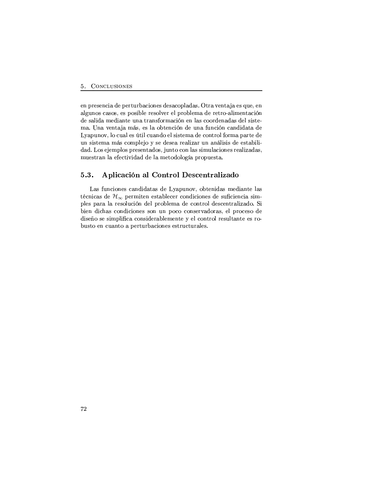en presencia de perturbaciones desacopladas. Otra ventaja es que, en algunos casos, es posible resolver el problema de retro-alimentación O1RMP\*FTUDO(F j-R0O1DF]K\$C\*RNc(KdFC\*Y\F]KdP BY+jkFHD?JKkRSK TFPmHB"BIY+O1RSKdFOdFPO1RST9PfDPfC\*R ma. Una ventaja más, es la obtención de una función candidata de Lyapunov, lo cual es útil cuando el sistema de control forma parte de un sistema más complejo y se desea realizar un análisis de estabilidad. Los ejemplos presentados, junto con las simulaciones realizadas, jcdRSPfC\*Y\F]KgT?F-RR0HsC+DUE"DO(FOgO1RLTF jR8C\*B1O1BT?Bl?F h(Y+Bh(cdRSPfC+F(>

### 5.3. Aplicación al Control Descentralizado

Las funciones candidatas de Lyapunov, obtenidas mediante las técnicas de  $\mathcal{H}_{\infty}$  permiten establecer condiciones de suficiencia simh(T?RSPLh<F]Y\F TFY+RSP\*BT?cdHD?JK O1RSTh(Y+Bb(T?R8jkFO1R H8BK\$C\*Y+BTO1R0P\*H8R8K\$C\*Y\F]T?D?VSFO(Bd>~"D b(D?R8K
O1DHdFPkH8BKdO(D?H8DUBIK(RSPkP\*BK c(Kh<B1H8B H8BKdP\*R8Y+E&FO1BIY+FIPR8T[h(Y\*B1H8RSP\*B O1R diseño se simplifica considerablemente y el control resultante es rohttps://www.archive.com/distribute.com/distribute.com/distribute.com/distribute.com/distribute.com/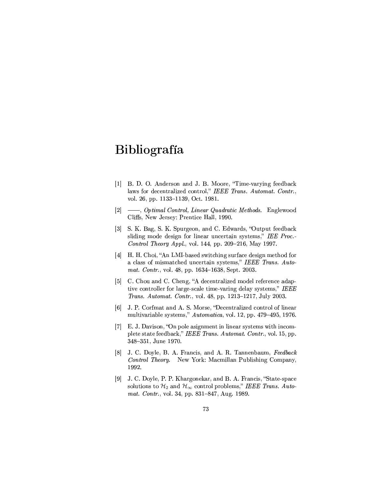# **Bibliografía**

- [1] B. D. O. Anderson and J. B. Moore, "Time-varying feedback TFP BYNO1RSH8R8K\$C\*Y\F]T?D?V8RSO H8BK\$C\*Y+BT % HA CGLADC LCEH vol. 26, pp. 1133-1139, Oct. 1981.
- $|2| \quad \text{---}$ , *Optimal Control, Linear Quadratic Methods.* Englewood Cliffs, New Jersey: Prentice Hall, 1990.
- [3] S. K. Bag, S. K. Spurgeon, and C. Edwards, "Output feedback sliding mode design for linear uncertain systems," IEE Proc.  $Control$  Theory Appl., vol. 144, pp. 209-216, May 1997.
- [4]  $\,$  H, H, Choi, "An LMI-based switching surface design method for a class of mismatched uncertain systems," IEEE Trans.  $Auto$ mat. Contr., vol. 48, pp. 1634-1638, Sept. 2003.
- $\mathbb{R}$  and  $\mathbb{R}$  and  $\mathbb{R}$  and  $\mathbb{R}$  and  $\mathbb{R}$  and  $\mathbb{R}$  and  $\mathbb{R}$  $\mathcal{L}=\mathcal{L}=\mathcal{L}=\mathcal{L}=\mathcal{L}=\mathcal{L}=\mathcal{L}=\mathcal{L}=\mathcal{L}=\mathcal{L}=\mathcal{L}=\mathcal{L}=\mathcal{L}=\mathcal{L}=\mathcal{L}=\mathcal{L}=\mathcal{L}=\mathcal{L}=\mathcal{L}=\mathcal{L}=\mathcal{L}=\mathcal{L}=\mathcal{L}=\mathcal{L}=\mathcal{L}=\mathcal{L}=\mathcal{L}=\mathcal{L}=\mathcal{L}=\mathcal{L}=\mathcal{L}=\mathcal{L}=\mathcal{L}=\mathcal{L}=\mathcal{L}=\mathcal{L}=\mathcal{$ *Trans. Automat. Contr., vol.* 48, pp. 1213–1217, July 2003.
- $\begin{array}{ccc} \text{Fall} & \text{T} & \text{F.} \end{array}$ jcdTC+DUE&F]Y+DF]b(T?R P1PvC+R8jkP C5LAC >@AIEIBT >d=0` h(h>Io1&"oI\$p 1=S"&d>
- q ><>0ZNFGE"D?P\*BK @MKh!BT?RiFP\*D?lK(jR8K\$CDUK TUD?K(RSFYP1PvC+R8jkP QDUC-D?KdHBIj plete state feedback," IEEE Trans. Automat. Contr., vol. 15, pp. 348-351, June 1970.
- [8] J. C. Doyle, B. A. Francis, and A. R. Tannenbaum, Feedback  $Control$  Theory. New York: Macmillan Publishing Company. 1992.
- [9] J. C. Doyle, P. P. Khargonekar, and B. A. Francis, "State-space solutions to  $\mathcal{H}_2$  and  $\mathcal{H}_{\infty}$  control problems," IEEE Trans. Auto-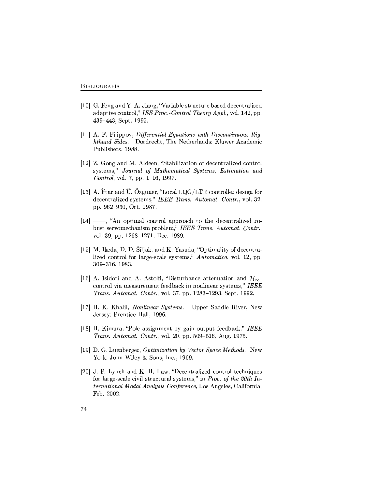- [10] G. Feng and Y. A. Jiang, "Variable structure based decentralised adaptive control," IEE Proc. Control Theory Appl., vol. 142, pp. 439-443, Sept. 1995.
- [11] A. F. Filippov, Differential Equations with Discontinuous Righthand Sides. Dordrecht, The Netherlands: Kluwer Academic Publishers, 1988.
- [12] Z. Gong and M. Aldeen, "Stabilization of decentralized control systems," Journal of Mathematical Systems, Estimation and Control, vol. 7, pp. 1-16, 1997.
- [13] A. Iftar and  $\ddot{U}$ . Özgüner, "Local LQG/LTR controller design for decentralized systems," IEEE Trans. Automat. Contr., vol. 32, pp. 962-930, Oct. 1987.
- $[14]$  —, "An optimal control approach to the decentralized robust servomechanism problem," IEEE Trans. Automat. Contr., vol. 39, pp. 1268–1271, Dec. 1989.
- [15] M. Ikeda, D. D. Siljak, and K. Yasuda, "Optimality of decentralized control for large-scale systems," Automatica, vol. 12, pp. 309-316, 1983.
- [16] A. Isidori and A. Astolfi, "Disturbance attenuation and  $\mathcal{H}_{\infty}$ control via measurement feedback in nonlinear systems," IEEE *Trans. Automat. Contr., vol.* 37, pp. 1283–1293, Sept. 1992.
- [17] H. K. Khalil, Nonlinear Systems. Upper Saddle River, New Jersey: Prentice Hall, 1996.
- [18] H. Kimura, "Pole assignment by gain output feedback," IEEE Trans. Automat. Contr., vol. 20, pp. 509-516, Aug. 1975.
- [19] D. G. Luenberger, *Optimization by Vector Space Methods*. New York: John Wiley & Sons, Inc., 1969.
- [20] J. P. Lynch and K. H. Law, "Decentralized control techniques for large-scale civil structural systems," in Proc. of the 20th International Modal Analysis Conference, Los Angeles, California, Feb. 2002.